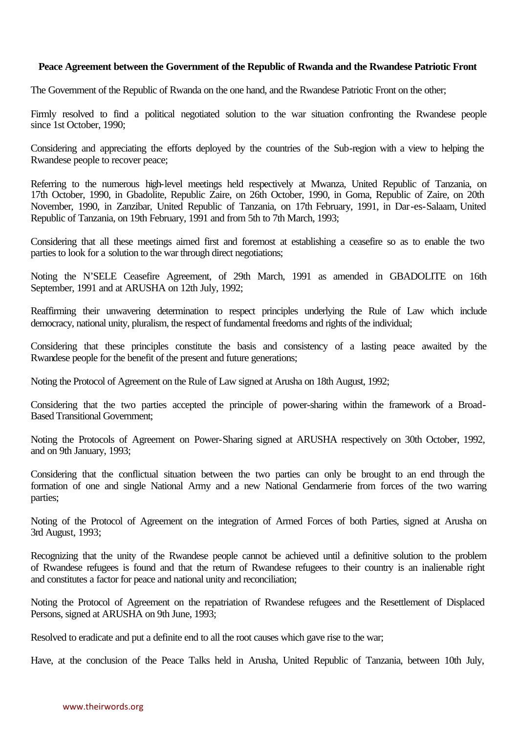### **Peace Agreement between the Government of the Republic of Rwanda and the Rwandese Patriotic Front**

The Government of the Republic of Rwanda on the one hand, and the Rwandese Patriotic Front on the other;

Firmly resolved to find a political negotiated solution to the war situation confronting the Rwandese people since 1st October, 1990;

Considering and appreciating the efforts deployed by the countries of the Sub-region with a view to helping the Rwandese people to recover peace;

Referring to the numerous high-level meetings held respectively at Mwanza, United Republic of Tanzania, on 17th October, 1990, in Gbadolite, Republic Zaire, on 26th October, 1990, in Goma, Republic of Zaire, on 20th November, 1990, in Zanzibar, United Republic of Tanzania, on 17th February, 1991, in Dar-es-Salaam, United Republic of Tanzania, on 19th February, 1991 and from 5th to 7th March, 1993;

Considering that all these meetings aimed first and foremost at establishing a ceasefire so as to enable the two parties to look for a solution to the war through direct negotiations;

Noting the N'SELE Ceasefire Agreement, of 29th March, 1991 as amended in GBADOLITE on 16th September, 1991 and at ARUSHA on 12th July, 1992;

Reaffirming their unwavering determination to respect principles underlying the Rule of Law which include democracy, national unity, pluralism, the respect of fundamental freedoms and rights of the individual;

Considering that these principles constitute the basis and consistency of a lasting peace awaited by the Rwandese people for the benefit of the present and future generations;

Noting the Protocol of Agreement on the Rule of Law signed at Arusha on 18th August, 1992;

Considering that the two parties accepted the principle of power-sharing within the framework of a Broad-Based Transitional Government;

Noting the Protocols of Agreement on Power-Sharing signed at ARUSHA respectively on 30th October, 1992, and on 9th January, 1993;

Considering that the conflictual situation between the two parties can only be brought to an end through the formation of one and single National Army and a new National Gendarmerie from forces of the two warring parties;

Noting of the Protocol of Agreement on the integration of Armed Forces of both Parties, signed at Arusha on 3rd August, 1993;

Recognizing that the unity of the Rwandese people cannot be achieved until a definitive solution to the problem of Rwandese refugees is found and that the return of Rwandese refugees to their country is an inalienable right and constitutes a factor for peace and national unity and reconciliation;

Noting the Protocol of Agreement on the repatriation of Rwandese refugees and the Resettlement of Displaced Persons, signed at ARUSHA on 9th June, 1993;

Resolved to eradicate and put a definite end to all the root causes which gave rise to the war;

Have, at the conclusion of the Peace Talks held in Arusha, United Republic of Tanzania, between 10th July,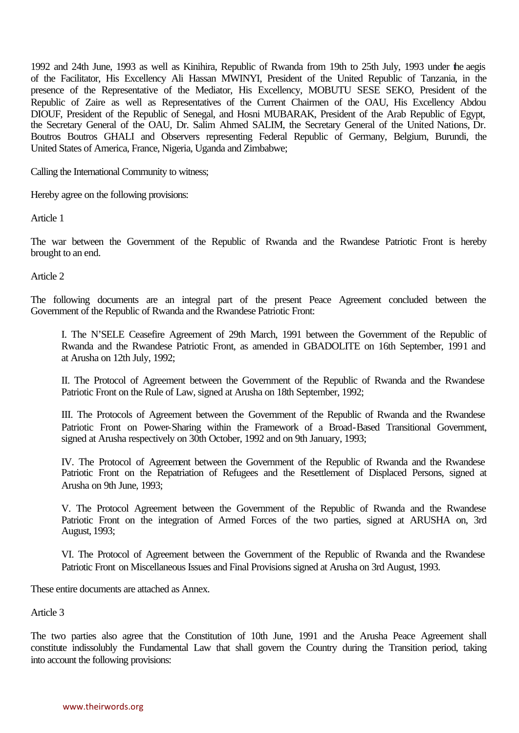1992 and 24th June, 1993 as well as Kinihira, Republic of Rwanda from 19th to 25th July, 1993 under the aegis of the Facilitator, His Excellency Ali Hassan MWINYI, President of the United Republic of Tanzania, in the presence of the Representative of the Mediator, His Excellency, MOBUTU SESE SEKO, President of the Republic of Zaire as well as Representatives of the Current Chairmen of the OAU, His Excellency Abdou DIOUF, President of the Republic of Senegal, and Hosni MUBARAK, President of the Arab Republic of Egypt, the Secretary General of the OAU, Dr. Salim Ahmed SALIM, the Secretary General of the United Nations, Dr. Boutros Boutros GHALI and Observers representing Federal Republic of Germany, Belgium, Burundi, the United States of America, France, Nigeria, Uganda and Zimbabwe;

Calling the International Community to witness;

Hereby agree on the following provisions:

Article 1

The war between the Government of the Republic of Rwanda and the Rwandese Patriotic Front is hereby brought to an end.

Article 2

The following documents are an integral part of the present Peace Agreement concluded between the Government of the Republic of Rwanda and the Rwandese Patriotic Front:

I. The N'SELE Ceasefire Agreement of 29th March, 1991 between the Government of the Republic of Rwanda and the Rwandese Patriotic Front, as amended in GBADOLITE on 16th September, 1991 and at Arusha on 12th July, 1992;

II. The Protocol of Agreement between the Government of the Republic of Rwanda and the Rwandese Patriotic Front on the Rule of Law, signed at Arusha on 18th September, 1992;

III. The Protocols of Agreement between the Government of the Republic of Rwanda and the Rwandese Patriotic Front on Power-Sharing within the Framework of a Broad-Based Transitional Government, signed at Arusha respectively on 30th October, 1992 and on 9th January, 1993;

IV. The Protocol of Agreement between the Government of the Republic of Rwanda and the Rwandese Patriotic Front on the Repatriation of Refugees and the Resettlement of Displaced Persons, signed at Arusha on 9th June, 1993;

V. The Protocol Agreement between the Government of the Republic of Rwanda and the Rwandese Patriotic Front on the integration of Armed Forces of the two parties, signed at ARUSHA on, 3rd August, 1993;

VI. The Protocol of Agreement between the Government of the Republic of Rwanda and the Rwandese Patriotic Front on Miscellaneous Issues and Final Provisions signed at Arusha on 3rd August, 1993.

These entire documents are attached as Annex.

Article 3

The two parties also agree that the Constitution of 10th June, 1991 and the Arusha Peace Agreement shall constitute indissolubly the Fundamental Law that shall govern the Country during the Transition period, taking into account the following provisions: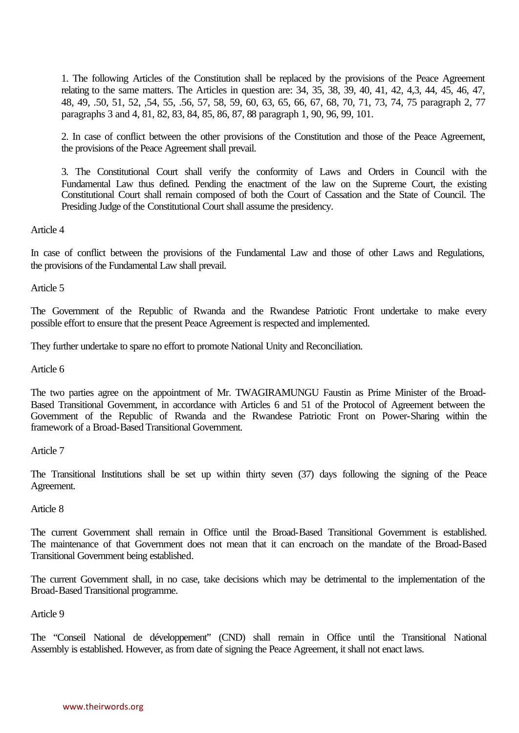1. The following Articles of the Constitution shall be replaced by the provisions of the Peace Agreement relating to the same matters. The Articles in question are: 34, 35, 38, 39, 40, 41, 42, 4,3, 44, 45, 46, 47, 48, 49, .50, 51, 52, ,54, 55, .56, 57, 58, 59, 60, 63, 65, 66, 67, 68, 70, 71, 73, 74, 75 paragraph 2, 77 paragraphs 3 and 4, 81, 82, 83, 84, 85, 86, 87, 88 paragraph 1, 90, 96, 99, 101.

2. In case of conflict between the other provisions of the Constitution and those of the Peace Agreement, the provisions of the Peace Agreement shall prevail.

3. The Constitutional Court shall verify the conformity of Laws and Orders in Council with the Fundamental Law thus defined. Pending the enactment of the law on the Supreme Court, the existing Constitutional Court shall remain composed of both the Court of Cassation and the State of Council. The Presiding Judge of the Constitutional Court shall assume the presidency.

Article 4

In case of conflict between the provisions of the Fundamental Law and those of other Laws and Regulations, the provisions of the Fundamental Law shall prevail.

Article 5

The Government of the Republic of Rwanda and the Rwandese Patriotic Front undertake to make every possible effort to ensure that the present Peace Agreement is respected and implemented.

They further undertake to spare no effort to promote National Unity and Reconciliation.

Article 6

The two parties agree on the appointment of Mr. TWAGIRAMUNGU Faustin as Prime Minister of the Broad-Based Transitional Government, in accordance with Articles 6 and 51 of the Protocol of Agreement between the Government of the Republic of Rwanda and the Rwandese Patriotic Front on Power-Sharing within the framework of a Broad-Based Transitional Government.

Article 7

The Transitional Institutions shall be set up within thirty seven (37) days following the signing of the Peace Agreement.

Article 8

The current Government shall remain in Office until the Broad-Based Transitional Government is established. The maintenance of that Government does not mean that it can encroach on the mandate of the Broad-Based Transitional Government being established.

The current Government shall, in no case, take decisions which may be detrimental to the implementation of the Broad-Based Transitional programme.

Article 9

The "Conseil National de développement" (CND) shall remain in Office until the Transitional National Assembly is established. However, as from date of signing the Peace Agreement, it shall not enact laws.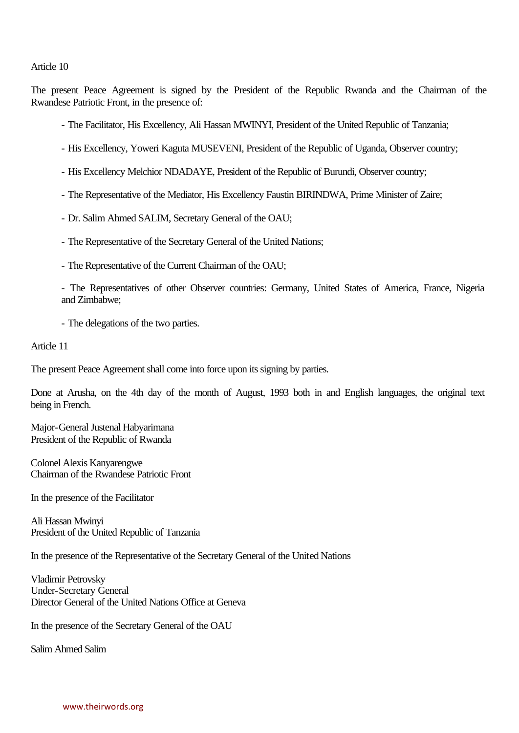#### Article 10

The present Peace Agreement is signed by the President of the Republic Rwanda and the Chairman of the Rwandese Patriotic Front, in the presence of:

- The Facilitator, His Excellency, Ali Hassan MWINYI, President of the United Republic of Tanzania;
- His Excellency, Yoweri Kaguta MUSEVENI, President of the Republic of Uganda, Observer country;
- His Excellency Melchior NDADAYE, President of the Republic of Burundi, Observer country;
- The Representative of the Mediator, His Excellency Faustin BIRINDWA, Prime Minister of Zaire;
- Dr. Salim Ahmed SALIM, Secretary General of the OAU;
- The Representative of the Secretary General of the United Nations;
- The Representative of the Current Chairman of the OAU;
- The Representatives of other Observer countries: Germany, United States of America, France, Nigeria and Zimbabwe;
- The delegations of the two parties.

Article 11

The present Peace Agreement shall come into force upon its signing by parties.

Done at Arusha, on the 4th day of the month of August, 1993 both in and English languages, the original text being in French.

Major-General Justenal Habyarimana President of the Republic of Rwanda

Colonel Alexis Kanyarengwe Chairman of the Rwandese Patriotic Front

In the presence of the Facilitator

Ali Hassan Mwinyi President of the United Republic of Tanzania

In the presence of the Representative of the Secretary General of the United Nations

Vladimir Petrovsky Under-Secretary General Director General of the United Nations Office at Geneva

In the presence of the Secretary General of the OAU

Salim Ahmed Salim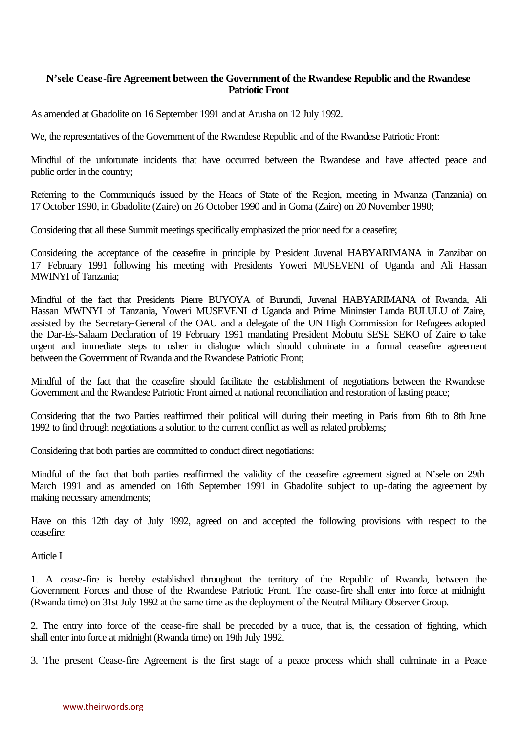# **N'sele Cease-fire Agreement between the Government of the Rwandese Republic and the Rwandese Patriotic Front**

As amended at Gbadolite on 16 September 1991 and at Arusha on 12 July 1992.

We, the representatives of the Government of the Rwandese Republic and of the Rwandese Patriotic Front:

Mindful of the unfortunate incidents that have occurred between the Rwandese and have affected peace and public order in the country;

Referring to the Communiqués issued by the Heads of State of the Region, meeting in Mwanza (Tanzania) on 17 October 1990, in Gbadolite (Zaire) on 26 October 1990 and in Goma (Zaire) on 20 November 1990;

Considering that all these Summit meetings specifically emphasized the prior need for a ceasefire;

Considering the acceptance of the ceasefire in principle by President Juvenal HABYARIMANA in Zanzibar on 17 February 1991 following his meeting with Presidents Yoweri MUSEVENI of Uganda and Ali Hassan MWINYI of Tanzania;

Mindful of the fact that Presidents Pierre BUYOYA of Burundi, Juvenal HABYARIMANA of Rwanda, Ali Hassan MWINYI of Tanzania, Yoweri MUSEVENI of Uganda and Prime Mininster Lunda BULULU of Zaire, assisted by the Secretary-General of the OAU and a delegate of the UN High Commission for Refugees adopted the Dar-Es-Salaam Declaration of 19 February 1991 mandating President Mobutu SESE SEKO of Zaire to take urgent and immediate steps to usher in dialogue which should culminate in a formal ceasefire agreement between the Government of Rwanda and the Rwandese Patriotic Front;

Mindful of the fact that the ceasefire should facilitate the establishment of negotiations between the Rwandese Government and the Rwandese Patriotic Front aimed at national reconciliation and restoration of lasting peace;

Considering that the two Parties reaffirmed their political will during their meeting in Paris from 6th to 8th June 1992 to find through negotiations a solution to the current conflict as well as related problems;

Considering that both parties are committed to conduct direct negotiations:

Mindful of the fact that both parties reaffirmed the validity of the ceasefire agreement signed at N'sele on 29th March 1991 and as amended on 16th September 1991 in Gbadolite subject to up-dating the agreement by making necessary amendments;

Have on this 12th day of July 1992, agreed on and accepted the following provisions with respect to the ceasefire:

Article I

1. A cease-fire is hereby established throughout the territory of the Republic of Rwanda, between the Government Forces and those of the Rwandese Patriotic Front. The cease-fire shall enter into force at midnight (Rwanda time) on 31st July 1992 at the same time as the deployment of the Neutral Military Observer Group.

2. The entry into force of the cease-fire shall be preceded by a truce, that is, the cessation of fighting, which shall enter into force at midnight (Rwanda time) on 19th July 1992.

3. The present Cease-fire Agreement is the first stage of a peace process which shall culminate in a Peace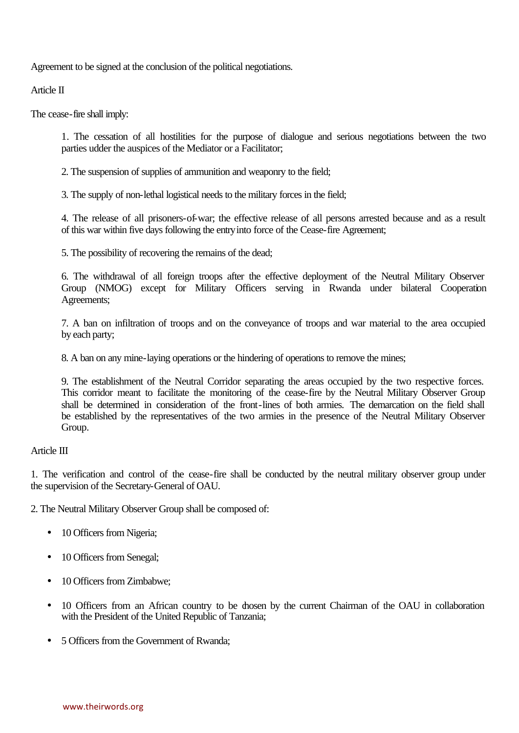Agreement to be signed at the conclusion of the political negotiations.

Article II

The cease-fire shall imply:

1. The cessation of all hostilities for the purpose of dialogue and serious negotiations between the two parties udder the auspices of the Mediator or a Facilitator;

2. The suspension of supplies of ammunition and weaponry to the field;

3. The supply of non-lethal logistical needs to the military forces in the field;

4. The release of all prisoners-of-war; the effective release of all persons arrested because and as a result of this war within five days following the entryinto force of the Cease-fire Agreement;

5. The possibility of recovering the remains of the dead;

6. The withdrawal of all foreign troops after the effective deployment of the Neutral Military Observer Group (NMOG) except for Military Officers serving in Rwanda under bilateral Cooperation Agreements;

7. A ban on infiltration of troops and on the conveyance of troops and war material to the area occupied by each party;

8. A ban on any mine-laying operations or the hindering of operations to remove the mines;

9. The establishment of the Neutral Corridor separating the areas occupied by the two respective forces. This corridor meant to facilitate the monitoring of the cease-fire by the Neutral Military Observer Group shall be determined in consideration of the front-lines of both armies. The demarcation on the field shall be established by the representatives of the two armies in the presence of the Neutral Military Observer Group.

## Article III

1. The verification and control of the cease-fire shall be conducted by the neutral military observer group under the supervision of the Secretary-General of OAU.

2. The Neutral Military Observer Group shall be composed of:

- 10 Officers from Nigeria;
- 10 Officers from Senegal;
- 10 Officers from Zimbabwe;
- 10 Officers from an African country to be dosen by the current Chairman of the OAU in collaboration with the President of the United Republic of Tanzania;
- 5 Officers from the Government of Rwanda: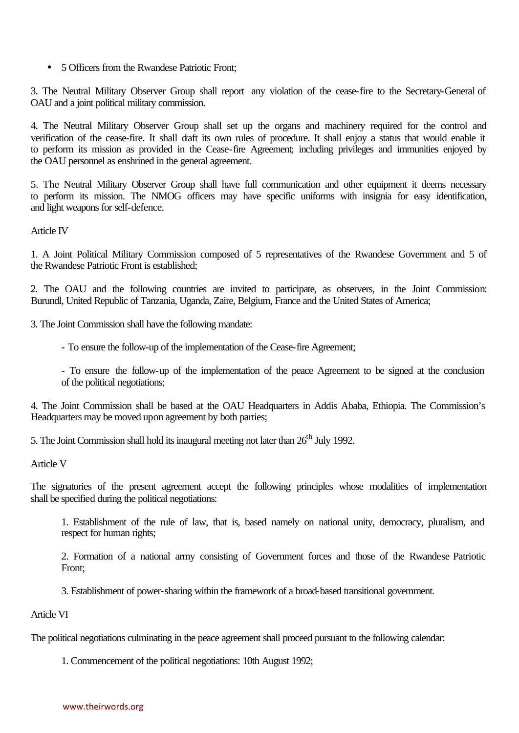• 5 Officers from the Rwandese Patriotic Front;

3. The Neutral Military Observer Group shall report any violation of the cease-fire to the Secretary-General of OAU and a joint political military commission.

4. The Neutral Military Observer Group shall set up the organs and machinery required for the control and verification of the cease-fire. It shall draft its own rules of procedure. It shall enjoy a status that would enable it to perform its mission as provided in the Cease-fire Agreement; including privileges and immunities enjoyed by the OAU personnel as enshrined in the general agreement.

5. The Neutral Military Observer Group shall have full communication and other equipment it deems necessary to perform its mission. The NMOG officers may have specific uniforms with insignia for easy identification, and light weapons for self-defence.

Article IV

1. A Joint Political Military Commission composed of 5 representatives of the Rwandese Government and 5 of the Rwandese Patriotic Front is established;

2. The OAU and the following countries are invited to participate, as observers, in the Joint Commission: Burundl, United Republic of Tanzania, Uganda, Zaire, Belgium, France and the United States of America;

3. The Joint Commission shall have the following mandate:

- To ensure the follow-up of the implementation of the Cease-fire Agreement;

- To ensure the follow-up of the implementation of the peace Agreement to be signed at the conclusion of the political negotiations;

4. The Joint Commission shall be based at the OAU Headquarters in Addis Ababa, Ethiopia. The Commission's Headquarters may be moved upon agreement by both parties;

5. The Joint Commission shall hold its inaugural meeting not later than  $26<sup>th</sup>$  July 1992.

Article V

The signatories of the present agreement accept the following principles whose modalities of implementation shall be specified during the political negotiations:

1. Establishment of the rule of law, that is, based namely on national unity, democracy, pluralism, and respect for human rights;

2. Formation of a national army consisting of Government forces and those of the Rwandese Patriotic Front;

3. Establishment of power-sharing within the framework of a broad-based transitional government.

Article VI

The political negotiations culminating in the peace agreement shall proceed pursuant to the following calendar:

1. Commencement of the political negotiations: 10th August 1992;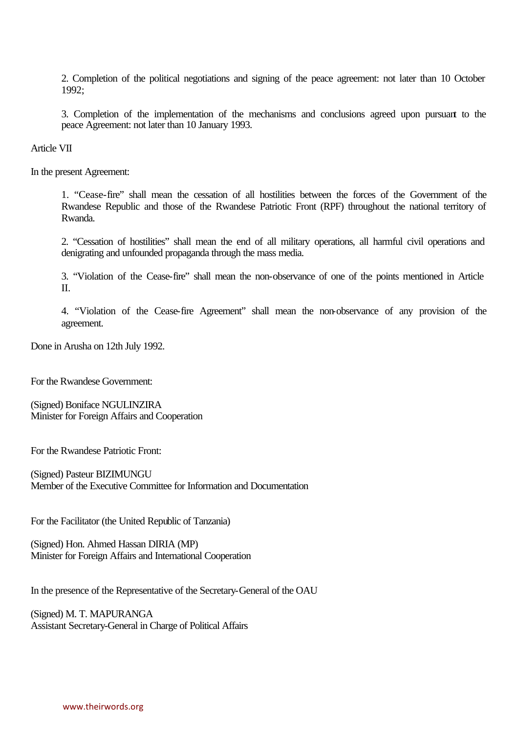2. Completion of the political negotiations and signing of the peace agreement: not later than 10 October 1992;

3. Completion of the implementation of the mechanisms and conclusions agreed upon pursuant to the peace Agreement: not later than 10 January 1993.

Article VII

In the present Agreement:

1. "Cease-fire" shall mean the cessation of all hostilities between the forces of the Government of the Rwandese Republic and those of the Rwandese Patriotic Front (RPF) throughout the national territory of Rwanda.

2. "Cessation of hostilities" shall mean the end of all military operations, all harmful civil operations and denigrating and unfounded propaganda through the mass media.

3. "Violation of the Cease-fire" shall mean the non-observance of one of the points mentioned in Article II.

4. "Violation of the Cease-fire Agreement" shall mean the non-observance of any provision of the agreement.

Done in Arusha on 12th July 1992.

For the Rwandese Government:

(Signed) Boniface NGULINZIRA Minister for Foreign Affairs and Cooperation

For the Rwandese Patriotic Front:

(Signed) Pasteur BIZIMUNGU Member of the Executive Committee for Information and Documentation

For the Facilitator (the United Republic of Tanzania)

(Signed) Hon. Ahmed Hassan DIRIA (MP) Minister for Foreign Affairs and International Cooperation

In the presence of the Representative of the Secretary-General of the OAU

(Signed) M. T. MAPURANGA Assistant Secretary-General in Charge of Political Affairs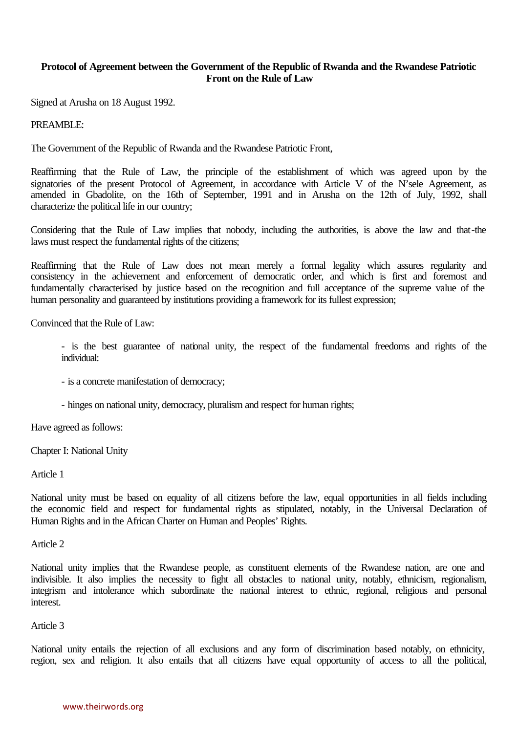# **Protocol of Agreement between the Government of the Republic of Rwanda and the Rwandese Patriotic Front on the Rule of Law**

Signed at Arusha on 18 August 1992.

### PREAMBLE:

The Government of the Republic of Rwanda and the Rwandese Patriotic Front,

Reaffirming that the Rule of Law, the principle of the establishment of which was agreed upon by the signatories of the present Protocol of Agreement, in accordance with Article V of the N'sele Agreement, as amended in Gbadolite, on the 16th of September, 1991 and in Arusha on the 12th of July, 1992, shall characterize the political life in our country;

Considering that the Rule of Law implies that nobody, including the authorities, is above the law and that-the laws must respect the fundamental rights of the citizens;

Reaffirming that the Rule of Law does not mean merely a formal legality which assures regularity and consistency in the achievement and enforcement of democratic order, and which is first and foremost and fundamentally characterised by justice based on the recognition and full acceptance of the supreme value of the human personality and guaranteed by institutions providing a framework for its fullest expression;

Convinced that the Rule of Law:

- is the best guarantee of national unity, the respect of the fundamental freedoms and rights of the individual:

- is a concrete manifestation of democracy;

- hinges on national unity, democracy, pluralism and respect for human rights;

Have agreed as follows:

Chapter I: National Unity

Article 1

National unity must be based on equality of all citizens before the law, equal opportunities in all fields including the economic field and respect for fundamental rights as stipulated, notably, in the Universal Declaration of Human Rights and in the African Charter on Human and Peoples' Rights.

Article 2

National unity implies that the Rwandese people, as constituent elements of the Rwandese nation, are one and indivisible. It also implies the necessity to fight all obstacles to national unity, notably, ethnicism, regionalism, integrism and intolerance which subordinate the national interest to ethnic, regional, religious and personal interest.

#### Article 3

National unity entails the rejection of all exclusions and any form of discrimination based notably, on ethnicity, region, sex and religion. It also entails that all citizens have equal opportunity of access to all the political,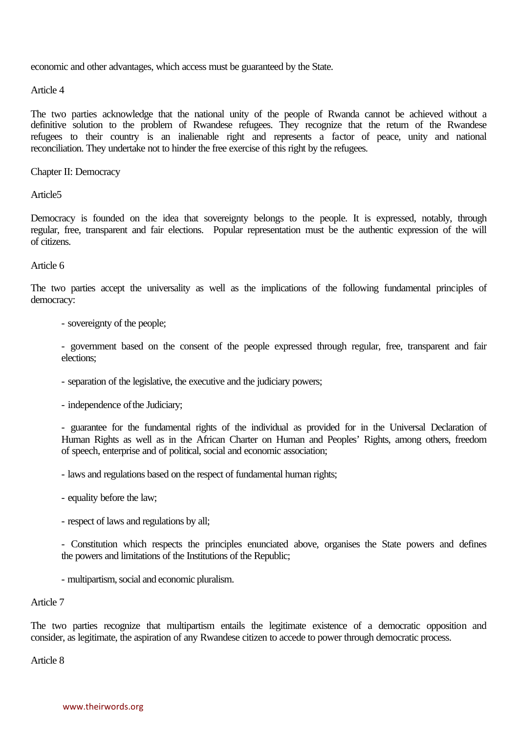economic and other advantages, which access must be guaranteed by the State.

Article 4

The two parties acknowledge that the national unity of the people of Rwanda cannot be achieved without a definitive solution to the problem of Rwandese refugees. They recognize that the return of the Rwandese refugees to their country is an inalienable right and represents a factor of peace, unity and national reconciliation. They undertake not to hinder the free exercise of this right by the refugees.

Chapter II: Democracy

Article5

Democracy is founded on the idea that sovereignty belongs to the people. It is expressed, notably, through regular, free, transparent and fair elections. Popular representation must be the authentic expression of the will of citizens.

### Article 6

The two parties accept the universality as well as the implications of the following fundamental principles of democracy:

- sovereignty of the people;

- government based on the consent of the people expressed through regular, free, transparent and fair elections;

- separation of the legislative, the executive and the judiciary powers;
- independence of the Judiciary;

- guarantee for the fundamental rights of the individual as provided for in the Universal Declaration of Human Rights as well as in the African Charter on Human and Peoples' Rights, among others, freedom of speech, enterprise and of political, social and economic association;

- laws and regulations based on the respect of fundamental human rights;

- equality before the law;
- respect of laws and regulations by all;

- Constitution which respects the principles enunciated above, organises the State powers and defines the powers and limitations of the Institutions of the Republic;

- multipartism, social and economic pluralism.

#### Article 7

The two parties recognize that multipartism entails the legitimate existence of a democratic opposition and consider, as legitimate, the aspiration of any Rwandese citizen to accede to power through democratic process.

Article 8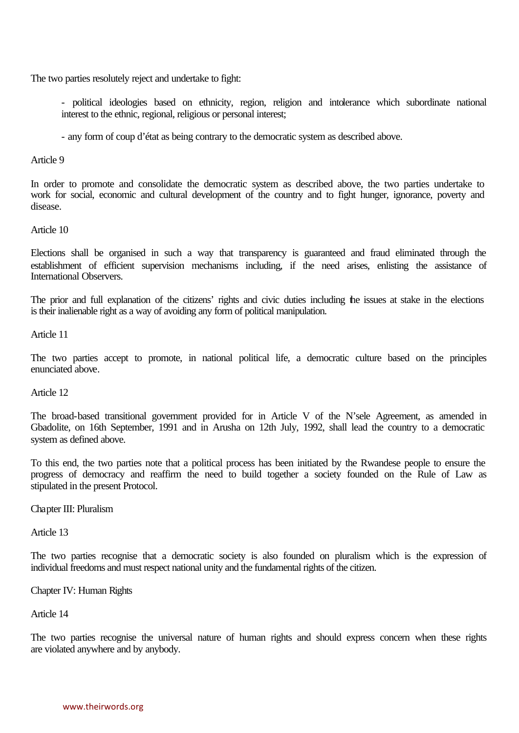The two parties resolutely reject and undertake to fight:

- political ideologies based on ethnicity, region, religion and intolerance which subordinate national interest to the ethnic, regional, religious or personal interest;

- any form of coup d'état as being contrary to the democratic system as described above.

Article 9

In order to promote and consolidate the democratic system as described above, the two parties undertake to work for social, economic and cultural development of the country and to fight hunger, ignorance, poverty and disease.

### Article 10

Elections shall be organised in such a way that transparency is guaranteed and fraud eliminated through the establishment of efficient supervision mechanisms including, if the need arises, enlisting the assistance of International Observers.

The prior and full explanation of the citizens' rights and civic duties including the issues at stake in the elections is their inalienable right as a way of avoiding any form of political manipulation.

Article 11

The two parties accept to promote, in national political life, a democratic culture based on the principles enunciated above.

Article 12

The broad-based transitional government provided for in Article V of the N'sele Agreement, as amended in Gbadolite, on 16th September, 1991 and in Arusha on 12th July, 1992, shall lead the country to a democratic system as defined above.

To this end, the two parties note that a political process has been initiated by the Rwandese people to ensure the progress of democracy and reaffirm the need to build together a society founded on the Rule of Law as stipulated in the present Protocol.

Chapter III: Pluralism

Article 13

The two parties recognise that a democratic society is also founded on pluralism which is the expression of individual freedoms and must respect national unity and the fundamental rights of the citizen.

Chapter IV: Human Rights

Article 14

The two parties recognise the universal nature of human rights and should express concern when these rights are violated anywhere and by anybody.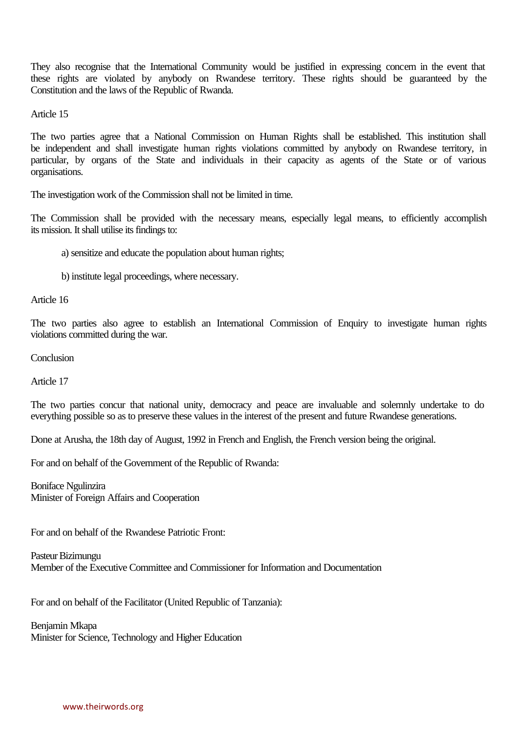They also recognise that the International Community would be justified in expressing concern in the event that these rights are violated by anybody on Rwandese territory. These rights should be guaranteed by the Constitution and the laws of the Republic of Rwanda.

Article 15

The two parties agree that a National Commission on Human Rights shall be established. This institution shall be independent and shall investigate human rights violations committed by anybody on Rwandese territory, in particular, by organs of the State and individuals in their capacity as agents of the State or of various organisations.

The investigation work of the Commission shall not be limited in time.

The Commission shall be provided with the necessary means, especially legal means, to efficiently accomplish its mission. It shall utilise its findings to:

a) sensitize and educate the population about human rights;

b) institute legal proceedings, where necessary.

Article 16

The two parties also agree to establish an International Commission of Enquiry to investigate human rights violations committed during the war.

**Conclusion** 

Article 17

The two parties concur that national unity, democracy and peace are invaluable and solemnly undertake to do everything possible so as to preserve these values in the interest of the present and future Rwandese generations.

Done at Arusha, the 18th day of August, 1992 in French and English, the French version being the original.

For and on behalf of the Government of the Republic of Rwanda:

Boniface Ngulinzira Minister of Foreign Affairs and Cooperation

For and on behalf of the Rwandese Patriotic Front:

Pasteur Bizimungu Member of the Executive Committee and Commissioner for Information and Documentation

For and on behalf of the Facilitator (United Republic of Tanzania):

Benjamin Mkapa Minister for Science, Technology and Higher Education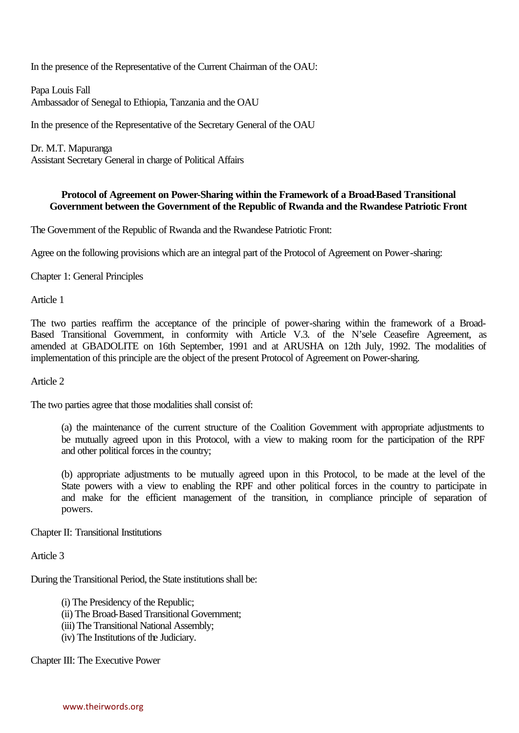In the presence of the Representative of the Current Chairman of the OAU:

Papa Louis Fall Ambassador of Senegal to Ethiopia, Tanzania and the OAU

In the presence of the Representative of the Secretary General of the OAU

Dr. M.T. Mapuranga Assistant Secretary General in charge of Political Affairs

## **Protocol of Agreement on Power-Sharing within the Framework of a Broad-Based Transitional Government between the Government of the Republic of Rwanda and the Rwandese Patriotic Front**

The Government of the Republic of Rwanda and the Rwandese Patriotic Front:

Agree on the following provisions which are an integral part of the Protocol of Agreement on Power-sharing:

Chapter 1: General Principles

Article 1

The two parties reaffirm the acceptance of the principle of power-sharing within the framework of a Broad-Based Transitional Government, in conformity with Article V.3. of the N'sele Ceasefire Agreement, as amended at GBADOLITE on 16th September, 1991 and at ARUSHA on 12th July, 1992. The modalities of implementation of this principle are the object of the present Protocol of Agreement on Power-sharing.

Article 2

The two parties agree that those modalities shall consist of:

(a) the maintenance of the current structure of the Coalition Government with appropriate adjustments to be mutually agreed upon in this Protocol, with a view to making room for the participation of the RPF and other political forces in the country;

(b) appropriate adjustments to be mutually agreed upon in this Protocol, to be made at the level of the State powers with a view to enabling the RPF and other political forces in the country to participate in and make for the efficient management of the transition, in compliance principle of separation of powers.

Chapter II: Transitional Institutions

Article 3

During the Transitional Period, the State institutions shall be:

(i) The Presidency of the Republic;

(ii) The Broad-Based Transitional Government;

- (iii) The Transitional National Assembly;
- (iv) The Institutions of the Judiciary.

Chapter III: The Executive Power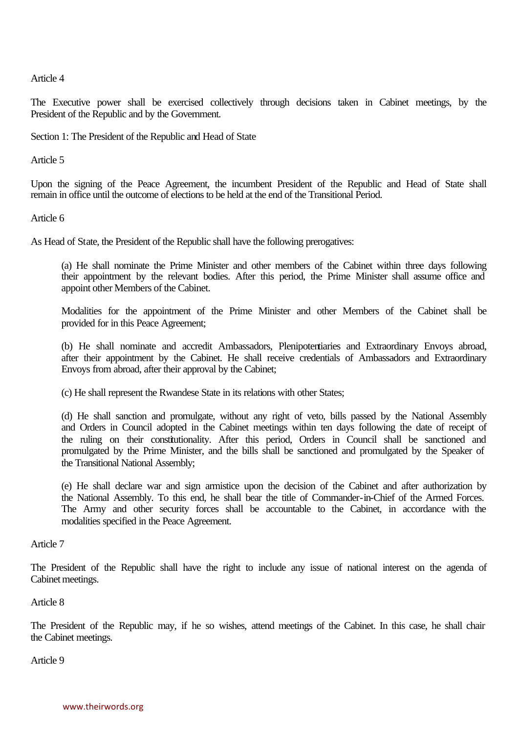Article 4

The Executive power shall be exercised collectively through decisions taken in Cabinet meetings, by the President of the Republic and by the Government.

Section 1: The President of the Republic and Head of State

Article 5

Upon the signing of the Peace Agreement, the incumbent President of the Republic and Head of State shall remain in office until the outcome of elections to be held at the end of the Transitional Period.

Article 6

As Head of State, the President of the Republic shall have the following prerogatives:

(a) He shall nominate the Prime Minister and other members of the Cabinet within three days following their appointment by the relevant bodies. After this period, the Prime Minister shall assume office and appoint other Members of the Cabinet.

Modalities for the appointment of the Prime Minister and other Members of the Cabinet shall be provided for in this Peace Agreement;

(b) He shall nominate and accredit Ambassadors, Plenipotentiaries and Extraordinary Envoys abroad, after their appointment by the Cabinet. He shall receive credentials of Ambassadors and Extraordinary Envoys from abroad, after their approval by the Cabinet;

(c) He shall represent the Rwandese State in its relations with other States;

(d) He shall sanction and promulgate, without any right of veto, bills passed by the National Assembly and Orders in Council adopted in the Cabinet meetings within ten days following the date of receipt of the ruling on their constitutionality. After this period, Orders in Council shall be sanctioned and promulgated by the Prime Minister, and the bills shall be sanctioned and promulgated by the Speaker of the Transitional National Assembly;

(e) He shall declare war and sign armistice upon the decision of the Cabinet and after authorization by the National Assembly. To this end, he shall bear the title of Commander-in-Chief of the Armed Forces. The Army and other security forces shall be accountable to the Cabinet, in accordance with the modalities specified in the Peace Agreement.

Article 7

The President of the Republic shall have the right to include any issue of national interest on the agenda of Cabinet meetings.

Article 8

The President of the Republic may, if he so wishes, attend meetings of the Cabinet. In this case, he shall chair the Cabinet meetings.

Article 9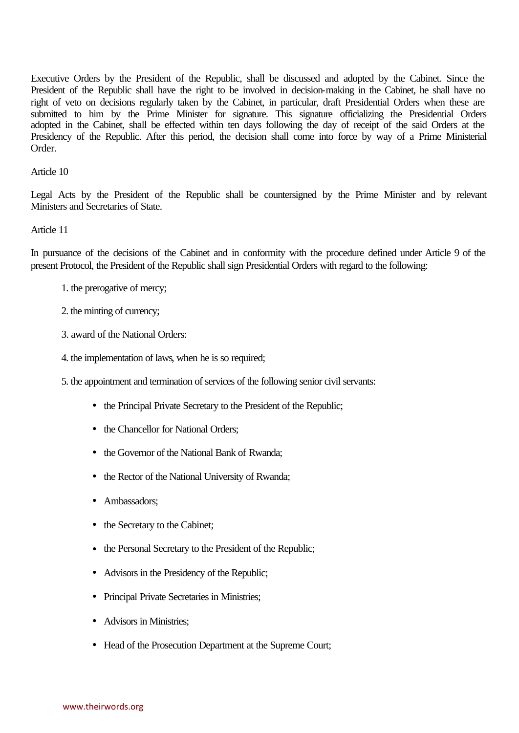Executive Orders by the President of the Republic, shall be discussed and adopted by the Cabinet. Since the President of the Republic shall have the right to be involved in decision-making in the Cabinet, he shall have no right of veto on decisions regularly taken by the Cabinet, in particular, draft Presidential Orders when these are submitted to him by the Prime Minister for signature. This signature officializing the Presidential Orders adopted in the Cabinet, shall be effected within ten days following the day of receipt of the said Orders at the Presidency of the Republic. After this period, the decision shall come into force by way of a Prime Ministerial Order.

#### Article 10

Legal Acts by the President of the Republic shall be countersigned by the Prime Minister and by relevant Ministers and Secretaries of State.

#### Article 11

In pursuance of the decisions of the Cabinet and in conformity with the procedure defined under Article 9 of the present Protocol, the President of the Republic shall sign Presidential Orders with regard to the following:

- 1. the prerogative of mercy;
- 2. the minting of currency;
- 3. award of the National Orders:
- 4. the implementation of laws, when he is so required;

5. the appointment and termination of services of the following senior civil servants:

- the Principal Private Secretary to the President of the Republic;
- the Chancellor for National Orders:
- the Governor of the National Bank of Rwanda:
- the Rector of the National University of Rwanda;
- Ambassadors:
- the Secretary to the Cabinet;
- the Personal Secretary to the President of the Republic;
- Advisors in the Presidency of the Republic;
- Principal Private Secretaries in Ministries;
- Advisors in Ministries:
- Head of the Prosecution Department at the Supreme Court;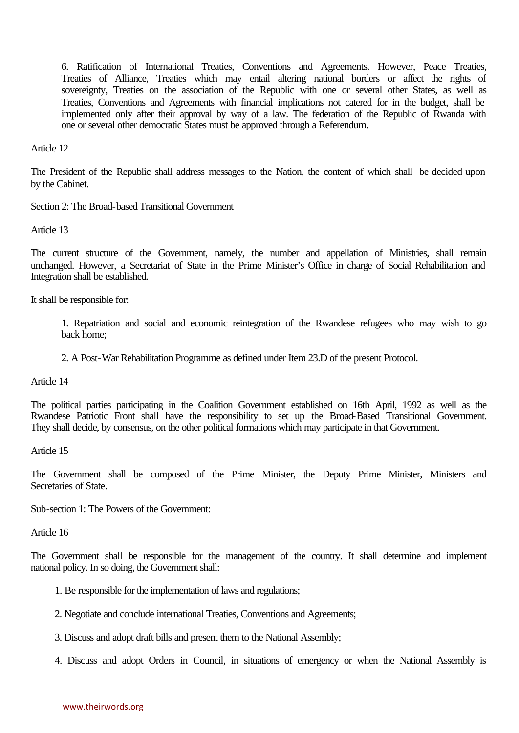6. Ratification of International Treaties, Conventions and Agreements. However, Peace Treaties, Treaties of Alliance, Treaties which may entail altering national borders or affect the rights of sovereignty, Treaties on the association of the Republic with one or several other States, as well as Treaties, Conventions and Agreements with financial implications not catered for in the budget, shall be implemented only after their approval by way of a law. The federation of the Republic of Rwanda with one or several other democratic States must be approved through a Referendum.

Article 12

The President of the Republic shall address messages to the Nation, the content of which shall be decided upon by the Cabinet.

Section 2: The Broad-based Transitional Government

Article 13

The current structure of the Government, namely, the number and appellation of Ministries, shall remain unchanged. However, a Secretariat of State in the Prime Minister's Office in charge of Social Rehabilitation and Integration shall be established.

It shall be responsible for:

1. Repatriation and social and economic reintegration of the Rwandese refugees who may wish to go back home;

2. A Post-War Rehabilitation Programme as defined under Item 23.D of the present Protocol.

Article 14

The political parties participating in the Coalition Government established on 16th April, 1992 as well as the Rwandese Patriotic Front shall have the responsibility to set up the Broad-Based Transitional Government. They shall decide, by consensus, on the other political formations which may participate in that Government.

Article 15

The Government shall be composed of the Prime Minister, the Deputy Prime Minister, Ministers and Secretaries of State.

Sub-section 1: The Powers of the Government:

Article 16

The Government shall be responsible for the management of the country. It shall determine and implement national policy. In so doing, the Government shall:

- 1. Be responsible for the implementation of laws and regulations;
- 2. Negotiate and conclude international Treaties, Conventions and Agreements;
- 3. Discuss and adopt draft bills and present them to the National Assembly;
- 4. Discuss and adopt Orders in Council, in situations of emergency or when the National Assembly is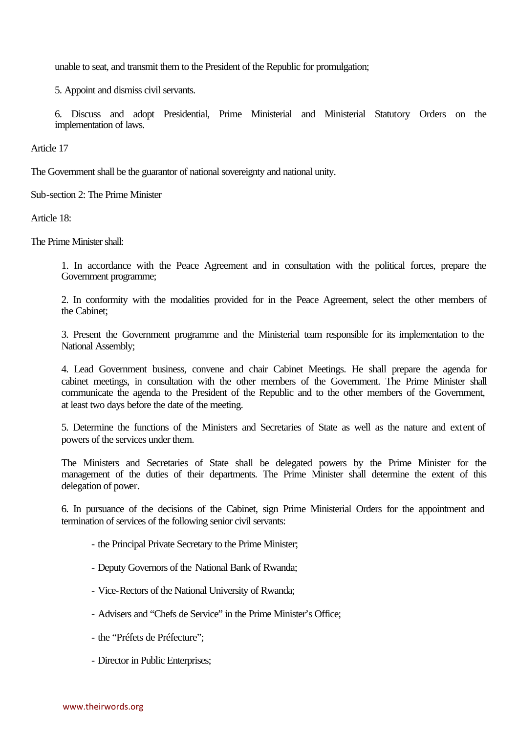unable to seat, and transmit them to the President of the Republic for promulgation;

5. Appoint and dismiss civil servants.

6. Discuss and adopt Presidential, Prime Ministerial and Ministerial Statutory Orders on the implementation of laws.

Article 17

The Government shall be the guarantor of national sovereignty and national unity.

Sub-section 2: The Prime Minister

Article 18:

The Prime Minister shall:

1. In accordance with the Peace Agreement and in consultation with the political forces, prepare the Government programme;

2. In conformity with the modalities provided for in the Peace Agreement, select the other members of the Cabinet;

3. Present the Government programme and the Ministerial team responsible for its implementation to the National Assembly;

4. Lead Government business, convene and chair Cabinet Meetings. He shall prepare the agenda for cabinet meetings, in consultation with the other members of the Government. The Prime Minister shall communicate the agenda to the President of the Republic and to the other members of the Government, at least two days before the date of the meeting.

5. Determine the functions of the Ministers and Secretaries of State as well as the nature and extent of powers of the services under them.

The Ministers and Secretaries of State shall be delegated powers by the Prime Minister for the management of the duties of their departments. The Prime Minister shall determine the extent of this delegation of power.

6. In pursuance of the decisions of the Cabinet, sign Prime Ministerial Orders for the appointment and termination of services of the following senior civil servants:

- the Principal Private Secretary to the Prime Minister;
- Deputy Governors of the National Bank of Rwanda;
- Vice-Rectors of the National University of Rwanda;
- Advisers and "Chefs de Service" in the Prime Minister's Office;
- the "Préfets de Préfecture";
- Director in Public Enterprises;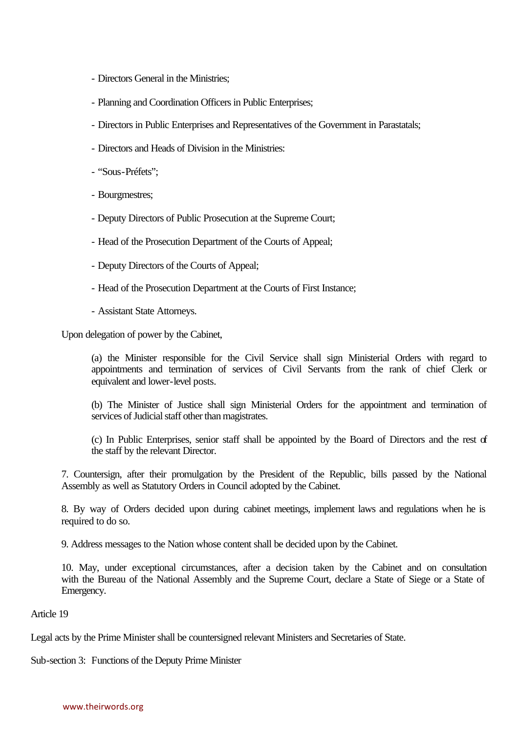- Directors General in the Ministries;
- Planning and Coordination Officers in Public Enterprises;
- Directors in Public Enterprises and Representatives of the Government in Parastatals;
- Directors and Heads of Division in the Ministries:
- "Sous-Préfets";
- Bourgmestres;
- Deputy Directors of Public Prosecution at the Supreme Court;
- Head of the Prosecution Department of the Courts of Appeal;
- Deputy Directors of the Courts of Appeal;
- Head of the Prosecution Department at the Courts of First Instance;
- Assistant State Attorneys.

Upon delegation of power by the Cabinet,

(a) the Minister responsible for the Civil Service shall sign Ministerial Orders with regard to appointments and termination of services of Civil Servants from the rank of chief Clerk or equivalent and lower-level posts.

(b) The Minister of Justice shall sign Ministerial Orders for the appointment and termination of services of Judicial staff other than magistrates.

(c) In Public Enterprises, senior staff shall be appointed by the Board of Directors and the rest of the staff by the relevant Director.

7. Countersign, after their promulgation by the President of the Republic, bills passed by the National Assembly as well as Statutory Orders in Council adopted by the Cabinet.

8. By way of Orders decided upon during cabinet meetings, implement laws and regulations when he is required to do so.

9. Address messages to the Nation whose content shall be decided upon by the Cabinet.

10. May, under exceptional circumstances, after a decision taken by the Cabinet and on consultation with the Bureau of the National Assembly and the Supreme Court, declare a State of Siege or a State of Emergency.

# Article 19

Legal acts by the Prime Minister shall be countersigned relevant Ministers and Secretaries of State.

Sub-section 3: Functions of the Deputy Prime Minister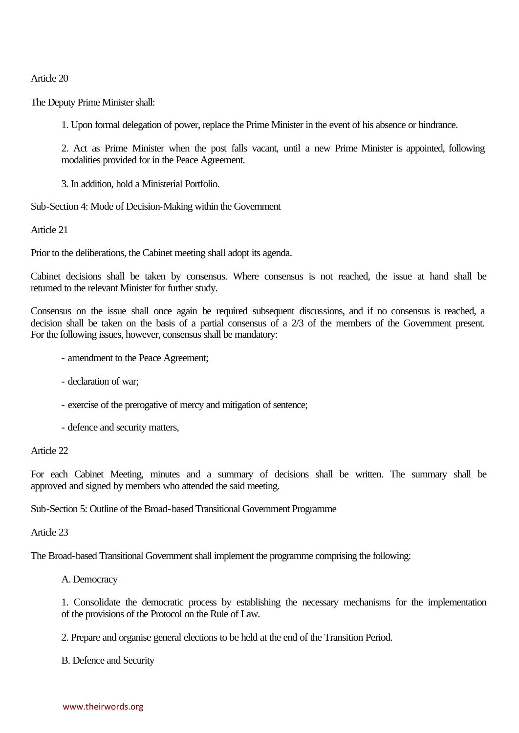Article 20

The Deputy Prime Minister shall:

1. Upon formal delegation of power, replace the Prime Minister in the event of his absence or hindrance.

2. Act as Prime Minister when the post falls vacant, until a new Prime Minister is appointed, following modalities provided for in the Peace Agreement.

3. In addition, hold a Ministerial Portfolio.

Sub-Section 4: Mode of Decision-Making within the Government

Article 21

Prior to the deliberations, the Cabinet meeting shall adopt its agenda.

Cabinet decisions shall be taken by consensus. Where consensus is not reached, the issue at hand shall be returned to the relevant Minister for further study.

Consensus on the issue shall once again be required subsequent discussions, and if no consensus is reached, a decision shall be taken on the basis of a partial consensus of a 2/3 of the members of the Government present. For the following issues, however, consensus shall be mandatory:

- amendment to the Peace Agreement;
- declaration of war;
- exercise of the prerogative of mercy and mitigation of sentence;
- defence and security matters,

Article 22

For each Cabinet Meeting, minutes and a summary of decisions shall be written. The summary shall be approved and signed by members who attended the said meeting.

Sub-Section 5: Outline of the Broad-based Transitional Government Programme

Article 23

The Broad-based Transitional Government shall implement the programme comprising the following:

A. Democracy

1. Consolidate the democratic process by establishing the necessary mechanisms for the implementation of the provisions of the Protocol on the Rule of Law.

2. Prepare and organise general elections to be held at the end of the Transition Period.

B. Defence and Security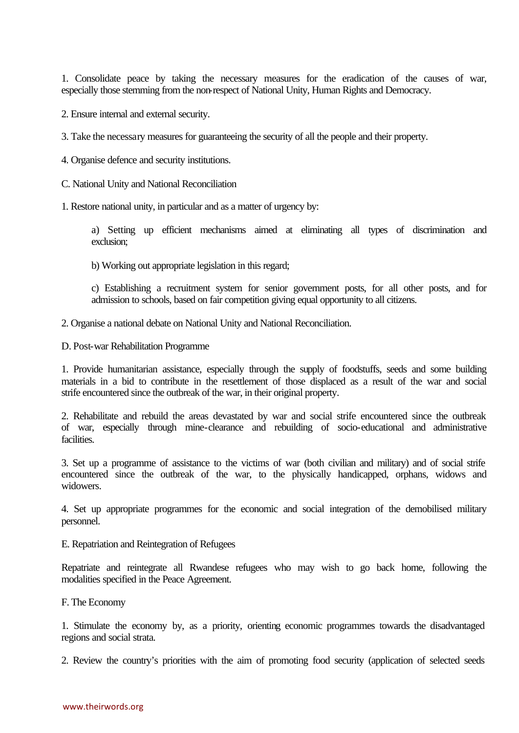1. Consolidate peace by taking the necessary measures for the eradication of the causes of war, especially those stemming from the non-respect of National Unity, Human Rights and Democracy.

- 2. Ensure internal and external security.
- 3. Take the necessary measures for guaranteeing the security of all the people and their property.
- 4. Organise defence and security institutions.
- C. National Unity and National Reconciliation
- 1. Restore national unity, in particular and as a matter of urgency by:

a) Setting up efficient mechanisms aimed at eliminating all types of discrimination and exclusion;

b) Working out appropriate legislation in this regard;

c) Establishing a recruitment system for senior government posts, for all other posts, and for admission to schools, based on fair competition giving equal opportunity to all citizens.

2. Organise a national debate on National Unity and National Reconciliation.

D. Post-war Rehabilitation Programme

1. Provide humanitarian assistance, especially through the supply of foodstuffs, seeds and some building materials in a bid to contribute in the resettlement of those displaced as a result of the war and social strife encountered since the outbreak of the war, in their original property.

2. Rehabilitate and rebuild the areas devastated by war and social strife encountered since the outbreak of war, especially through mine-clearance and rebuilding of socio-educational and administrative facilities.

3. Set up a programme of assistance to the victims of war (both civilian and military) and of social strife encountered since the outbreak of the war, to the physically handicapped, orphans, widows and widowers.

4. Set up appropriate programmes for the economic and social integration of the demobilised military personnel.

E. Repatriation and Reintegration of Refugees

Repatriate and reintegrate all Rwandese refugees who may wish to go back home, following the modalities specified in the Peace Agreement.

F. The Economy

1. Stimulate the economy by, as a priority, orienting economic programmes towards the disadvantaged regions and social strata.

2. Review the country's priorities with the aim of promoting food security (application of selected seeds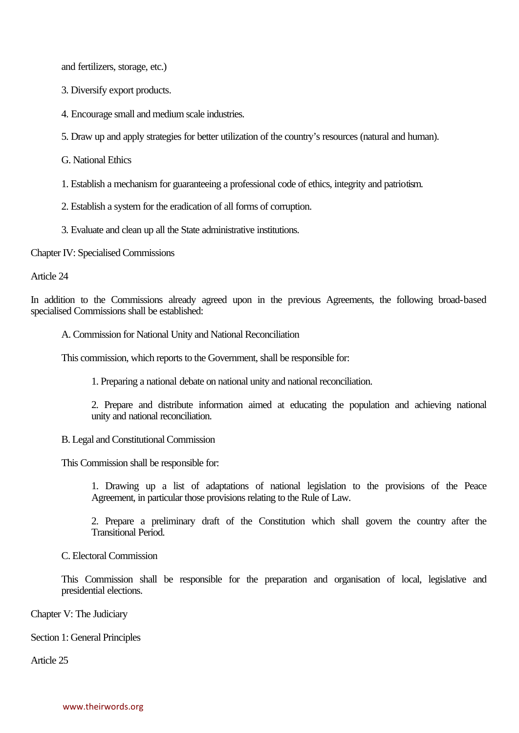and fertilizers, storage, etc.)

3. Diversify export products.

4. Encourage small and medium scale industries.

5. Draw up and apply strategies for better utilization of the country's resources (natural and human).

G. National Ethics

1. Establish a mechanism for guaranteeing a professional code of ethics, integrity and patriotism.

2. Establish a system for the eradication of all forms of corruption.

3. Evaluate and clean up all the State administrative institutions.

Chapter IV: Specialised Commissions

Article 24

In addition to the Commissions already agreed upon in the previous Agreements, the following broad-based specialised Commissions shall be established:

A. Commission for National Unity and National Reconciliation

This commission, which reports to the Government, shall be responsible for:

1. Preparing a national debate on national unity and national reconciliation.

2. Prepare and distribute information aimed at educating the population and achieving national unity and national reconciliation.

B. Legal and Constitutional Commission

This Commission shall be responsible for:

1. Drawing up a list of adaptations of national legislation to the provisions of the Peace Agreement, in particular those provisions relating to the Rule of Law.

2. Prepare a preliminary draft of the Constitution which shall govern the country after the Transitional Period.

C. Electoral Commission

This Commission shall be responsible for the preparation and organisation of local, legislative and presidential elections.

Chapter V: The Judiciary

Section 1: General Principles

Article 25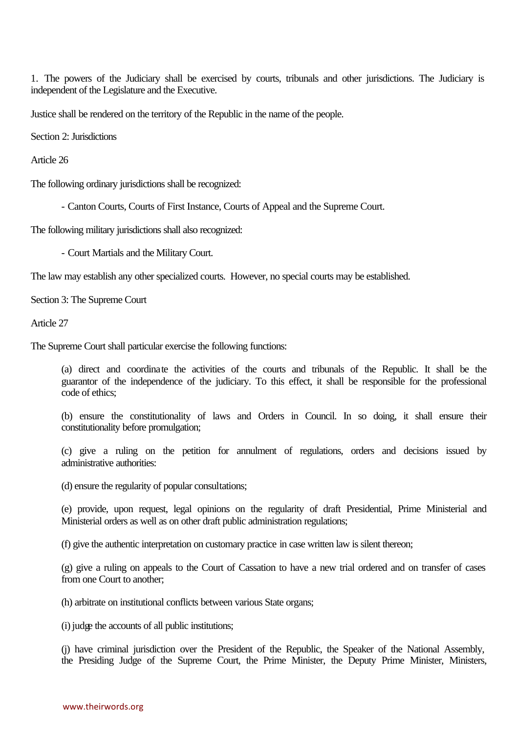1. The powers of the Judiciary shall be exercised by courts, tribunals and other jurisdictions. The Judiciary is independent of the Legislature and the Executive.

Justice shall be rendered on the territory of the Republic in the name of the people.

Section 2: Jurisdictions

Article 26

The following ordinary jurisdictions shall be recognized:

- Canton Courts, Courts of First Instance, Courts of Appeal and the Supreme Court.

The following military jurisdictions shall also recognized:

- Court Martials and the Military Court.

The law may establish any other specialized courts. However, no special courts may be established.

Section 3: The Supreme Court

Article 27

The Supreme Court shall particular exercise the following functions:

(a) direct and coordinate the activities of the courts and tribunals of the Republic. It shall be the guarantor of the independence of the judiciary. To this effect, it shall be responsible for the professional code of ethics;

(b) ensure the constitutionality of laws and Orders in Council. In so doing, it shall ensure their constitutionality before promulgation;

(c) give a ruling on the petition for annulment of regulations, orders and decisions issued by administrative authorities:

(d) ensure the regularity of popular consultations;

(e) provide, upon request, legal opinions on the regularity of draft Presidential, Prime Ministerial and Ministerial orders as well as on other draft public administration regulations;

(f) give the authentic interpretation on customary practice in case written law is silent thereon;

(g) give a ruling on appeals to the Court of Cassation to have a new trial ordered and on transfer of cases from one Court to another;

(h) arbitrate on institutional conflicts between various State organs;

(i) judge the accounts of all public institutions;

(j) have criminal jurisdiction over the President of the Republic, the Speaker of the National Assembly, the Presiding Judge of the Supreme Court, the Prime Minister, the Deputy Prime Minister, Ministers,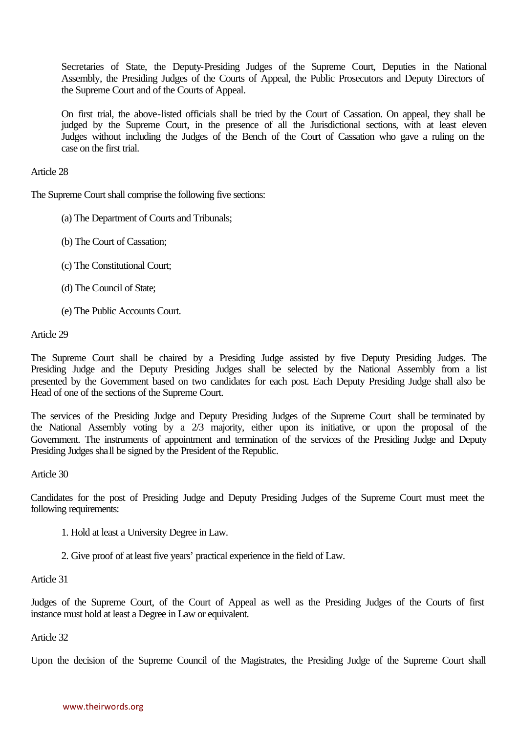Secretaries of State, the Deputy-Presiding Judges of the Supreme Court, Deputies in the National Assembly, the Presiding Judges of the Courts of Appeal, the Public Prosecutors and Deputy Directors of the Supreme Court and of the Courts of Appeal.

On first trial, the above-listed officials shall be tried by the Court of Cassation. On appeal, they shall be judged by the Supreme Court, in the presence of all the Jurisdictional sections, with at least eleven Judges without including the Judges of the Bench of the Court of Cassation who gave a ruling on the case on the first trial.

### Article 28

The Supreme Court shall comprise the following five sections:

- (a) The Department of Courts and Tribunals;
- (b) The Court of Cassation;
- (c) The Constitutional Court;
- (d) The Council of State;
- (e) The Public Accounts Court.

#### Article 29

The Supreme Court shall be chaired by a Presiding Judge assisted by five Deputy Presiding Judges. The Presiding Judge and the Deputy Presiding Judges shall be selected by the National Assembly from a list presented by the Government based on two candidates for each post. Each Deputy Presiding Judge shall also be Head of one of the sections of the Supreme Court.

The services of the Presiding Judge and Deputy Presiding Judges of the Supreme Court shall be terminated by the National Assembly voting by a 2/3 majority, either upon its initiative, or upon the proposal of the Government. The instruments of appointment and termination of the services of the Presiding Judge and Deputy Presiding Judges shall be signed by the President of the Republic.

#### Article 30

Candidates for the post of Presiding Judge and Deputy Presiding Judges of the Supreme Court must meet the following requirements:

- 1. Hold at least a University Degree in Law.
- 2. Give proof of at least five years' practical experience in the field of Law.

#### Article 31

Judges of the Supreme Court, of the Court of Appeal as well as the Presiding Judges of the Courts of first instance must hold at least a Degree in Law or equivalent.

Article 32

Upon the decision of the Supreme Council of the Magistrates, the Presiding Judge of the Supreme Court shall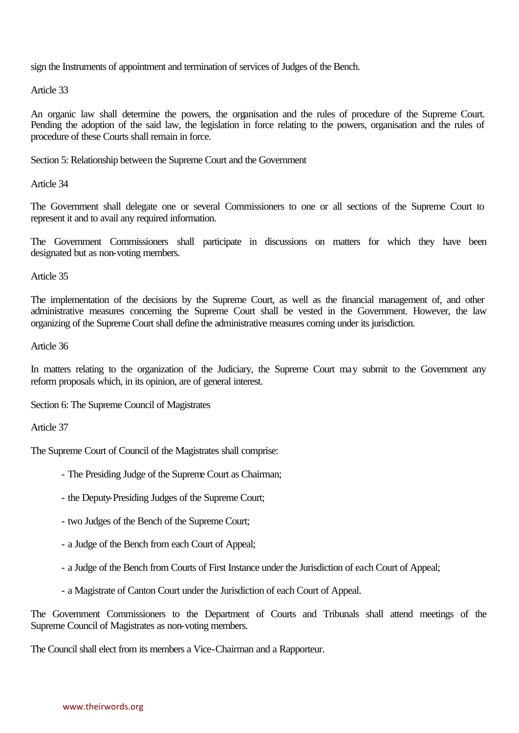sign the Instruments of appointment and termination of services of Judges of the Bench.

Article 33

An organic law shall determine the powers, the organisation and the rules of procedure of the Supreme Court. Pending the adoption of the said law, the legislation in force relating to the powers, organisation and the rules of procedure of these Courts shall remain in force.

Section 5: Relationship between the Supreme Court and the Government

Article 34

The Government shall delegate one or several Commissioners to one or all sections of the Supreme Court to represent it and to avail any required information.

The Government Commissioners shall participate in discussions on matters for which they have been designated but as non-voting members.

Article 35

The implementation of the decisions by the Supreme Court, as well as the financial management of, and other administrative measures concerning the Supreme Court shall be vested in the Government. However, the law organizing of the Supreme Court shall define the administrative measures coming under its jurisdiction.

Article 36

In matters relating to the organization of the Judiciary, the Supreme Court may submit to the Government any reform proposals which, in its opinion, are of general interest.

Section 6: The Supreme Council of Magistrates

Article 37

The Supreme Court of Council of the Magistrates shall comprise:

- The Presiding Judge of the Supreme Court as Chairman;
- the Deputy-Presiding Judges of the Supreme Court;
- two Judges of the Bench of the Supreme Court;
- a Judge of the Bench from each Court of Appeal;
- a Judge of the Bench from Courts of First Instance under the Jurisdiction of each Court of Appeal;
- a Magistrate of Canton Court under the Jurisdiction of each Court of Appeal.

The Government Commissioners to the Department of Courts and Tribunals shall attend meetings of the Supreme Council of Magistrates as non-voting members.

The Council shall elect from its members a Vice-Chairman and a Rapporteur.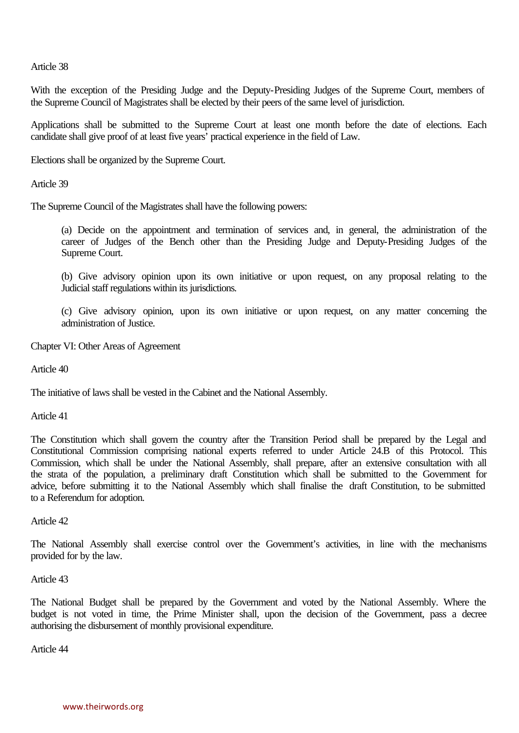Article 38

With the exception of the Presiding Judge and the Deputy-Presiding Judges of the Supreme Court, members of the Supreme Council of Magistrates shall be elected by their peers of the same level of jurisdiction.

Applications shall be submitted to the Supreme Court at least one month before the date of elections. Each candidate shall give proof of at least five years' practical experience in the field of Law.

Elections shall be organized by the Supreme Court.

Article 39

The Supreme Council of the Magistrates shall have the following powers:

(a) Decide on the appointment and termination of services and, in general, the administration of the career of Judges of the Bench other than the Presiding Judge and Deputy-Presiding Judges of the Supreme Court.

(b) Give advisory opinion upon its own initiative or upon request, on any proposal relating to the Judicial staff regulations within its jurisdictions.

(c) Give advisory opinion, upon its own initiative or upon request, on any matter concerning the administration of Justice.

Chapter VI: Other Areas of Agreement

Article 40

The initiative of laws shall be vested in the Cabinet and the National Assembly.

Article 41

The Constitution which shall govern the country after the Transition Period shall be prepared by the Legal and Constitutional Commission comprising national experts referred to under Article 24.B of this Protocol. This Commission, which shall be under the National Assembly, shall prepare, after an extensive consultation with all the strata of the population, a preliminary draft Constitution which shall be submitted to the Government for advice, before submitting it to the National Assembly which shall finalise the draft Constitution, to be submitted to a Referendum for adoption.

Article 42

The National Assembly shall exercise control over the Government's activities, in line with the mechanisms provided for by the law.

Article 43

The National Budget shall be prepared by the Government and voted by the National Assembly. Where the budget is not voted in time, the Prime Minister shall, upon the decision of the Government, pass a decree authorising the disbursement of monthly provisional expenditure.

Article 44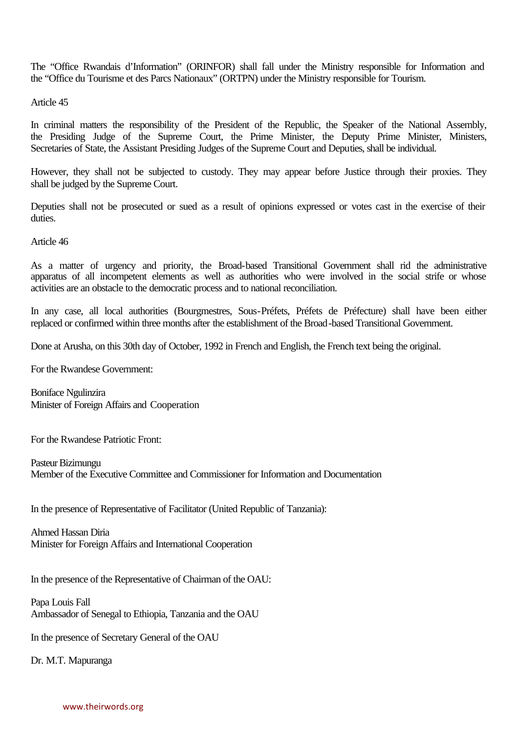The "Office Rwandais d'Information" (ORINFOR) shall fall under the Ministry responsible for Information and the "Office du Tourisme et des Parcs Nationaux" (ORTPN) under the Ministry responsible for Tourism.

Article 45

In criminal matters the responsibility of the President of the Republic, the Speaker of the National Assembly, the Presiding Judge of the Supreme Court, the Prime Minister, the Deputy Prime Minister, Ministers, Secretaries of State, the Assistant Presiding Judges of the Supreme Court and Deputies, shall be individual.

However, they shall not be subjected to custody. They may appear before Justice through their proxies. They shall be judged by the Supreme Court.

Deputies shall not be prosecuted or sued as a result of opinions expressed or votes cast in the exercise of their duties.

Article 46

As a matter of urgency and priority, the Broad-based Transitional Government shall rid the administrative apparatus of all incompetent elements as well as authorities who were involved in the social strife or whose activities are an obstacle to the democratic process and to national reconciliation.

In any case, all local authorities (Bourgmestres, Sous-Préfets, Préfets de Préfecture) shall have been either replaced or confirmed within three months after the establishment of the Broad-based Transitional Government.

Done at Arusha, on this 30th day of October, 1992 in French and English, the French text being the original.

For the Rwandese Government:

Boniface Ngulinzira Minister of Foreign Affairs and Cooperation

For the Rwandese Patriotic Front:

Pasteur Bizimungu Member of the Executive Committee and Commissioner for Information and Documentation

In the presence of Representative of Facilitator (United Republic of Tanzania):

Ahmed Hassan Diria Minister for Foreign Affairs and International Cooperation

In the presence of the Representative of Chairman of the OAU:

Papa Louis Fall Ambassador of Senegal to Ethiopia, Tanzania and the OAU

In the presence of Secretary General of the OAU

Dr. M.T. Mapuranga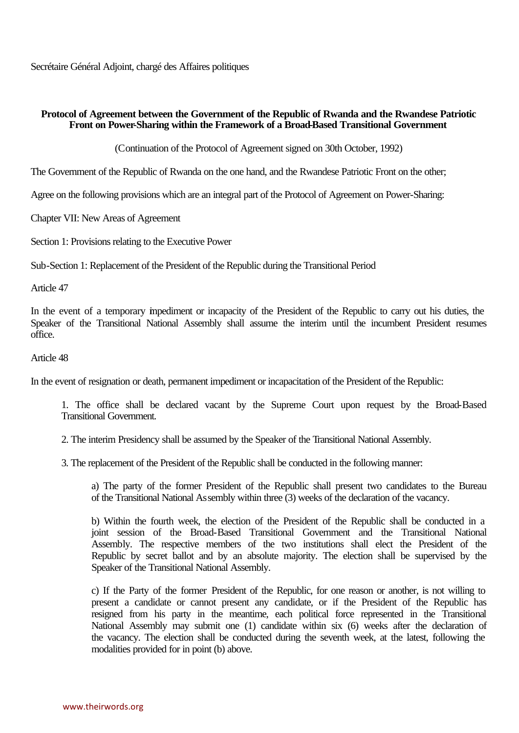Secrétaire Général Adjoint, chargé des Affaires politiques

## **Protocol of Agreement between the Government of the Republic of Rwanda and the Rwandese Patriotic Front on Power-Sharing within the Framework of a Broad-Based Transitional Government**

(Continuation of the Protocol of Agreement signed on 30th October, 1992)

The Government of the Republic of Rwanda on the one hand, and the Rwandese Patriotic Front on the other;

Agree on the following provisions which are an integral part of the Protocol of Agreement on Power-Sharing:

Chapter VII: New Areas of Agreement

Section 1: Provisions relating to the Executive Power

Sub-Section 1: Replacement of the President of the Republic during the Transitional Period

Article 47

In the event of a temporary impediment or incapacity of the President of the Republic to carry out his duties, the Speaker of the Transitional National Assembly shall assume the interim until the incumbent President resumes office.

### Article 48

In the event of resignation or death, permanent impediment or incapacitation of the President of the Republic:

1. The office shall be declared vacant by the Supreme Court upon request by the Broad-Based Transitional Government.

2. The interim Presidency shall be assumed by the Speaker of the Transitional National Assembly.

3. The replacement of the President of the Republic shall be conducted in the following manner:

a) The party of the former President of the Republic shall present two candidates to the Bureau of the Transitional National Assembly within three (3) weeks of the declaration of the vacancy.

b) Within the fourth week, the election of the President of the Republic shall be conducted in a joint session of the Broad-Based Transitional Government and the Transitional National Assembly. The respective members of the two institutions shall elect the President of the Republic by secret ballot and by an absolute majority. The election shall be supervised by the Speaker of the Transitional National Assembly.

c) If the Party of the former President of the Republic, for one reason or another, is not willing to present a candidate or cannot present any candidate, or if the President of the Republic has resigned from his party in the meantime, each political force represented in the Transitional National Assembly may submit one (1) candidate within six (6) weeks after the declaration of the vacancy. The election shall be conducted during the seventh week, at the latest, following the modalities provided for in point (b) above.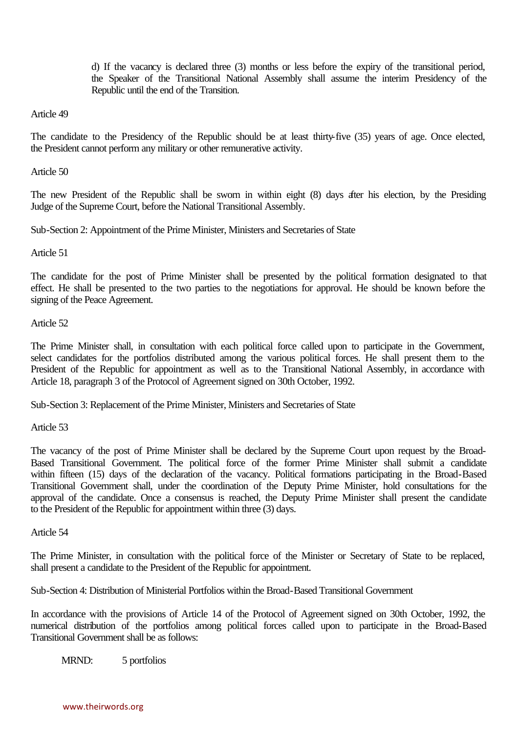d) If the vacancy is declared three (3) months or less before the expiry of the transitional period, the Speaker of the Transitional National Assembly shall assume the interim Presidency of the Republic until the end of the Transition.

Article 49

The candidate to the Presidency of the Republic should be at least thirty-five (35) years of age. Once elected, the President cannot perform any military or other remunerative activity.

Article 50

The new President of the Republic shall be sworn in within eight (8) days after his election, by the Presiding Judge of the Supreme Court, before the National Transitional Assembly.

Sub-Section 2: Appointment of the Prime Minister, Ministers and Secretaries of State

Article 51

The candidate for the post of Prime Minister shall be presented by the political formation designated to that effect. He shall be presented to the two parties to the negotiations for approval. He should be known before the signing of the Peace Agreement.

Article 52

The Prime Minister shall, in consultation with each political force called upon to participate in the Government, select candidates for the portfolios distributed among the various political forces. He shall present them to the President of the Republic for appointment as well as to the Transitional National Assembly, in accordance with Article 18, paragraph 3 of the Protocol of Agreement signed on 30th October, 1992.

Sub-Section 3: Replacement of the Prime Minister, Ministers and Secretaries of State

Article 53

The vacancy of the post of Prime Minister shall be declared by the Supreme Court upon request by the Broad-Based Transitional Government. The political force of the former Prime Minister shall submit a candidate within fifteen (15) days of the declaration of the vacancy. Political formations participating in the Broad-Based Transitional Government shall, under the coordination of the Deputy Prime Minister, hold consultations for the approval of the candidate. Once a consensus is reached, the Deputy Prime Minister shall present the candidate to the President of the Republic for appointment within three (3) days.

Article 54

The Prime Minister, in consultation with the political force of the Minister or Secretary of State to be replaced, shall present a candidate to the President of the Republic for appointment.

Sub-Section 4: Distribution of Ministerial Portfolios within the Broad-Based Transitional Government

In accordance with the provisions of Article 14 of the Protocol of Agreement signed on 30th October, 1992, the numerical distribution of the portfolios among political forces called upon to participate in the Broad-Based Transitional Government shall be as follows:

MRND: 5 portfolios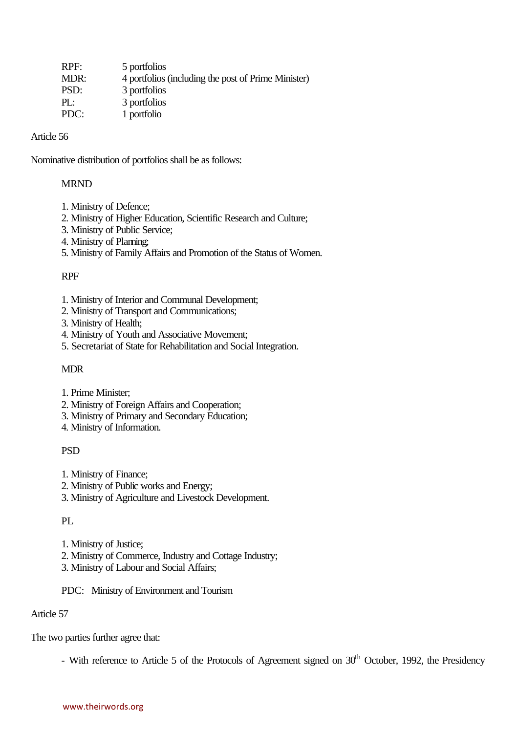| 4 portfolios (including the post of Prime Minister) |
|-----------------------------------------------------|
|                                                     |
|                                                     |
|                                                     |
|                                                     |

### Article 56

Nominative distribution of portfolios shall be as follows:

### MRND

- 1. Ministry of Defence;
- 2. Ministry of Higher Education, Scientific Research and Culture;
- 3. Ministry of Public Service;
- 4. Ministry of Planning;
- 5. Ministry of Family Affairs and Promotion of the Status of Women.

### RPF

- 1. Ministry of Interior and Communal Development;
- 2. Ministry of Transport and Communications;
- 3. Ministry of Health;
- 4. Ministry of Youth and Associative Movement;
- 5. Secretariat of State for Rehabilitation and Social Integration.

## MDR

- 1. Prime Minister;
- 2. Ministry of Foreign Affairs and Cooperation;
- 3. Ministry of Primary and Secondary Education;
- 4. Ministry of Information.

## PSD

- 1. Ministry of Finance;
- 2. Ministry of Public works and Energy;
- 3. Ministry of Agriculture and Livestock Development.

## PL

- 1. Ministry of Justice;
- 2. Ministry of Commerce, Industry and Cottage Industry;
- 3. Ministry of Labour and Social Affairs;

## PDC: Ministry of Environment and Tourism

# Article 57

The two parties further agree that:

- With reference to Article 5 of the Protocols of Agreement signed on  $30<sup>th</sup>$  October, 1992, the Presidency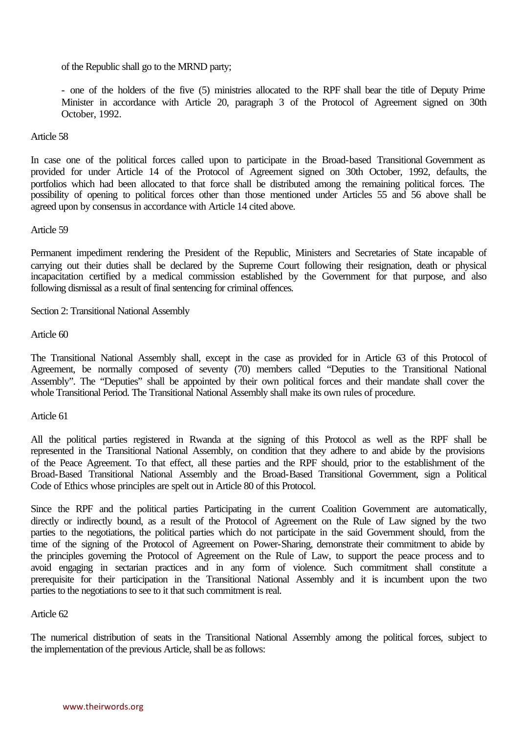of the Republic shall go to the MRND party;

- one of the holders of the five (5) ministries allocated to the RPF shall bear the title of Deputy Prime Minister in accordance with Article 20, paragraph 3 of the Protocol of Agreement signed on 30th October, 1992.

Article 58

In case one of the political forces called upon to participate in the Broad-based Transitional Government as provided for under Article 14 of the Protocol of Agreement signed on 30th October, 1992, defaults, the portfolios which had been allocated to that force shall be distributed among the remaining political forces. The possibility of opening to political forces other than those mentioned under Articles 55 and 56 above shall be agreed upon by consensus in accordance with Article 14 cited above.

Article 59

Permanent impediment rendering the President of the Republic, Ministers and Secretaries of State incapable of carrying out their duties shall be declared by the Supreme Court following their resignation, death or physical incapacitation certified by a medical commission established by the Government for that purpose, and also following dismissal as a result of final sentencing for criminal offences.

Section 2: Transitional National Assembly

Article 60

The Transitional National Assembly shall, except in the case as provided for in Article 63 of this Protocol of Agreement, be normally composed of seventy (70) members called "Deputies to the Transitional National Assembly". The "Deputies" shall be appointed by their own political forces and their mandate shall cover the whole Transitional Period. The Transitional National Assembly shall make its own rules of procedure.

Article 61

All the political parties registered in Rwanda at the signing of this Protocol as well as the RPF shall be represented in the Transitional National Assembly, on condition that they adhere to and abide by the provisions of the Peace Agreement. To that effect, all these parties and the RPF should, prior to the establishment of the Broad-Based Transitional National Assembly and the Broad-Based Transitional Government, sign a Political Code of Ethics whose principles are spelt out in Article 80 of this Protocol.

Since the RPF and the political parties Participating in the current Coalition Government are automatically, directly or indirectly bound, as a result of the Protocol of Agreement on the Rule of Law signed by the two parties to the negotiations, the political parties which do not participate in the said Government should, from the time of the signing of the Protocol of Agreement on Power-Sharing, demonstrate their commitment to abide by the principles governing the Protocol of Agreement on the Rule of Law, to support the peace process and to avoid engaging in sectarian practices and in any form of violence. Such commitment shall constitute a prerequisite for their participation in the Transitional National Assembly and it is incumbent upon the two parties to the negotiations to see to it that such commitment is real.

Article 62

The numerical distribution of seats in the Transitional National Assembly among the political forces, subject to the implementation of the previous Article, shall be as follows: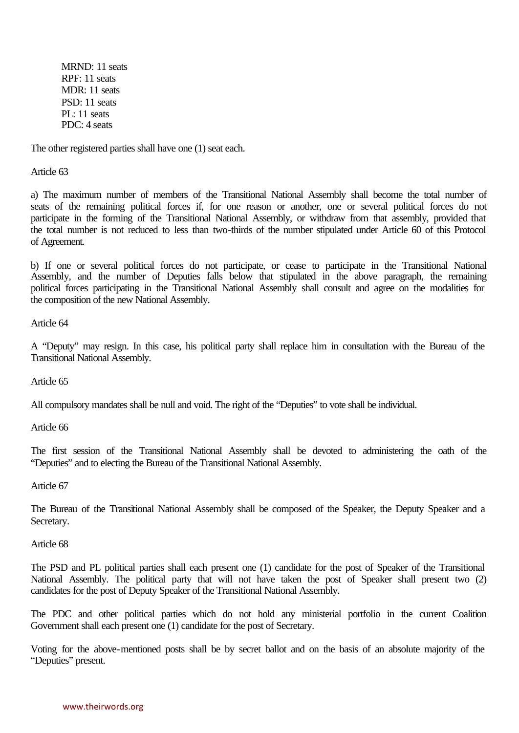MRND: 11 seats RPF: 11 seats MDR: 11 seats PSD: 11 seats PL: 11 seats PDC: 4 seats

The other registered parties shall have one (1) seat each.

Article 63

a) The maximum number of members of the Transitional National Assembly shall become the total number of seats of the remaining political forces if, for one reason or another, one or several political forces do not participate in the forming of the Transitional National Assembly, or withdraw from that assembly, provided that the total number is not reduced to less than two-thirds of the number stipulated under Article 60 of this Protocol of Agreement.

b) If one or several political forces do not participate, or cease to participate in the Transitional National Assembly, and the number of Deputies falls below that stipulated in the above paragraph, the remaining political forces participating in the Transitional National Assembly shall consult and agree on the modalities for the composition of the new National Assembly.

Article 64

A "Deputy" may resign. In this case, his political party shall replace him in consultation with the Bureau of the Transitional National Assembly.

Article 65

All compulsory mandates shall be null and void. The right of the "Deputies" to vote shall be individual.

Article 66

The first session of the Transitional National Assembly shall be devoted to administering the oath of the "Deputies" and to electing the Bureau of the Transitional National Assembly.

Article 67

The Bureau of the Transitional National Assembly shall be composed of the Speaker, the Deputy Speaker and a Secretary.

Article 68

The PSD and PL political parties shall each present one (1) candidate for the post of Speaker of the Transitional National Assembly. The political party that will not have taken the post of Speaker shall present two (2) candidates for the post of Deputy Speaker of the Transitional National Assembly.

The PDC and other political parties which do not hold any ministerial portfolio in the current Coalition Government shall each present one (1) candidate for the post of Secretary.

Voting for the above-mentioned posts shall be by secret ballot and on the basis of an absolute majority of the "Deputies" present.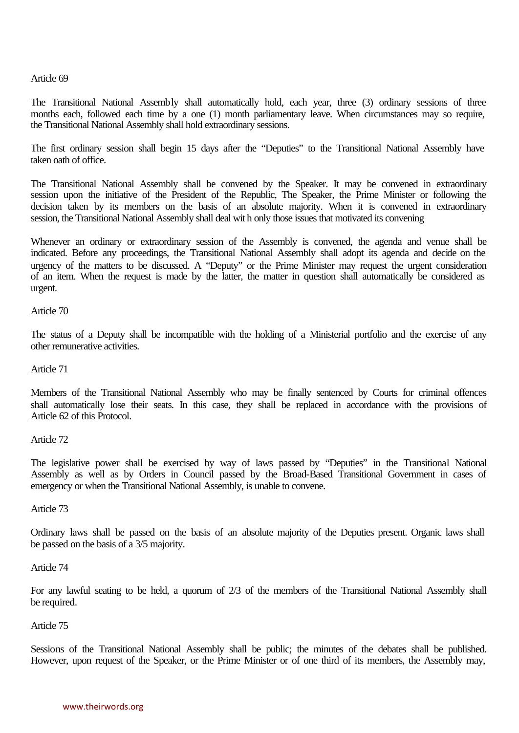Article 69

The Transitional National Assembly shall automatically hold, each year, three (3) ordinary sessions of three months each, followed each time by a one (1) month parliamentary leave. When circumstances may so require, the Transitional National Assembly shall hold extraordinary sessions.

The first ordinary session shall begin 15 days after the "Deputies" to the Transitional National Assembly have taken oath of office.

The Transitional National Assembly shall be convened by the Speaker. It may be convened in extraordinary session upon the initiative of the President of the Republic, The Speaker, the Prime Minister or following the decision taken by its members on the basis of an absolute majority. When it is convened in extraordinary session, the Transitional National Assembly shall deal wit h only those issues that motivated its convening

Whenever an ordinary or extraordinary session of the Assembly is convened, the agenda and venue shall be indicated. Before any proceedings, the Transitional National Assembly shall adopt its agenda and decide on the urgency of the matters to be discussed. A "Deputy" or the Prime Minister may request the urgent consideration of an item. When the request is made by the latter, the matter in question shall automatically be considered as urgent.

Article 70

The status of a Deputy shall be incompatible with the holding of a Ministerial portfolio and the exercise of any other remunerative activities.

Article 71

Members of the Transitional National Assembly who may be finally sentenced by Courts for criminal offences shall automatically lose their seats. In this case, they shall be replaced in accordance with the provisions of Article 62 of this Protocol.

Article 72

The legislative power shall be exercised by way of laws passed by "Deputies" in the Transitional National Assembly as well as by Orders in Council passed by the Broad-Based Transitional Government in cases of emergency or when the Transitional National Assembly, is unable to convene.

Article 73

Ordinary laws shall be passed on the basis of an absolute majority of the Deputies present. Organic laws shall be passed on the basis of a 3/5 majority.

Article 74

For any lawful seating to be held, a quorum of 2/3 of the members of the Transitional National Assembly shall be required.

Article 75

Sessions of the Transitional National Assembly shall be public; the minutes of the debates shall be published. However, upon request of the Speaker, or the Prime Minister or of one third of its members, the Assembly may,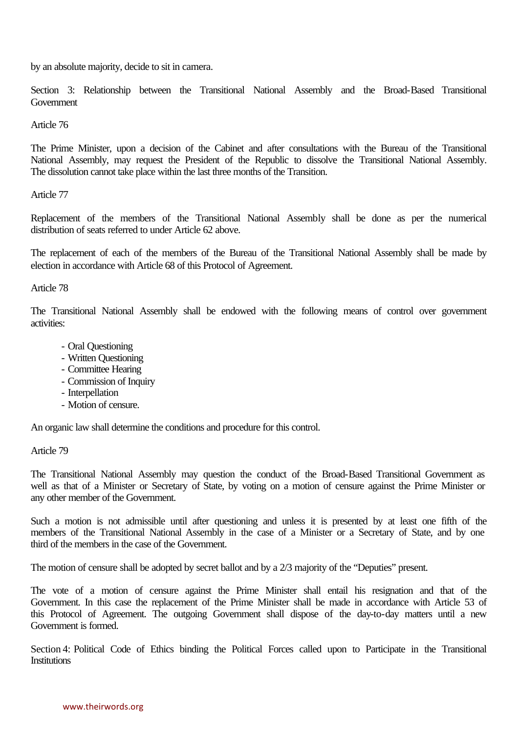by an absolute majority, decide to sit in camera.

Section 3: Relationship between the Transitional National Assembly and the Broad-Based Transitional Government

Article 76

The Prime Minister, upon a decision of the Cabinet and after consultations with the Bureau of the Transitional National Assembly, may request the President of the Republic to dissolve the Transitional National Assembly. The dissolution cannot take place within the last three months of the Transition.

Article 77

Replacement of the members of the Transitional National Assembly shall be done as per the numerical distribution of seats referred to under Article 62 above.

The replacement of each of the members of the Bureau of the Transitional National Assembly shall be made by election in accordance with Article 68 of this Protocol of Agreement.

Article 78

The Transitional National Assembly shall be endowed with the following means of control over government activities:

- Oral Questioning
- Written Questioning
- Committee Hearing
- Commission of Inquiry
- Interpellation
- Motion of censure.

An organic law shall determine the conditions and procedure for this control.

Article 79

The Transitional National Assembly may question the conduct of the Broad-Based Transitional Government as well as that of a Minister or Secretary of State, by voting on a motion of censure against the Prime Minister or any other member of the Government.

Such a motion is not admissible until after questioning and unless it is presented by at least one fifth of the members of the Transitional National Assembly in the case of a Minister or a Secretary of State, and by one third of the members in the case of the Government.

The motion of censure shall be adopted by secret ballot and by a 2/3 majority of the "Deputies" present.

The vote of a motion of censure against the Prime Minister shall entail his resignation and that of the Government. In this case the replacement of the Prime Minister shall be made in accordance with Article 53 of this Protocol of Agreement. The outgoing Government shall dispose of the day-to-day matters until a new Government is formed.

Section 4: Political Code of Ethics binding the Political Forces called upon to Participate in the Transitional **Institutions**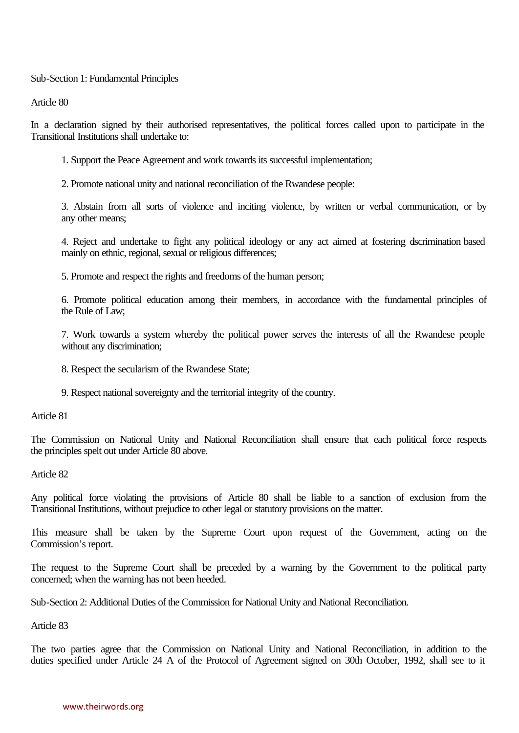Sub-Section 1: Fundamental Principles

Article 80

In a declaration signed by their authorised representatives, the political forces called upon to participate in the Transitional Institutions shall undertake to:

1. Support the Peace Agreement and work towards its successful implementation;

2. Promote national unity and national reconciliation of the Rwandese people:

3. Abstain from all sorts of violence and inciting violence, by written or verbal communication, or by any other means;

4. Reject and undertake to fight any political ideology or any act aimed at fostering dscrimination based mainly on ethnic, regional, sexual or religious differences;

5. Promote and respect the rights and freedoms of the human person;

6. Promote political education among their members, in accordance with the fundamental principles of the Rule of Law;

7. Work towards a system whereby the political power serves the interests of all the Rwandese people without any discrimination;

8. Respect the secularism of the Rwandese State;

9. Respect national sovereignty and the territorial integrity of the country.

Article 81

The Commission on National Unity and National Reconciliation shall ensure that each political force respects the principles spelt out under Article 80 above.

Article 82

Any political force violating the provisions of Article 80 shall be liable to a sanction of exclusion from the Transitional Institutions, without prejudice to other legal or statutory provisions on the matter.

This measure shall be taken by the Supreme Court upon request of the Government, acting on the Commission's report.

The request to the Supreme Court shall be preceded by a warning by the Government to the political party concerned; when the warning has not been heeded.

Sub-Section 2: Additional Duties of the Commission for National Unity and National Reconciliation.

Article 83

The two parties agree that the Commission on National Unity and National Reconciliation, in addition to the duties specified under Article 24 A of the Protocol of Agreement signed on 30th October, 1992, shall see to it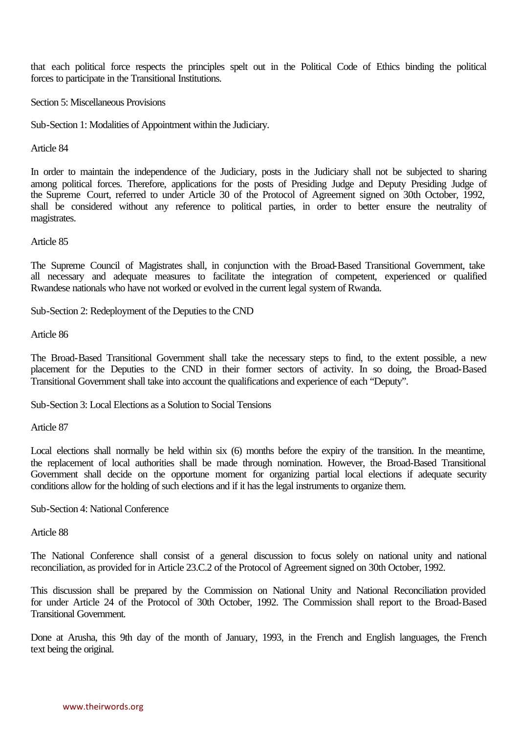that each political force respects the principles spelt out in the Political Code of Ethics binding the political forces to participate in the Transitional Institutions.

Section 5: Miscellaneous Provisions

Sub-Section 1: Modalities of Appointment within the Judiciary.

Article 84

In order to maintain the independence of the Judiciary, posts in the Judiciary shall not be subjected to sharing among political forces. Therefore, applications for the posts of Presiding Judge and Deputy Presiding Judge of the Supreme Court, referred to under Article 30 of the Protocol of Agreement signed on 30th October, 1992, shall be considered without any reference to political parties, in order to better ensure the neutrality of magistrates.

Article 85

The Supreme Council of Magistrates shall, in conjunction with the Broad-Based Transitional Government, take all necessary and adequate measures to facilitate the integration of competent, experienced or qualified Rwandese nationals who have not worked or evolved in the current legal system of Rwanda.

Sub-Section 2: Redeployment of the Deputies to the CND

Article 86

The Broad-Based Transitional Government shall take the necessary steps to find, to the extent possible, a new placement for the Deputies to the CND in their former sectors of activity. In so doing, the Broad-Based Transitional Government shall take into account the qualifications and experience of each "Deputy".

Sub-Section 3: Local Elections as a Solution to Social Tensions

Article 87

Local elections shall normally be held within six (6) months before the expiry of the transition. In the meantime, the replacement of local authorities shall be made through nomination. However, the Broad-Based Transitional Government shall decide on the opportune moment for organizing partial local elections if adequate security conditions allow for the holding of such elections and if it has the legal instruments to organize them.

Sub-Section 4: National Conference

Article 88

The National Conference shall consist of a general discussion to focus solely on national unity and national reconciliation, as provided for in Article 23.C.2 of the Protocol of Agreement signed on 30th October, 1992.

This discussion shall be prepared by the Commission on National Unity and National Reconciliation provided for under Article 24 of the Protocol of 30th October, 1992. The Commission shall report to the Broad-Based Transitional Government.

Done at Arusha, this 9th day of the month of January, 1993, in the French and English languages, the French text being the original.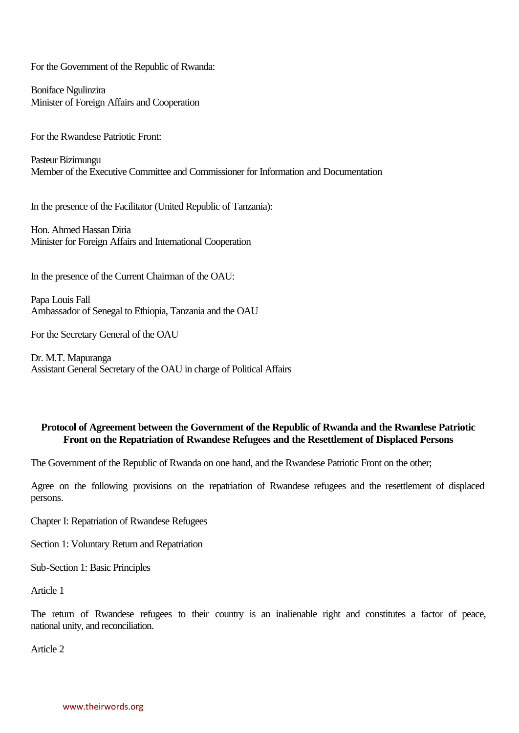For the Government of the Republic of Rwanda:

Boniface Ngulinzira Minister of Foreign Affairs and Cooperation

For the Rwandese Patriotic Front:

Pasteur Bizimungu Member of the Executive Committee and Commissioner for Information and Documentation

In the presence of the Facilitator (United Republic of Tanzania):

Hon. Ahmed Hassan Diria Minister for Foreign Affairs and International Cooperation

In the presence of the Current Chairman of the OAU:

Papa Louis Fall Ambassador of Senegal to Ethiopia, Tanzania and the OAU

For the Secretary General of the OAU

Dr. M.T. Mapuranga Assistant General Secretary of the OAU in charge of Political Affairs

## **Protocol of Agreement between the Government of the Republic of Rwanda and the Rwandese Patriotic Front on the Repatriation of Rwandese Refugees and the Resettlement of Displaced Persons**

The Government of the Republic of Rwanda on one hand, and the Rwandese Patriotic Front on the other;

Agree on the following provisions on the repatriation of Rwandese refugees and the resettlement of displaced persons.

Chapter I: Repatriation of Rwandese Refugees

Section 1: Voluntary Return and Repatriation

Sub-Section 1: Basic Principles

Article 1

The return of Rwandese refugees to their country is an inalienable right and constitutes a factor of peace, national unity, and reconciliation.

Article 2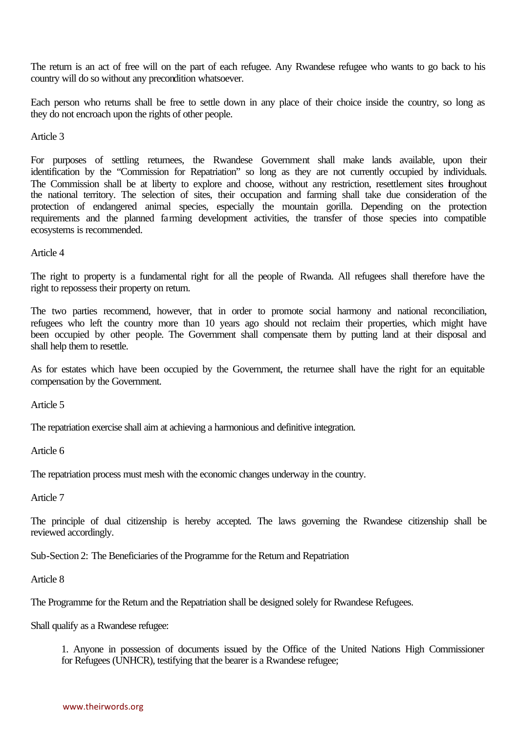The return is an act of free will on the part of each refugee. Any Rwandese refugee who wants to go back to his country will do so without any precondition whatsoever.

Each person who returns shall be free to settle down in any place of their choice inside the country, so long as they do not encroach upon the rights of other people.

Article 3

For purposes of settling returnees, the Rwandese Government shall make lands available, upon their identification by the "Commission for Repatriation" so long as they are not currently occupied by individuals. The Commission shall be at liberty to explore and choose, without any restriction, resettlement sites throughout the national territory. The selection of sites, their occupation and farming shall take due consideration of the protection of endangered animal species, especially the mountain gorilla. Depending on the protection requirements and the planned farming development activities, the transfer of those species into compatible ecosystems is recommended.

Article 4

The right to property is a fundamental right for all the people of Rwanda. All refugees shall therefore have the right to repossess their property on return.

The two parties recommend, however, that in order to promote social harmony and national reconciliation, refugees who left the country more than 10 years ago should not reclaim their properties, which might have been occupied by other people. The Government shall compensate them by putting land at their disposal and shall help them to resettle.

As for estates which have been occupied by the Government, the returnee shall have the right for an equitable compensation by the Government.

Article 5

The repatriation exercise shall aim at achieving a harmonious and definitive integration.

Article 6

The repatriation process must mesh with the economic changes underway in the country.

Article 7

The principle of dual citizenship is hereby accepted. The laws governing the Rwandese citizenship shall be reviewed accordingly.

Sub-Section 2: The Beneficiaries of the Programme for the Return and Repatriation

Article 8

The Programme for the Return and the Repatriation shall be designed solely for Rwandese Refugees.

Shall qualify as a Rwandese refugee:

1. Anyone in possession of documents issued by the Office of the United Nations High Commissioner for Refugees (UNHCR), testifying that the bearer is a Rwandese refugee;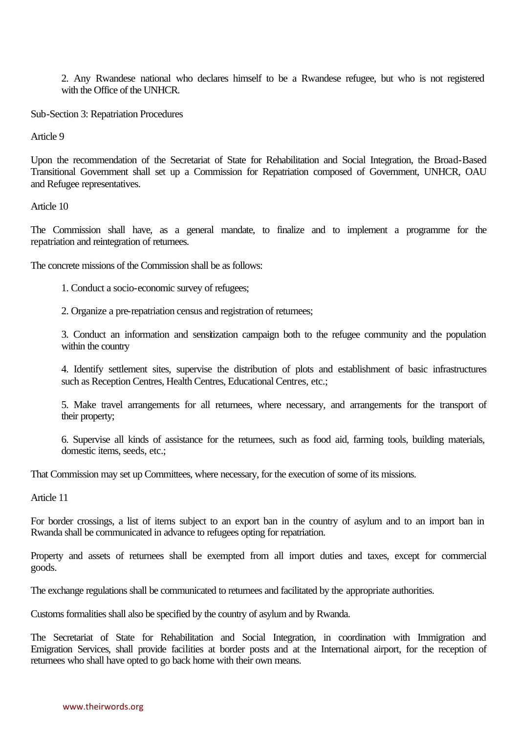2. Any Rwandese national who declares himself to be a Rwandese refugee, but who is not registered with the Office of the UNHCR.

Sub-Section 3: Repatriation Procedures

Article 9

Upon the recommendation of the Secretariat of State for Rehabilitation and Social Integration, the Broad-Based Transitional Government shall set up a Commission for Repatriation composed of Government, UNHCR, OAU and Refugee representatives.

Article 10

The Commission shall have, as a general mandate, to finalize and to implement a programme for the repatriation and reintegration of returnees.

The concrete missions of the Commission shall be as follows:

1. Conduct a socio-economic survey of refugees;

2. Organize a pre-repatriation census and registration of returnees;

3. Conduct an information and sensitization campaign both to the refugee community and the population within the country

4. Identify settlement sites, supervise the distribution of plots and establishment of basic infrastructures such as Reception Centres, Health Centres, Educational Centres, etc.;

5. Make travel arrangements for all returnees, where necessary, and arrangements for the transport of their property;

6. Supervise all kinds of assistance for the returnees, such as food aid, farming tools, building materials, domestic items, seeds, etc.;

That Commission may set up Committees, where necessary, for the execution of some of its missions.

Article 11

For border crossings, a list of items subject to an export ban in the country of asylum and to an import ban in Rwanda shall be communicated in advance to refugees opting for repatriation.

Property and assets of returnees shall be exempted from all import duties and taxes, except for commercial goods.

The exchange regulations shall be communicated to returnees and facilitated by the appropriate authorities.

Customs formalities shall also be specified by the country of asylum and by Rwanda.

The Secretariat of State for Rehabilitation and Social Integration, in coordination with Immigration and Emigration Services, shall provide facilities at border posts and at the International airport, for the reception of returnees who shall have opted to go back home with their own means.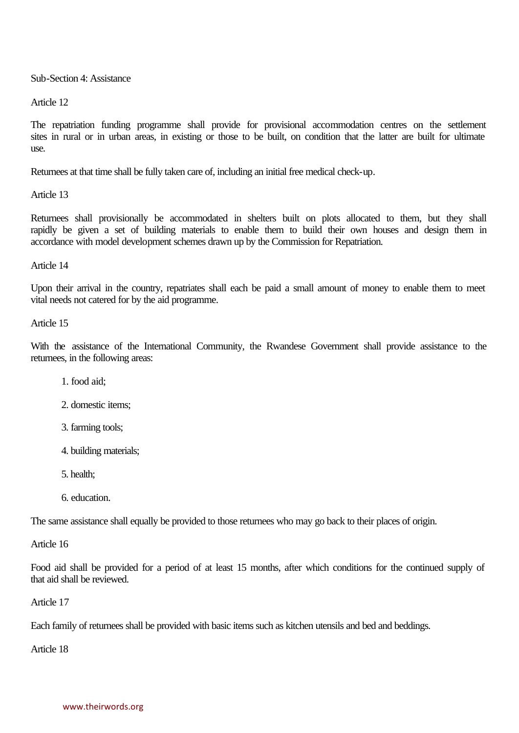Sub-Section 4: Assistance

Article 12

The repatriation funding programme shall provide for provisional accommodation centres on the settlement sites in rural or in urban areas, in existing or those to be built, on condition that the latter are built for ultimate use.

Returnees at that time shall be fully taken care of, including an initial free medical check-up.

Article 13

Returnees shall provisionally be accommodated in shelters built on plots allocated to them, but they shall rapidly be given a set of building materials to enable them to build their own houses and design them in accordance with model development schemes drawn up by the Commission for Repatriation.

Article 14

Upon their arrival in the country, repatriates shall each be paid a small amount of money to enable them to meet vital needs not catered for by the aid programme.

Article 15

With the assistance of the International Community, the Rwandese Government shall provide assistance to the returnees, in the following areas:

1. food aid;

2. domestic items;

- 3. farming tools;
- 4. building materials;
- 5. health;
- 6. education.

The same assistance shall equally be provided to those returnees who may go back to their places of origin.

Article 16

Food aid shall be provided for a period of at least 15 months, after which conditions for the continued supply of that aid shall be reviewed.

Article 17

Each family of returnees shall be provided with basic items such as kitchen utensils and bed and beddings.

Article 18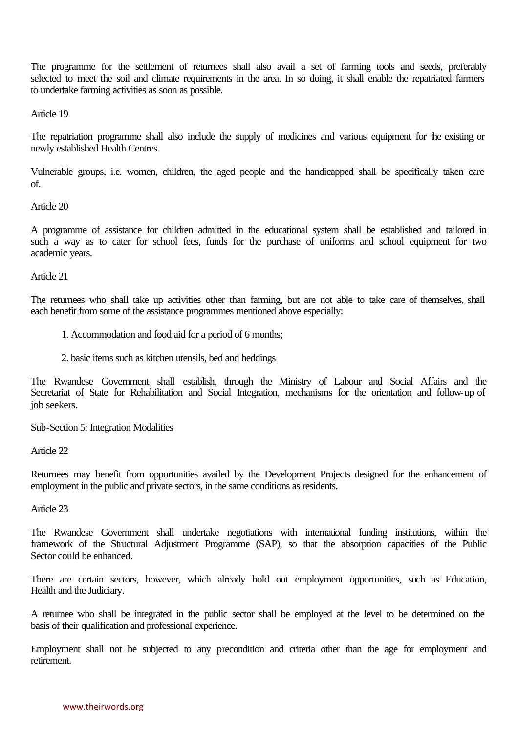The programme for the settlement of returnees shall also avail a set of farming tools and seeds, preferably selected to meet the soil and climate requirements in the area. In so doing, it shall enable the repatriated farmers to undertake farming activities as soon as possible.

Article 19

The repatriation programme shall also include the supply of medicines and various equipment for the existing or newly established Health Centres.

Vulnerable groups, i.e. women, children, the aged people and the handicapped shall be specifically taken care of.

#### Article 20

A programme of assistance for children admitted in the educational system shall be established and tailored in such a way as to cater for school fees, funds for the purchase of uniforms and school equipment for two academic years.

Article 21

The returnees who shall take up activities other than farming, but are not able to take care of themselves, shall each benefit from some of the assistance programmes mentioned above especially:

- 1. Accommodation and food aid for a period of 6 months;
- 2. basic items such as kitchen utensils, bed and beddings

The Rwandese Government shall establish, through the Ministry of Labour and Social Affairs and the Secretariat of State for Rehabilitation and Social Integration, mechanisms for the orientation and follow-up of job seekers.

Sub-Section 5: Integration Modalities

Article 22

Returnees may benefit from opportunities availed by the Development Projects designed for the enhancement of employment in the public and private sectors, in the same conditions as residents.

Article 23

The Rwandese Government shall undertake negotiations with international funding institutions, within the framework of the Structural Adjustment Programme (SAP), so that the absorption capacities of the Public Sector could be enhanced.

There are certain sectors, however, which already hold out employment opportunities, such as Education, Health and the Judiciary.

A returnee who shall be integrated in the public sector shall be employed at the level to be determined on the basis of their qualification and professional experience.

Employment shall not be subjected to any precondition and criteria other than the age for employment and retirement.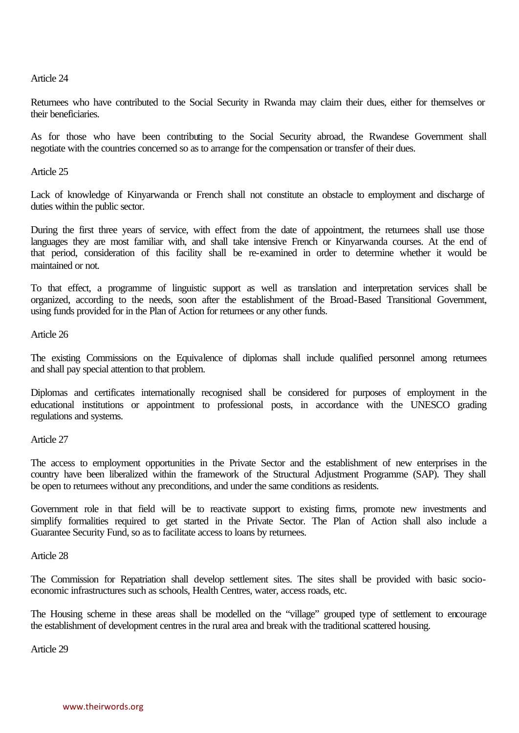Article 24

Returnees who have contributed to the Social Security in Rwanda may claim their dues, either for themselves or their beneficiaries.

As for those who have been contributing to the Social Security abroad, the Rwandese Government shall negotiate with the countries concerned so as to arrange for the compensation or transfer of their dues.

Article 25

Lack of knowledge of Kinyarwanda or French shall not constitute an obstacle to employment and discharge of duties within the public sector.

During the first three years of service, with effect from the date of appointment, the returnees shall use those languages they are most familiar with, and shall take intensive French or Kinyarwanda courses. At the end of that period, consideration of this facility shall be re-examined in order to determine whether it would be maintained or not.

To that effect, a programme of linguistic support as well as translation and interpretation services shall be organized, according to the needs, soon after the establishment of the Broad-Based Transitional Government, using funds provided for in the Plan of Action for returnees or any other funds.

Article 26

The existing Commissions on the Equivalence of diplomas shall include qualified personnel among returnees and shall pay special attention to that problem.

Diplomas and certificates internationally recognised shall be considered for purposes of employment in the educational institutions or appointment to professional posts, in accordance with the UNESCO grading regulations and systems.

Article 27

The access to employment opportunities in the Private Sector and the establishment of new enterprises in the country have been liberalized within the framework of the Structural Adjustment Programme (SAP). They shall be open to returnees without any preconditions, and under the same conditions as residents.

Government role in that field will be to reactivate support to existing firms, promote new investments and simplify formalities required to get started in the Private Sector. The Plan of Action shall also include a Guarantee Security Fund, so as to facilitate access to loans by returnees.

Article 28

The Commission for Repatriation shall develop settlement sites. The sites shall be provided with basic socioeconomic infrastructures such as schools, Health Centres, water, access roads, etc.

The Housing scheme in these areas shall be modelled on the "village" grouped type of settlement to encourage the establishment of development centres in the rural area and break with the traditional scattered housing.

Article 29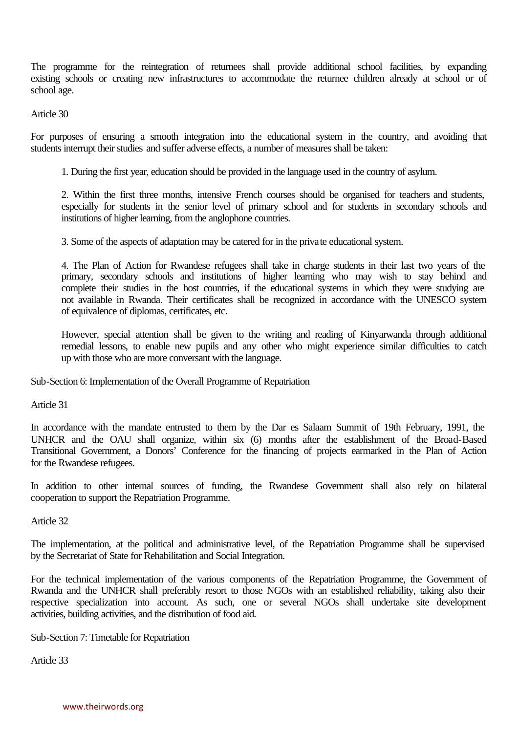The programme for the reintegration of returnees shall provide additional school facilities, by expanding existing schools or creating new infrastructures to accommodate the returnee children already at school or of school age.

Article 30

For purposes of ensuring a smooth integration into the educational system in the country, and avoiding that students interrupt their studies and suffer adverse effects, a number of measures shall be taken:

1. During the first year, education should be provided in the language used in the country of asylum.

2. Within the first three months, intensive French courses should be organised for teachers and students, especially for students in the senior level of primary school and for students in secondary schools and institutions of higher learning, from the anglophone countries.

3. Some of the aspects of adaptation may be catered for in the private educational system.

4. The Plan of Action for Rwandese refugees shall take in charge students in their last two years of the primary, secondary schools and institutions of higher learning who may wish to stay behind and complete their studies in the host countries, if the educational systems in which they were studying are not available in Rwanda. Their certificates shall be recognized in accordance with the UNESCO system of equivalence of diplomas, certificates, etc.

However, special attention shall be given to the writing and reading of Kinyarwanda through additional remedial lessons, to enable new pupils and any other who might experience similar difficulties to catch up with those who are more conversant with the language.

Sub-Section 6: Implementation of the Overall Programme of Repatriation

Article 31

In accordance with the mandate entrusted to them by the Dar es Salaam Summit of 19th February, 1991, the UNHCR and the OAU shall organize, within six (6) months after the establishment of the Broad-Based Transitional Government, a Donors' Conference for the financing of projects earmarked in the Plan of Action for the Rwandese refugees.

In addition to other internal sources of funding, the Rwandese Government shall also rely on bilateral cooperation to support the Repatriation Programme.

Article 32

The implementation, at the political and administrative level, of the Repatriation Programme shall be supervised by the Secretariat of State for Rehabilitation and Social Integration.

For the technical implementation of the various components of the Repatriation Programme, the Government of Rwanda and the UNHCR shall preferably resort to those NGOs with an established reliability, taking also their respective specialization into account. As such, one or several NGOs shall undertake site development activities, building activities, and the distribution of food aid.

Sub-Section 7: Timetable for Repatriation

Article 33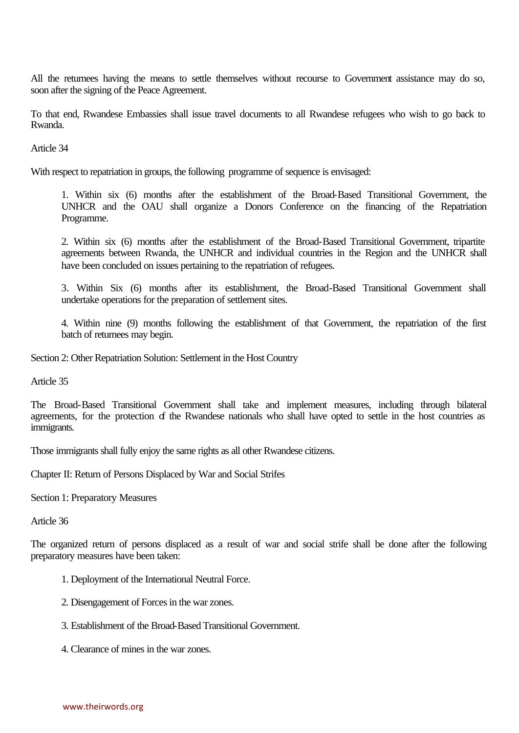All the returnees having the means to settle themselves without recourse to Government assistance may do so, soon after the signing of the Peace Agreement.

To that end, Rwandese Embassies shall issue travel documents to all Rwandese refugees who wish to go back to Rwanda.

Article 34

With respect to repatriation in groups, the following programme of sequence is envisaged:

1. Within six (6) months after the establishment of the Broad-Based Transitional Government, the UNHCR and the OAU shall organize a Donors Conference on the financing of the Repatriation Programme.

2. Within six (6) months after the establishment of the Broad-Based Transitional Government, tripartite agreements between Rwanda, the UNHCR and individual countries in the Region and the UNHCR shall have been concluded on issues pertaining to the repatriation of refugees.

3. Within Six (6) months after its establishment, the Broad-Based Transitional Government shall undertake operations for the preparation of settlement sites.

4. Within nine (9) months following the establishment of that Government, the repatriation of the first batch of returnees may begin.

Section 2: Other Repatriation Solution: Settlement in the Host Country

Article 35

The Broad-Based Transitional Government shall take and implement measures, including through bilateral agreements, for the protection of the Rwandese nationals who shall have opted to settle in the host countries as immigrants.

Those immigrants shall fully enjoy the same rights as all other Rwandese citizens.

Chapter II: Return of Persons Displaced by War and Social Strifes

Section 1: Preparatory Measures

Article 36

The organized return of persons displaced as a result of war and social strife shall be done after the following preparatory measures have been taken:

- 1. Deployment of the International Neutral Force.
- 2. Disengagement of Forces in the war zones.
- 3. Establishment of the Broad-Based Transitional Government.
- 4. Clearance of mines in the war zones.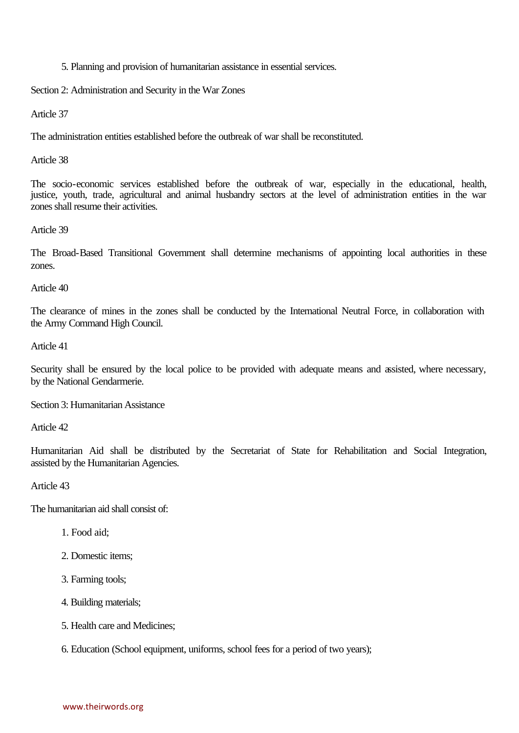5. Planning and provision of humanitarian assistance in essential services.

Section 2: Administration and Security in the War Zones

Article 37

The administration entities established before the outbreak of war shall be reconstituted.

Article 38

The socio-economic services established before the outbreak of war, especially in the educational, health, justice, youth, trade, agricultural and animal husbandry sectors at the level of administration entities in the war zones shall resume their activities.

#### Article 39

The Broad-Based Transitional Government shall determine mechanisms of appointing local authorities in these zones.

Article 40

The clearance of mines in the zones shall be conducted by the International Neutral Force, in collaboration with the Army Command High Council.

Article 41

Security shall be ensured by the local police to be provided with adequate means and assisted, where necessary, by the National Gendarmerie.

Section 3: Humanitarian Assistance

Article 42

Humanitarian Aid shall be distributed by the Secretariat of State for Rehabilitation and Social Integration, assisted by the Humanitarian Agencies.

Article 43

The humanitarian aid shall consist of:

- 1. Food aid;
- 2. Domestic items;
- 3. Farming tools;
- 4. Building materials;
- 5. Health care and Medicines;
- 6. Education (School equipment, uniforms, school fees for a period of two years);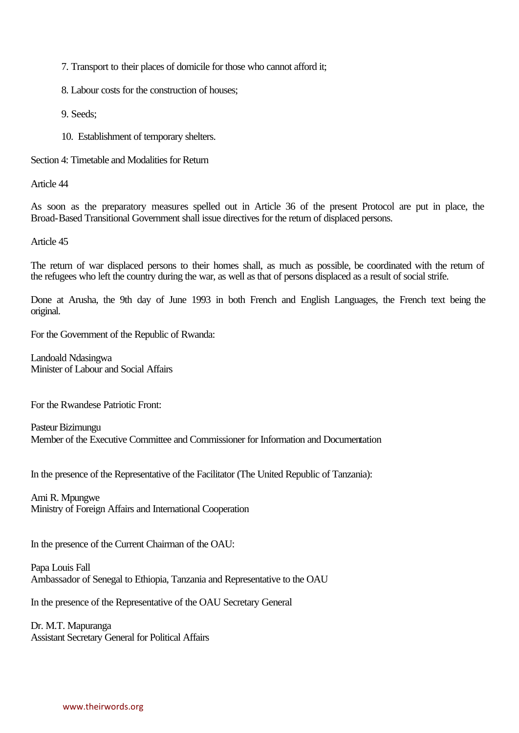7. Transport to their places of domicile for those who cannot afford it;

8. Labour costs for the construction of houses;

9. Seeds;

10. Establishment of temporary shelters.

Section 4: Timetable and Modalities for Return

Article 44

As soon as the preparatory measures spelled out in Article 36 of the present Protocol are put in place, the Broad-Based Transitional Government shall issue directives for the return of displaced persons.

Article 45

The return of war displaced persons to their homes shall, as much as possible, be coordinated with the return of the refugees who left the country during the war, as well as that of persons displaced as a result of social strife.

Done at Arusha, the 9th day of June 1993 in both French and English Languages, the French text being the original.

For the Government of the Republic of Rwanda:

Landoald Ndasingwa Minister of Labour and Social Affairs

For the Rwandese Patriotic Front:

Pasteur Bizimungu Member of the Executive Committee and Commissioner for Information and Documentation

In the presence of the Representative of the Facilitator (The United Republic of Tanzania):

Ami R. Mpungwe Ministry of Foreign Affairs and International Cooperation

In the presence of the Current Chairman of the OAU:

Papa Louis Fall Ambassador of Senegal to Ethiopia, Tanzania and Representative to the OAU

In the presence of the Representative of the OAU Secretary General

Dr. M.T. Mapuranga Assistant Secretary General for Political Affairs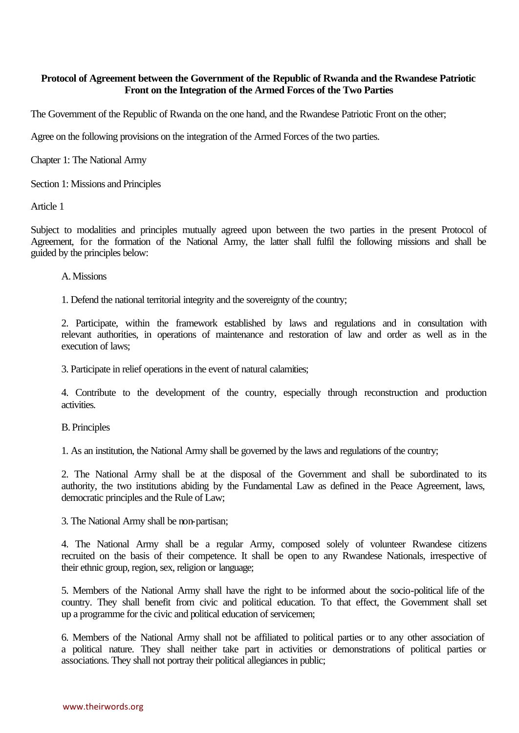# **Protocol of Agreement between the Government of the Republic of Rwanda and the Rwandese Patriotic Front on the Integration of the Armed Forces of the Two Parties**

The Government of the Republic of Rwanda on the one hand, and the Rwandese Patriotic Front on the other;

Agree on the following provisions on the integration of the Armed Forces of the two parties.

Chapter 1: The National Army

Section 1: Missions and Principles

Article 1

Subject to modalities and principles mutually agreed upon between the two parties in the present Protocol of Agreement, for the formation of the National Army, the latter shall fulfil the following missions and shall be guided by the principles below:

#### A. Missions

1. Defend the national territorial integrity and the sovereignty of the country;

2. Participate, within the framework established by laws and regulations and in consultation with relevant authorities, in operations of maintenance and restoration of law and order as well as in the execution of laws;

3. Participate in relief operations in the event of natural calamities;

4. Contribute to the development of the country, especially through reconstruction and production activities.

B. Principles

1. As an institution, the National Army shall be governed by the laws and regulations of the country;

2. The National Army shall be at the disposal of the Government and shall be subordinated to its authority, the two institutions abiding by the Fundamental Law as defined in the Peace Agreement, laws, democratic principles and the Rule of Law;

3. The National Army shall be non-partisan;

4. The National Army shall be a regular Army, composed solely of volunteer Rwandese citizens recruited on the basis of their competence. It shall be open to any Rwandese Nationals, irrespective of their ethnic group, region, sex, religion or language;

5. Members of the National Army shall have the right to be informed about the socio-political life of the country. They shall benefit from civic and political education. To that effect, the Government shall set up a programme for the civic and political education of servicemen;

6. Members of the National Army shall not be affiliated to political parties or to any other association of a political nature. They shall neither take part in activities or demonstrations of political parties or associations. They shall not portray their political allegiances in public;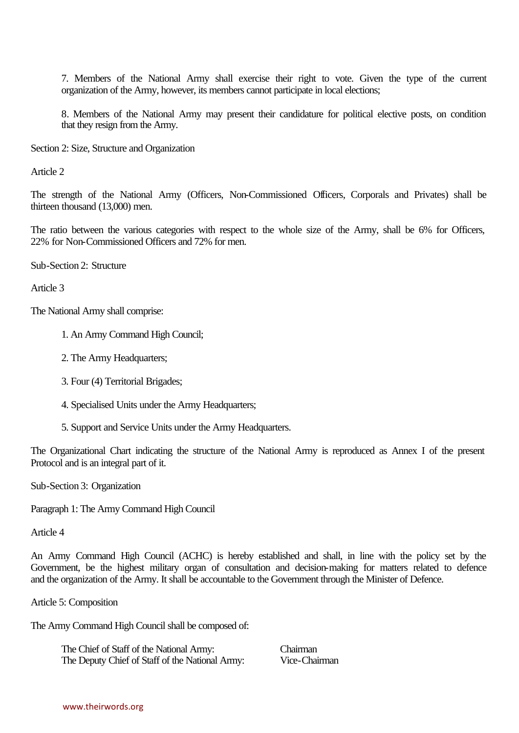7. Members of the National Army shall exercise their right to vote. Given the type of the current organization of the Army, however, its members cannot participate in local elections;

8. Members of the National Army may present their candidature for political elective posts, on condition that they resign from the Army.

Section 2: Size, Structure and Organization

Article 2

The strength of the National Army (Officers, Non-Commissioned Officers, Corporals and Privates) shall be thirteen thousand (13,000) men.

The ratio between the various categories with respect to the whole size of the Army, shall be 6% for Officers, 22% for Non-Commissioned Officers and 72% for men.

Sub-Section 2: Structure

Article 3

The National Army shall comprise:

- 1. An Army Command High Council;
- 2. The Army Headquarters;
- 3. Four (4) Territorial Brigades;
- 4. Specialised Units under the Army Headquarters;
- 5. Support and Service Units under the Army Headquarters.

The Organizational Chart indicating the structure of the National Army is reproduced as Annex I of the present Protocol and is an integral part of it.

Sub-Section 3: Organization

Paragraph 1: The Army Command High Council

Article 4

An Army Command High Council (ACHC) is hereby established and shall, in line with the policy set by the Government, be the highest military organ of consultation and decision-making for matters related to defence and the organization of the Army. It shall be accountable to the Government through the Minister of Defence.

Article 5: Composition

The Army Command High Council shall be composed of:

The Chief of Staff of the National Army: Chairman The Deputy Chief of Staff of the National Army: Vice-Chairman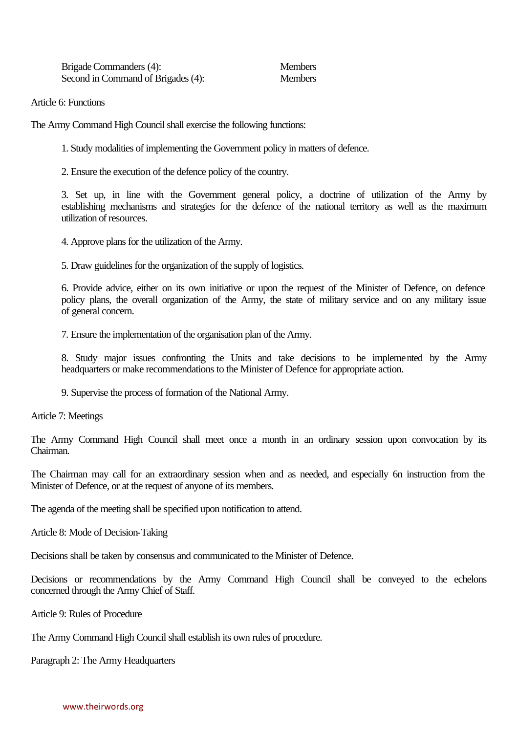Brigade Commanders (4): Members Second in Command of Brigades (4): Members

Article 6: Functions

The Army Command High Council shall exercise the following functions:

1. Study modalities of implementing the Government policy in matters of defence.

2. Ensure the execution of the defence policy of the country.

3. Set up, in line with the Government general policy, a doctrine of utilization of the Army by establishing mechanisms and strategies for the defence of the national territory as well as the maximum utilization of resources.

4. Approve plans for the utilization of the Army.

5. Draw guidelines for the organization of the supply of logistics.

6. Provide advice, either on its own initiative or upon the request of the Minister of Defence, on defence policy plans, the overall organization of the Army, the state of military service and on any military issue of general concern.

7. Ensure the implementation of the organisation plan of the Army.

8. Study major issues confronting the Units and take decisions to be implemented by the Army headquarters or make recommendations to the Minister of Defence for appropriate action.

9. Supervise the process of formation of the National Army.

Article 7: Meetings

The Army Command High Council shall meet once a month in an ordinary session upon convocation by its Chairman.

The Chairman may call for an extraordinary session when and as needed, and especially 6n instruction from the Minister of Defence, or at the request of anyone of its members.

The agenda of the meeting shall be specified upon notification to attend.

Article 8: Mode of Decision-Taking

Decisions shall be taken by consensus and communicated to the Minister of Defence.

Decisions or recommendations by the Army Command High Council shall be conveyed to the echelons concerned through the Army Chief of Staff.

Article 9: Rules of Procedure

The Army Command High Council shall establish its own rules of procedure.

Paragraph 2: The Army Headquarters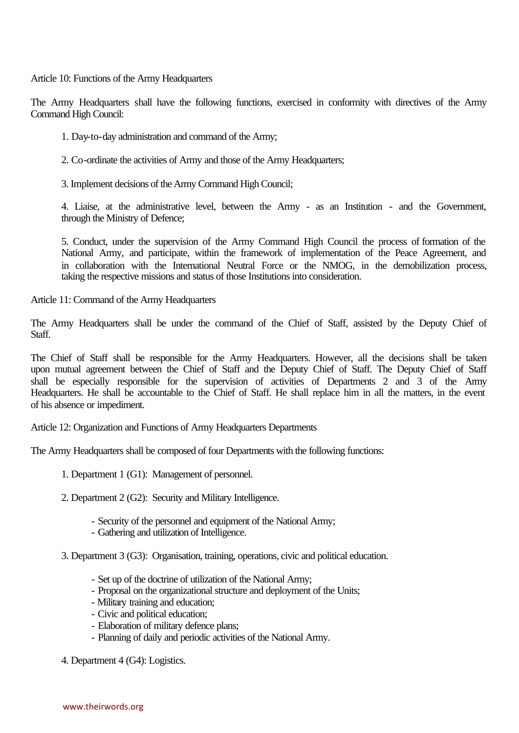Article 10: Functions of the Army Headquarters

The Army Headquarters shall have the following functions, exercised in conformity with directives of the Army Command High Council:

1. Day-to-day administration and command of the Army;

2. Co-ordinate the activities of Army and those of the Army Headquarters;

3. Implement decisions of the Army Command High Council;

4. Liaise, at the administrative level, between the Army - as an Institution - and the Government, through the Ministry of Defence;

5. Conduct, under the supervision of the Army Command High Council the process of formation of the National Army, and participate, within the framework of implementation of the Peace Agreement, and in collaboration with the International Neutral Force or the NMOG, in the demobilization process, taking the respective missions and status of those Institutions into consideration.

Article 11: Command of the Army Headquarters

The Army Headquarters shall be under the command of the Chief of Staff, assisted by the Deputy Chief of Staff.

The Chief of Staff shall be responsible for the Army Headquarters. However, all the decisions shall be taken upon mutual agreement between the Chief of Staff and the Deputy Chief of Staff. The Deputy Chief of Staff shall be especially responsible for the supervision of activities of Departments 2 and 3 of the Army Headquarters. He shall be accountable to the Chief of Staff. He shall replace him in all the matters, in the event of his absence or impediment.

Article 12: Organization and Functions of Army Headquarters Departments

The Army Headquarters shall be composed of four Departments with the following functions:

- 1. Department 1 (G1): Management of personnel.
- 2. Department 2 (G2): Security and Military Intelligence.
	- Security of the personnel and equipment of the National Army;
	- Gathering and utilization of Intelligence.
- 3. Department 3 (G3): Organisation, training, operations, civic and political education.
	- Set up of the doctrine of utilization of the National Army;
	- Proposal on the organizational structure and deployment of the Units;
	- Military training and education;
	- Civic and political education;
	- Elaboration of military defence plans;
	- Planning of daily and periodic activities of the National Army.

4. Department 4 (G4): Logistics.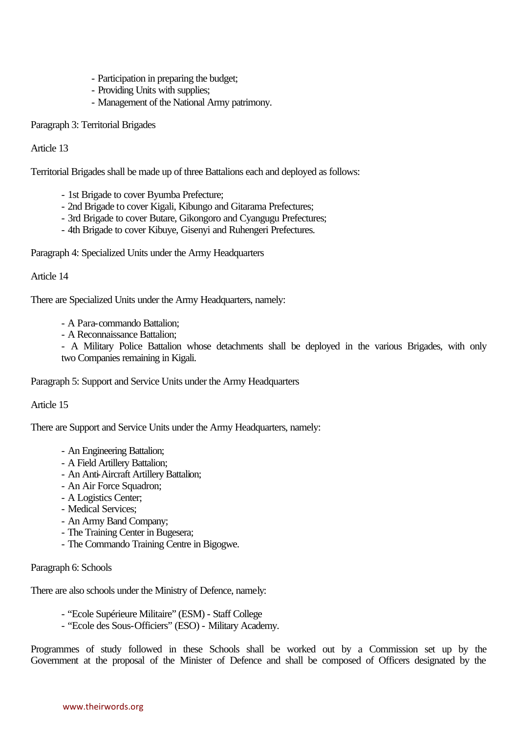- Participation in preparing the budget;
- Providing Units with supplies;
- Management of the National Army patrimony.

# Paragraph 3: Territorial Brigades

Article 13

Territorial Brigades shall be made up of three Battalions each and deployed as follows:

- 1st Brigade to cover Byumba Prefecture;
- 2nd Brigade to cover Kigali, Kibungo and Gitarama Prefectures;
- 3rd Brigade to cover Butare, Gikongoro and Cyangugu Prefectures;
- 4th Brigade to cover Kibuye, Gisenyi and Ruhengeri Prefectures.

Paragraph 4: Specialized Units under the Army Headquarters

# Article 14

There are Specialized Units under the Army Headquarters, namely:

- A Para-commando Battalion;
- A Reconnaissance Battalion;

- A Military Police Battalion whose detachments shall be deployed in the various Brigades, with only two Companies remaining in Kigali.

Paragraph 5: Support and Service Units under the Army Headquarters

# Article 15

There are Support and Service Units under the Army Headquarters, namely:

- An Engineering Battalion;
- A Field Artillery Battalion;
- An Anti-Aircraft Artillery Battalion;
- An Air Force Squadron;
- A Logistics Center;
- Medical Services;
- An Army Band Company;
- The Training Center in Bugesera;
- The Commando Training Centre in Bigogwe.

# Paragraph 6: Schools

There are also schools under the Ministry of Defence, namely:

- "Ecole Supérieure Militaire" (ESM) Staff College
- "Ecole des Sous-Officiers" (ESO) Military Academy.

Programmes of study followed in these Schools shall be worked out by a Commission set up by the Government at the proposal of the Minister of Defence and shall be composed of Officers designated by the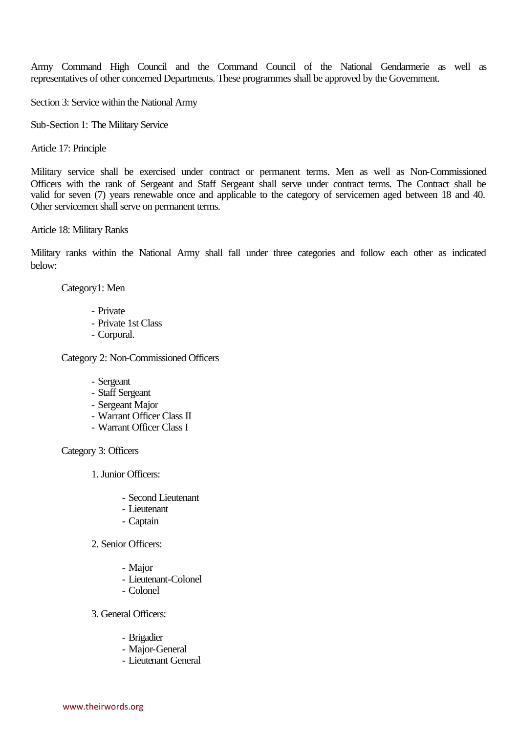Army Command High Council and the Command Council of the National Gendarmerie as well as representatives of other concerned Departments. These programmes shall be approved by the Government.

Section 3: Service within the National Army

Sub-Section 1: The Military Service

Article 17: Principle

Military service shall be exercised under contract or permanent terms. Men as well as Non-Commissioned Officers with the rank of Sergeant and Staff Sergeant shall serve under contract terms. The Contract shall be valid for seven (7) years renewable once and applicable to the category of servicemen aged between 18 and 40. Other servicemen shall serve on permanent terms.

Article 18: Military Ranks

Military ranks within the National Army shall fall under three categories and follow each other as indicated below:

Category1: Men

- Private
- Private 1st Class
- Corporal.

Category 2: Non-Commissioned Officers

- Sergeant
- Staff Sergeant
- Sergeant Major
- Warrant Officer Class II
- Warrant Officer Class I

Category 3: Officers

1. Junior Officers:

- Second Lieutenant
- Lieutenant
- Captain
- 2. Senior Officers:
	- Major
	- Lieutenant-Colonel
	- Colonel
- 3. General Officers:
	- Brigadier
	- Major-General
	- Lieutenant General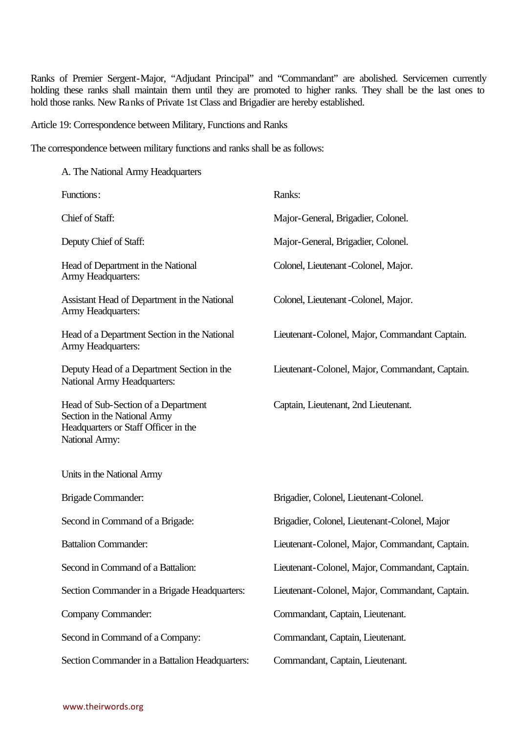Ranks of Premier Sergent-Major, "Adjudant Principal" and "Commandant" are abolished. Servicemen currently holding these ranks shall maintain them until they are promoted to higher ranks. They shall be the last ones to hold those ranks. New Ranks of Private 1st Class and Brigadier are hereby established.

Article 19: Correspondence between Military, Functions and Ranks

The correspondence between military functions and ranks shall be as follows:

| A. The National Army Headquarters                                                                                             |                                                 |
|-------------------------------------------------------------------------------------------------------------------------------|-------------------------------------------------|
| Functions:                                                                                                                    | Ranks:                                          |
| Chief of Staff:                                                                                                               | Major-General, Brigadier, Colonel.              |
| Deputy Chief of Staff:                                                                                                        | Major-General, Brigadier, Colonel.              |
| Head of Department in the National<br>Army Headquarters:                                                                      | Colonel, Lieutenant - Colonel, Major.           |
| Assistant Head of Department in the National<br>Army Headquarters:                                                            | Colonel, Lieutenant - Colonel, Major.           |
| Head of a Department Section in the National<br>Army Headquarters:                                                            | Lieutenant-Colonel, Major, Commandant Captain.  |
| Deputy Head of a Department Section in the<br>National Army Headquarters:                                                     | Lieutenant-Colonel, Major, Commandant, Captain. |
| Head of Sub-Section of a Department<br>Section in the National Army<br>Headquarters or Staff Officer in the<br>National Army: | Captain, Lieutenant, 2nd Lieutenant.            |
| Units in the National Army                                                                                                    |                                                 |
| Brigade Commander:                                                                                                            | Brigadier, Colonel, Lieutenant-Colonel.         |
| Second in Command of a Brigade:                                                                                               | Brigadier, Colonel, Lieutenant-Colonel, Major   |
| <b>Battalion Commander:</b>                                                                                                   | Lieutenant-Colonel, Major, Commandant, Captain. |
| Second in Command of a Battalion:                                                                                             | Lieutenant-Colonel, Major, Commandant, Captain. |
| Section Commander in a Brigade Headquarters:                                                                                  | Lieutenant-Colonel, Major, Commandant, Captain. |
| Company Commander:                                                                                                            | Commandant, Captain, Lieutenant.                |
| Second in Command of a Company:                                                                                               | Commandant, Captain, Lieutenant.                |
| Section Commander in a Battalion Headquarters:                                                                                | Commandant, Captain, Lieutenant.                |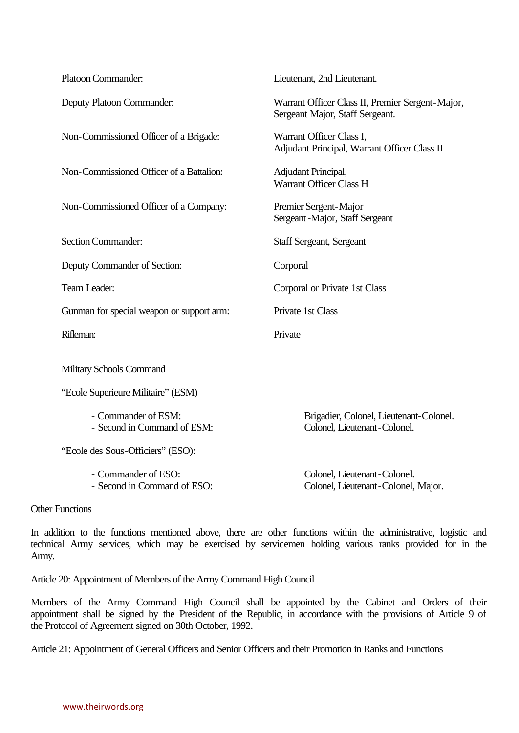| Platoon Commander:                                 | Lieutenant, 2nd Lieutenant.                                                         |
|----------------------------------------------------|-------------------------------------------------------------------------------------|
| Deputy Platoon Commander:                          | Warrant Officer Class II, Premier Sergent-Major,<br>Sergeant Major, Staff Sergeant. |
| Non-Commissioned Officer of a Brigade:             | Warrant Officer Class I,<br>Adjudant Principal, Warrant Officer Class II            |
| Non-Commissioned Officer of a Battalion:           | Adjudant Principal,<br>Warrant Officer Class H                                      |
| Non-Commissioned Officer of a Company:             | Premier Sergent-Major<br>Sergeant - Major, Staff Sergeant                           |
| <b>Section Commander:</b>                          | <b>Staff Sergeant, Sergeant</b>                                                     |
| Deputy Commander of Section:                       | Corporal                                                                            |
| Team Leader:                                       | Corporal or Private 1st Class                                                       |
| Gunman for special weapon or support arm:          | Private 1st Class                                                                   |
| Rifleman:                                          | Private                                                                             |
| Military Schools Command                           |                                                                                     |
| "Ecole Superieure Militaire" (ESM)                 |                                                                                     |
| - Commander of ESM:<br>- Second in Command of ESM: | Brigadier, Colonel, Lieutenant-Colonel.<br>Colonel, Lieutenant-Colonel.             |
| "Ecole des Sous-Officiers" (ESO):                  |                                                                                     |
| - Commander of ESO:<br>- Second in Command of ESO: | Colonel, Lieutenant-Colonel.<br>Colonel, Lieutenant-Colonel, Major.                 |

Other Functions

In addition to the functions mentioned above, there are other functions within the administrative, logistic and technical Army services, which may be exercised by servicemen holding various ranks provided for in the Army.

Article 20: Appointment of Members of the Army Command High Council

Members of the Army Command High Council shall be appointed by the Cabinet and Orders of their appointment shall be signed by the President of the Republic, in accordance with the provisions of Article 9 of the Protocol of Agreement signed on 30th October, 1992.

Article 21: Appointment of General Officers and Senior Officers and their Promotion in Ranks and Functions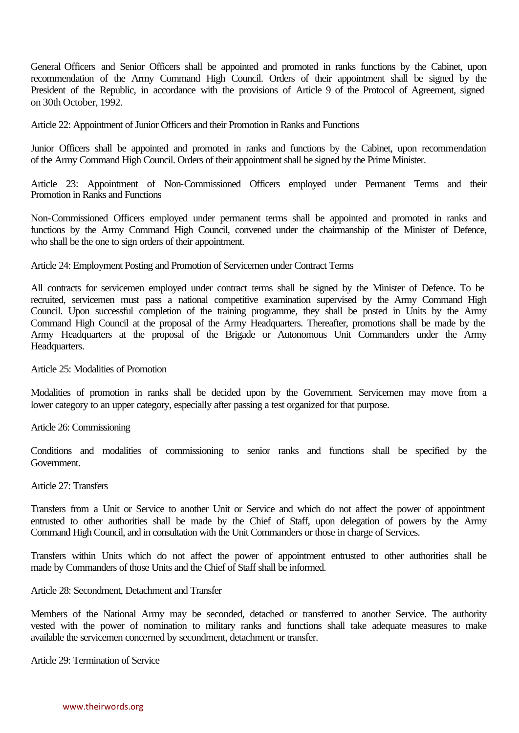General Officers and Senior Officers shall be appointed and promoted in ranks functions by the Cabinet, upon recommendation of the Army Command High Council. Orders of their appointment shall be signed by the President of the Republic, in accordance with the provisions of Article 9 of the Protocol of Agreement, signed on 30th October, 1992.

Article 22: Appointment of Junior Officers and their Promotion in Ranks and Functions

Junior Officers shall be appointed and promoted in ranks and functions by the Cabinet, upon recommendation of the Army Command High Council. Orders of their appointment shall be signed by the Prime Minister.

Article 23: Appointment of Non-Commissioned Officers employed under Permanent Terms and their Promotion in Ranks and Functions

Non-Commissioned Officers employed under permanent terms shall be appointed and promoted in ranks and functions by the Army Command High Council, convened under the chairmanship of the Minister of Defence, who shall be the one to sign orders of their appointment.

Article 24: Employment Posting and Promotion of Servicemen under Contract Terms

All contracts for servicemen employed under contract terms shall be signed by the Minister of Defence. To be recruited, servicemen must pass a national competitive examination supervised by the Army Command High Council. Upon successful completion of the training programme, they shall be posted in Units by the Army Command High Council at the proposal of the Army Headquarters. Thereafter, promotions shall be made by the Army Headquarters at the proposal of the Brigade or Autonomous Unit Commanders under the Army Headquarters.

Article 25: Modalities of Promotion

Modalities of promotion in ranks shall be decided upon by the Government. Servicemen may move from a lower category to an upper category, especially after passing a test organized for that purpose.

Article 26: Commissioning

Conditions and modalities of commissioning to senior ranks and functions shall be specified by the Government.

Article 27: Transfers

Transfers from a Unit or Service to another Unit or Service and which do not affect the power of appointment entrusted to other authorities shall be made by the Chief of Staff, upon delegation of powers by the Army Command High Council, and in consultation with the Unit Commanders or those in charge of Services.

Transfers within Units which do not affect the power of appointment entrusted to other authorities shall be made by Commanders of those Units and the Chief of Staff shall be informed.

Article 28: Secondment, Detachment and Transfer

Members of the National Army may be seconded, detached or transferred to another Service. The authority vested with the power of nomination to military ranks and functions shall take adequate measures to make available the servicemen concerned by secondment, detachment or transfer.

Article 29: Termination of Service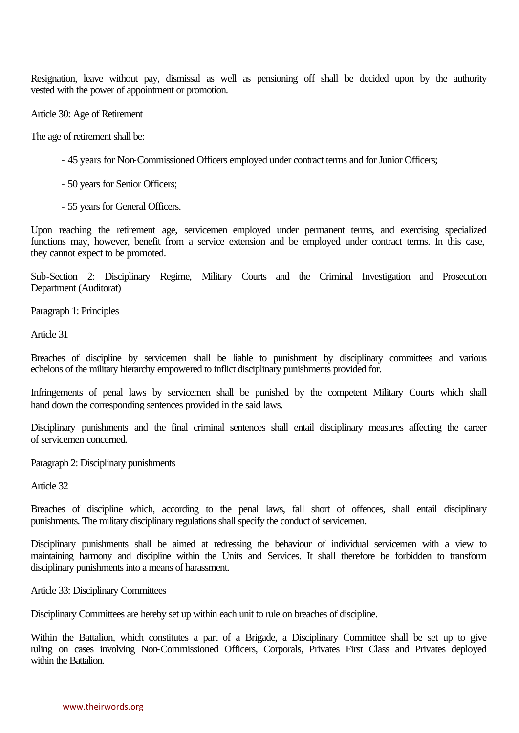Resignation, leave without pay, dismissal as well as pensioning off shall be decided upon by the authority vested with the power of appointment or promotion.

Article 30: Age of Retirement

The age of retirement shall be:

- 45 years for Non-Commissioned Officers employed under contract terms and for Junior Officers;
- 50 years for Senior Officers;
- 55 years for General Officers.

Upon reaching the retirement age, servicemen employed under permanent terms, and exercising specialized functions may, however, benefit from a service extension and be employed under contract terms. In this case, they cannot expect to be promoted.

Sub-Section 2: Disciplinary Regime, Military Courts and the Criminal Investigation and Prosecution Department (Auditorat)

Paragraph 1: Principles

Article 31

Breaches of discipline by servicemen shall be liable to punishment by disciplinary committees and various echelons of the military hierarchy empowered to inflict disciplinary punishments provided for.

Infringements of penal laws by servicemen shall be punished by the competent Military Courts which shall hand down the corresponding sentences provided in the said laws.

Disciplinary punishments and the final criminal sentences shall entail disciplinary measures affecting the career of servicemen concerned.

Paragraph 2: Disciplinary punishments

Article 32

Breaches of discipline which, according to the penal laws, fall short of offences, shall entail disciplinary punishments. The military disciplinary regulations shall specify the conduct of servicemen.

Disciplinary punishments shall be aimed at redressing the behaviour of individual servicemen with a view to maintaining harmony and discipline within the Units and Services. It shall therefore be forbidden to transform disciplinary punishments into a means of harassment.

Article 33: Disciplinary Committees

Disciplinary Committees are hereby set up within each unit to rule on breaches of discipline.

Within the Battalion, which constitutes a part of a Brigade, a Disciplinary Committee shall be set up to give ruling on cases involving Non-Commissioned Officers, Corporals, Privates First Class and Privates deployed within the Battalion.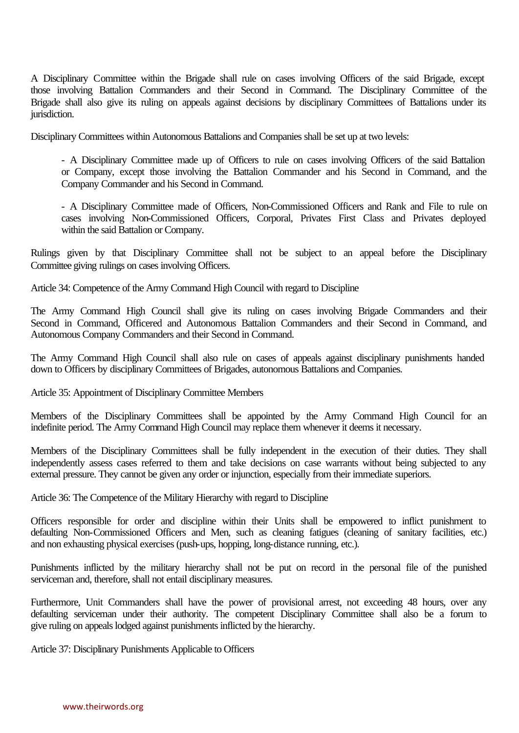A Disciplinary Committee within the Brigade shall rule on cases involving Officers of the said Brigade, except those involving Battalion Commanders and their Second in Command. The Disciplinary Committee of the Brigade shall also give its ruling on appeals against decisions by disciplinary Committees of Battalions under its jurisdiction.

Disciplinary Committees within Autonomous Battalions and Companies shall be set up at two levels:

- A Disciplinary Committee made up of Officers to rule on cases involving Officers of the said Battalion or Company, except those involving the Battalion Commander and his Second in Command, and the Company Commander and his Second in Command.

- A Disciplinary Committee made of Officers, Non-Commissioned Officers and Rank and File to rule on cases involving Non-Commissioned Officers, Corporal, Privates First Class and Privates deployed within the said Battalion or Company.

Rulings given by that Disciplinary Committee shall not be subject to an appeal before the Disciplinary Committee giving rulings on cases involving Officers.

Article 34: Competence of the Army Command High Council with regard to Discipline

The Army Command High Council shall give its ruling on cases involving Brigade Commanders and their Second in Command, Officered and Autonomous Battalion Commanders and their Second in Command, and Autonomous Company Commanders and their Second in Command.

The Army Command High Council shall also rule on cases of appeals against disciplinary punishments handed down to Officers by disciplinary Committees of Brigades, autonomous Battalions and Companies.

Article 35: Appointment of Disciplinary Committee Members

Members of the Disciplinary Committees shall be appointed by the Army Command High Council for an indefinite period. The Army Command High Council may replace them whenever it deems it necessary.

Members of the Disciplinary Committees shall be fully independent in the execution of their duties. They shall independently assess cases referred to them and take decisions on case warrants without being subjected to any external pressure. They cannot be given any order or injunction, especially from their immediate superiors.

Article 36: The Competence of the Military Hierarchy with regard to Discipline

Officers responsible for order and discipline within their Units shall be empowered to inflict punishment to defaulting Non-Commissioned Officers and Men, such as cleaning fatigues (cleaning of sanitary facilities, etc.) and non exhausting physical exercises (push-ups, hopping, long-distance running, etc.).

Punishments inflicted by the military hierarchy shall not be put on record in the personal file of the punished serviceman and, therefore, shall not entail disciplinary measures.

Furthermore, Unit Commanders shall have the power of provisional arrest, not exceeding 48 hours, over any defaulting serviceman under their authority. The competent Disciplinary Committee shall also be a forum to give ruling on appeals lodged against punishments inflicted by the hierarchy.

Article 37: Disciplinary Punishments Applicable to Officers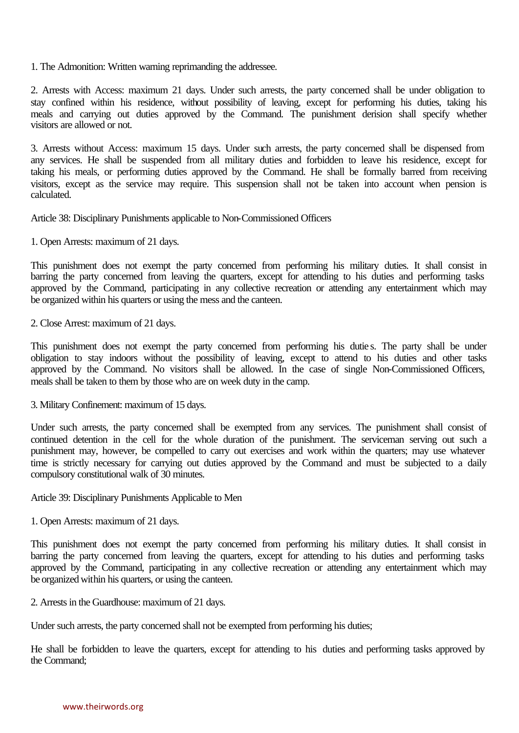1. The Admonition: Written warning reprimanding the addressee.

2. Arrests with Access: maximum 21 days. Under such arrests, the party concerned shall be under obligation to stay confined within his residence, without possibility of leaving, except for performing his duties, taking his meals and carrying out duties approved by the Command. The punishment derision shall specify whether visitors are allowed or not.

3. Arrests without Access: maximum 15 days. Under such arrests, the party concerned shall be dispensed from any services. He shall be suspended from all military duties and forbidden to leave his residence, except for taking his meals, or performing duties approved by the Command. He shall be formally barred from receiving visitors, except as the service may require. This suspension shall not be taken into account when pension is calculated.

Article 38: Disciplinary Punishments applicable to Non-Commissioned Officers

1. Open Arrests: maximum of 21 days.

This punishment does not exempt the party concerned from performing his military duties. It shall consist in barring the party concerned from leaving the quarters, except for attending to his duties and performing tasks approved by the Command, participating in any collective recreation or attending any entertainment which may be organized within his quarters or using the mess and the canteen.

2. Close Arrest: maximum of 21 days.

This punishment does not exempt the party concerned from performing his dutie s. The party shall be under obligation to stay indoors without the possibility of leaving, except to attend to his duties and other tasks approved by the Command. No visitors shall be allowed. In the case of single Non-Commissioned Officers, meals shall be taken to them by those who are on week duty in the camp.

3. Military Confinement: maximum of 15 days.

Under such arrests, the party concerned shall be exempted from any services. The punishment shall consist of continued detention in the cell for the whole duration of the punishment. The serviceman serving out such a punishment may, however, be compelled to carry out exercises and work within the quarters; may use whatever time is strictly necessary for carrying out duties approved by the Command and must be subjected to a daily compulsory constitutional walk of 30 minutes.

Article 39: Disciplinary Punishments Applicable to Men

1. Open Arrests: maximum of 21 days.

This punishment does not exempt the party concerned from performing his military duties. It shall consist in barring the party concerned from leaving the quarters, except for attending to his duties and performing tasks approved by the Command, participating in any collective recreation or attending any entertainment which may be organized within his quarters, or using the canteen.

2. Arrests in the Guardhouse: maximum of 21 days.

Under such arrests, the party concerned shall not be exempted from performing his duties;

He shall be forbidden to leave the quarters, except for attending to his duties and performing tasks approved by the Command;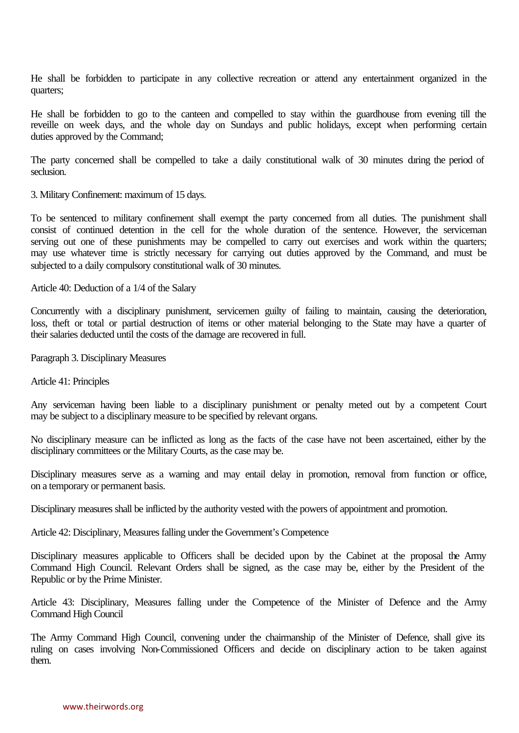He shall be forbidden to participate in any collective recreation or attend any entertainment organized in the quarters;

He shall be forbidden to go to the canteen and compelled to stay within the guardhouse from evening till the reveille on week days, and the whole day on Sundays and public holidays, except when performing certain duties approved by the Command;

The party concerned shall be compelled to take a daily constitutional walk of 30 minutes during the period of seclusion.

3. Military Confinement: maximum of 15 days.

To be sentenced to military confinement shall exempt the party concerned from all duties. The punishment shall consist of continued detention in the cell for the whole duration of the sentence. However, the serviceman serving out one of these punishments may be compelled to carry out exercises and work within the quarters; may use whatever time is strictly necessary for carrying out duties approved by the Command, and must be subjected to a daily compulsory constitutional walk of 30 minutes.

Article 40: Deduction of a 1/4 of the Salary

Concurrently with a disciplinary punishment, servicemen guilty of failing to maintain, causing the deterioration, loss, theft or total or partial destruction of items or other material belonging to the State may have a quarter of their salaries deducted until the costs of the damage are recovered in full.

Paragraph 3. Disciplinary Measures

Article 41: Principles

Any serviceman having been liable to a disciplinary punishment or penalty meted out by a competent Court may be subject to a disciplinary measure to be specified by relevant organs.

No disciplinary measure can be inflicted as long as the facts of the case have not been ascertained, either by the disciplinary committees or the Military Courts, as the case may be.

Disciplinary measures serve as a warning and may entail delay in promotion, removal from function or office, on a temporary or permanent basis.

Disciplinary measures shall be inflicted by the authority vested with the powers of appointment and promotion.

Article 42: Disciplinary, Measures falling under the Government's Competence

Disciplinary measures applicable to Officers shall be decided upon by the Cabinet at the proposal the Army Command High Council. Relevant Orders shall be signed, as the case may be, either by the President of the Republic or by the Prime Minister.

Article 43: Disciplinary, Measures falling under the Competence of the Minister of Defence and the Army Command High Council

The Army Command High Council, convening under the chairmanship of the Minister of Defence, shall give its ruling on cases involving Non-Commissioned Officers and decide on disciplinary action to be taken against them.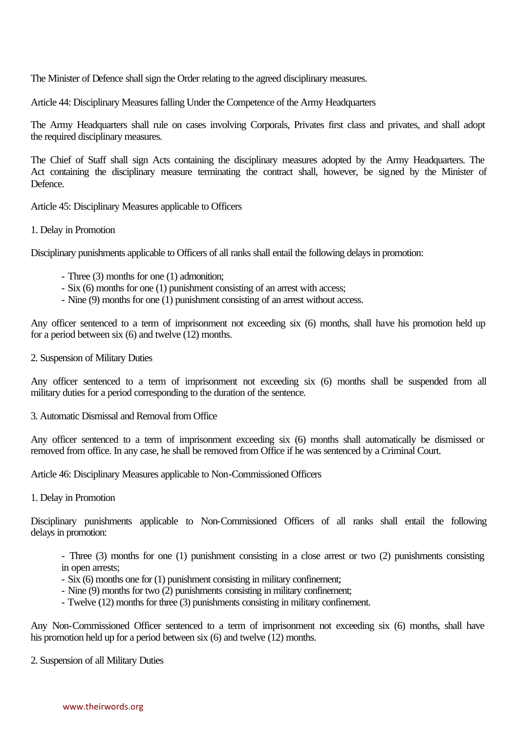The Minister of Defence shall sign the Order relating to the agreed disciplinary measures.

Article 44: Disciplinary Measures falling Under the Competence of the Army Headquarters

The Army Headquarters shall rule on cases involving Corporals, Privates first class and privates, and shall adopt the required disciplinary measures.

The Chief of Staff shall sign Acts containing the disciplinary measures adopted by the Army Headquarters. The Act containing the disciplinary measure terminating the contract shall, however, be signed by the Minister of Defence.

Article 45: Disciplinary Measures applicable to Officers

1. Delay in Promotion

Disciplinary punishments applicable to Officers of all ranks shall entail the following delays in promotion:

- Three (3) months for one (1) admonition;
- Six (6) months for one (1) punishment consisting of an arrest with access;
- Nine (9) months for one (1) punishment consisting of an arrest without access.

Any officer sentenced to a term of imprisonment not exceeding six (6) months, shall have his promotion held up for a period between six (6) and twelve (12) months.

#### 2. Suspension of Military Duties

Any officer sentenced to a term of imprisonment not exceeding six (6) months shall be suspended from all military duties for a period corresponding to the duration of the sentence.

3. Automatic Dismissal and Removal from Office

Any officer sentenced to a term of imprisonment exceeding six (6) months shall automatically be dismissed or removed from office. In any case, he shall be removed from Office if he was sentenced by a Criminal Court.

Article 46: Disciplinary Measures applicable to Non-Commissioned Officers

1. Delay in Promotion

Disciplinary punishments applicable to Non-Commissioned Officers of all ranks shall entail the following delays in promotion:

- Three (3) months for one (1) punishment consisting in a close arrest or two (2) punishments consisting in open arrests;

- Six (6) months one for (1) punishment consisting in military confinement;
- Nine (9) months for two (2) punishments consisting in military confinement;
- Twelve (12) months for three (3) punishments consisting in military confinement.

Any Non-Commissioned Officer sentenced to a term of imprisonment not exceeding six (6) months, shall have his promotion held up for a period between six (6) and twelve (12) months.

2. Suspension of all Military Duties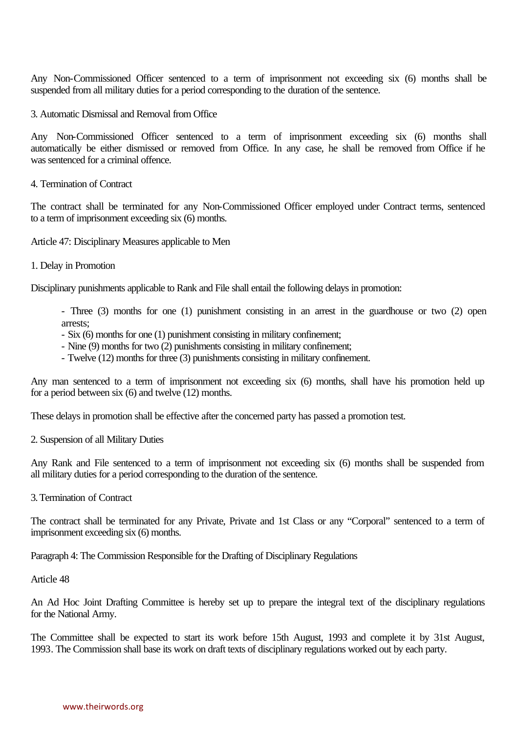Any Non-Commissioned Officer sentenced to a term of imprisonment not exceeding six (6) months shall be suspended from all military duties for a period corresponding to the duration of the sentence.

3. Automatic Dismissal and Removal from Office

Any Non-Commissioned Officer sentenced to a term of imprisonment exceeding six (6) months shall automatically be either dismissed or removed from Office. In any case, he shall be removed from Office if he was sentenced for a criminal offence.

4. Termination of Contract

The contract shall be terminated for any Non-Commissioned Officer employed under Contract terms, sentenced to a term of imprisonment exceeding six (6) months.

Article 47: Disciplinary Measures applicable to Men

1. Delay in Promotion

Disciplinary punishments applicable to Rank and File shall entail the following delays in promotion:

- Three (3) months for one (1) punishment consisting in an arrest in the guardhouse or two (2) open arrests;

- Six (6) months for one (1) punishment consisting in military confinement;
- Nine (9) months for two (2) punishments consisting in military confinement;
- Twelve (12) months for three (3) punishments consisting in military confinement.

Any man sentenced to a term of imprisonment not exceeding six (6) months, shall have his promotion held up for a period between six (6) and twelve (12) months.

These delays in promotion shall be effective after the concerned party has passed a promotion test.

2. Suspension of all Military Duties

Any Rank and File sentenced to a term of imprisonment not exceeding six (6) months shall be suspended from all military duties for a period corresponding to the duration of the sentence.

3. Termination of Contract

The contract shall be terminated for any Private, Private and 1st Class or any "Corporal" sentenced to a term of imprisonment exceeding six (6) months.

Paragraph 4: The Commission Responsible for the Drafting of Disciplinary Regulations

Article 48

An Ad Hoc Joint Drafting Committee is hereby set up to prepare the integral text of the disciplinary regulations for the National Army.

The Committee shall be expected to start its work before 15th August, 1993 and complete it by 31st August, 1993. The Commission shall base its work on draft texts of disciplinary regulations worked out by each party.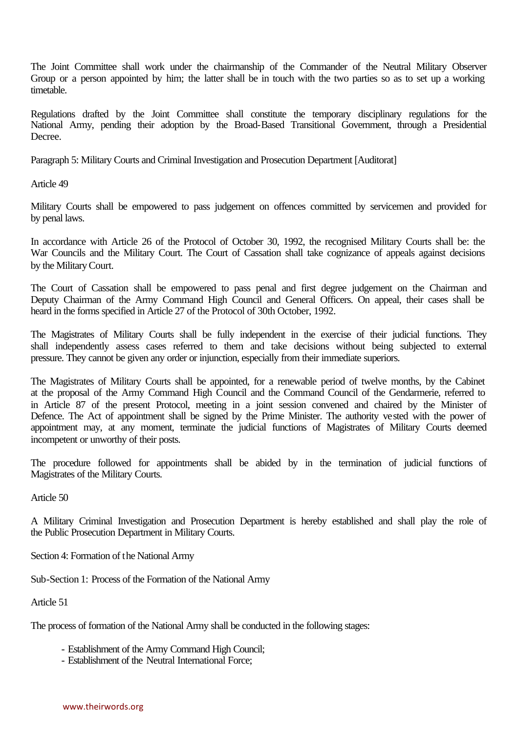The Joint Committee shall work under the chairmanship of the Commander of the Neutral Military Observer Group or a person appointed by him; the latter shall be in touch with the two parties so as to set up a working timetable.

Regulations drafted by the Joint Committee shall constitute the temporary disciplinary regulations for the National Army, pending their adoption by the Broad-Based Transitional Government, through a Presidential Decree.

Paragraph 5: Military Courts and Criminal Investigation and Prosecution Department [Auditorat]

Article 49

Military Courts shall be empowered to pass judgement on offences committed by servicemen and provided for by penal laws.

In accordance with Article 26 of the Protocol of October 30, 1992, the recognised Military Courts shall be: the War Councils and the Military Court. The Court of Cassation shall take cognizance of appeals against decisions by the Military Court.

The Court of Cassation shall be empowered to pass penal and first degree judgement on the Chairman and Deputy Chairman of the Army Command High Council and General Officers. On appeal, their cases shall be heard in the forms specified in Article 27 of the Protocol of 30th October, 1992.

The Magistrates of Military Courts shall be fully independent in the exercise of their judicial functions. They shall independently assess cases referred to them and take decisions without being subjected to external pressure. They cannot be given any order or injunction, especially from their immediate superiors.

The Magistrates of Military Courts shall be appointed, for a renewable period of twelve months, by the Cabinet at the proposal of the Army Command High Council and the Command Council of the Gendarmerie, referred to in Article 87 of the present Protocol, meeting in a joint session convened and chaired by the Minister of Defence. The Act of appointment shall be signed by the Prime Minister. The authority vested with the power of appointment may, at any moment, terminate the judicial functions of Magistrates of Military Courts deemed incompetent or unworthy of their posts.

The procedure followed for appointments shall be abided by in the termination of judicial functions of Magistrates of the Military Courts.

Article 50

A Military Criminal Investigation and Prosecution Department is hereby established and shall play the role of the Public Prosecution Department in Military Courts.

Section 4: Formation of the National Army

Sub-Section 1: Process of the Formation of the National Army

Article 51

The process of formation of the National Army shall be conducted in the following stages:

- Establishment of the Army Command High Council;
- Establishment of the Neutral International Force;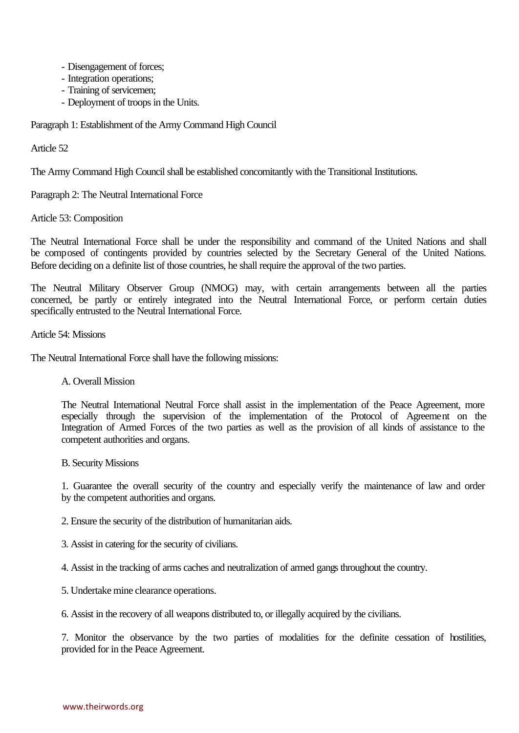- Disengagement of forces;
- Integration operations;
- Training of servicemen;
- Deployment of troops in the Units.

Paragraph 1: Establishment of the Army Command High Council

Article 52

The Army Command High Council shall be established concomitantly with the Transitional Institutions.

Paragraph 2: The Neutral International Force

Article 53: Composition

The Neutral International Force shall be under the responsibility and command of the United Nations and shall be composed of contingents provided by countries selected by the Secretary General of the United Nations. Before deciding on a definite list of those countries, he shall require the approval of the two parties.

The Neutral Military Observer Group (NMOG) may, with certain arrangements between all the parties concerned, be partly or entirely integrated into the Neutral International Force, or perform certain duties specifically entrusted to the Neutral International Force.

Article 54: Missions

The Neutral International Force shall have the following missions:

# A. Overall Mission

The Neutral International Neutral Force shall assist in the implementation of the Peace Agreement, more especially through the supervision of the implementation of the Protocol of Agreement on the Integration of Armed Forces of the two parties as well as the provision of all kinds of assistance to the competent authorities and organs.

B. Security Missions

1. Guarantee the overall security of the country and especially verify the maintenance of law and order by the competent authorities and organs.

2. Ensure the security of the distribution of humanitarian aids.

3. Assist in catering for the security of civilians.

4. Assist in the tracking of arms caches and neutralization of armed gangs throughout the country.

5. Undertake mine clearance operations.

6. Assist in the recovery of all weapons distributed to, or illegally acquired by the civilians.

7. Monitor the observance by the two parties of modalities for the definite cessation of hostilities, provided for in the Peace Agreement.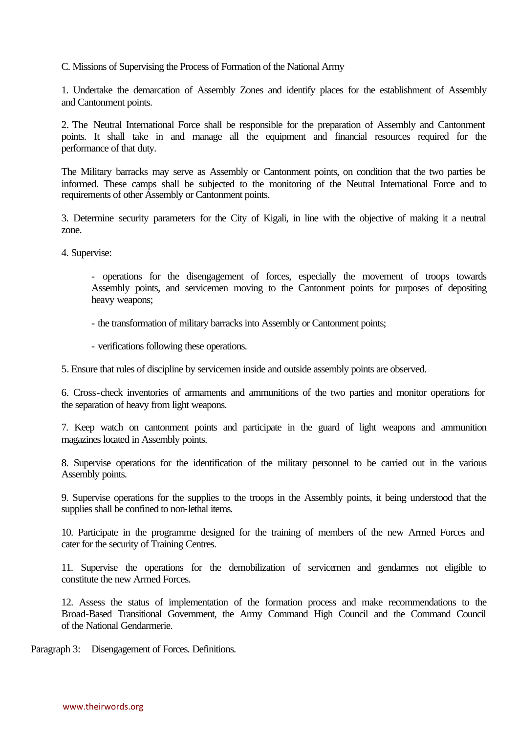C. Missions of Supervising the Process of Formation of the National Army

1. Undertake the demarcation of Assembly Zones and identify places for the establishment of Assembly and Cantonment points.

2. The Neutral International Force shall be responsible for the preparation of Assembly and Cantonment points. It shall take in and manage all the equipment and financial resources required for the performance of that duty.

The Military barracks may serve as Assembly or Cantonment points, on condition that the two parties be informed. These camps shall be subjected to the monitoring of the Neutral International Force and to requirements of other Assembly or Cantonment points.

3. Determine security parameters for the City of Kigali, in line with the objective of making it a neutral zone.

4. Supervise:

- operations for the disengagement of forces, especially the movement of troops towards Assembly points, and servicemen moving to the Cantonment points for purposes of depositing heavy weapons;

- the transformation of military barracks into Assembly or Cantonment points;
- verifications following these operations.

5. Ensure that rules of discipline by servicemen inside and outside assembly points are observed.

6. Cross-check inventories of armaments and ammunitions of the two parties and monitor operations for the separation of heavy from light weapons.

7. Keep watch on cantonment points and participate in the guard of light weapons and ammunition magazines located in Assembly points.

8. Supervise operations for the identification of the military personnel to be carried out in the various Assembly points.

9. Supervise operations for the supplies to the troops in the Assembly points, it being understood that the supplies shall be confined to non-lethal items.

10. Participate in the programme designed for the training of members of the new Armed Forces and cater for the security of Training Centres.

11. Supervise the operations for the demobilization of servicemen and gendarmes not eligible to constitute the new Armed Forces.

12. Assess the status of implementation of the formation process and make recommendations to the Broad-Based Transitional Government, the Army Command High Council and the Command Council of the National Gendarmerie.

Paragraph 3: Disengagement of Forces. Definitions.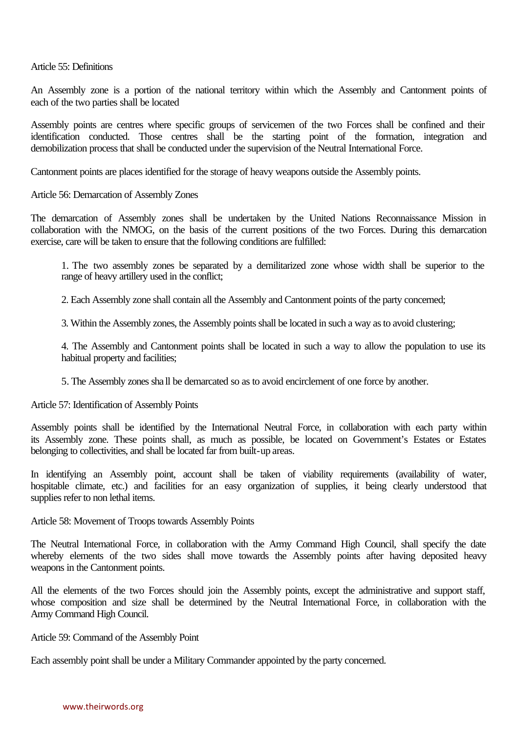Article 55: Definitions

An Assembly zone is a portion of the national territory within which the Assembly and Cantonment points of each of the two parties shall be located

Assembly points are centres where specific groups of servicemen of the two Forces shall be confined and their identification conducted. Those centres shall be the starting point of the formation, integration and demobilization process that shall be conducted under the supervision of the Neutral International Force.

Cantonment points are places identified for the storage of heavy weapons outside the Assembly points.

Article 56: Demarcation of Assembly Zones

The demarcation of Assembly zones shall be undertaken by the United Nations Reconnaissance Mission in collaboration with the NMOG, on the basis of the current positions of the two Forces. During this demarcation exercise, care will be taken to ensure that the following conditions are fulfilled:

1. The two assembly zones be separated by a demilitarized zone whose width shall be superior to the range of heavy artillery used in the conflict;

2. Each Assembly zone shall contain all the Assembly and Cantonment points of the party concerned;

3. Within the Assembly zones, the Assembly points shall be located in such a way as to avoid clustering;

4. The Assembly and Cantonment points shall be located in such a way to allow the population to use its habitual property and facilities;

5. The Assembly zones sha ll be demarcated so as to avoid encirclement of one force by another.

Article 57: Identification of Assembly Points

Assembly points shall be identified by the International Neutral Force, in collaboration with each party within its Assembly zone. These points shall, as much as possible, be located on Government's Estates or Estates belonging to collectivities, and shall be located far from built-up areas.

In identifying an Assembly point, account shall be taken of viability requirements (availability of water, hospitable climate, etc.) and facilities for an easy organization of supplies, it being clearly understood that supplies refer to non lethal items.

Article 58: Movement of Troops towards Assembly Points

The Neutral International Force, in collaboration with the Army Command High Council, shall specify the date whereby elements of the two sides shall move towards the Assembly points after having deposited heavy weapons in the Cantonment points.

All the elements of the two Forces should join the Assembly points, except the administrative and support staff, whose composition and size shall be determined by the Neutral International Force, in collaboration with the Army Command High Council.

Article 59: Command of the Assembly Point

Each assembly point shall be under a Military Commander appointed by the party concerned.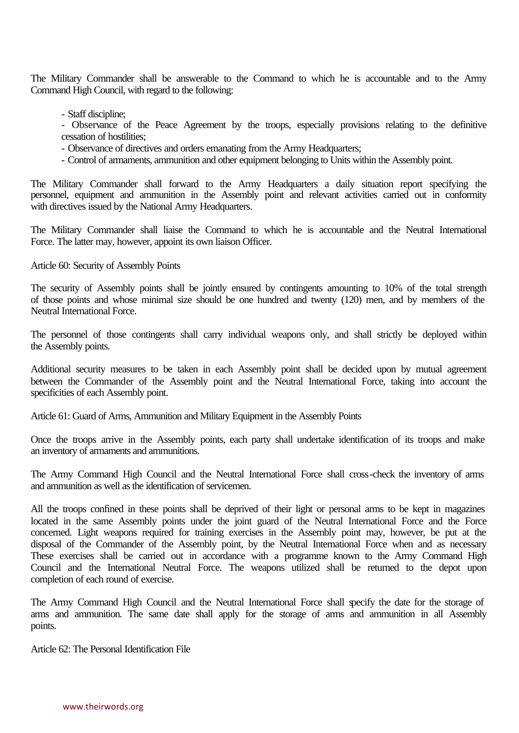The Military Commander shall be answerable to the Command to which he is accountable and to the Army Command High Council, with regard to the following:

- Staff discipline;
- Observance of the Peace Agreement by the troops, especially provisions relating to the definitive cessation of hostilities;
- Observance of directives and orders emanating from the Army Headquarters;
- Control of armaments, ammunition and other equipment belonging to Units within the Assembly point.

The Military Commander shall forward to the Army Headquarters a daily situation report specifying the personnel, equipment and ammunition in the Assembly point and relevant activities carried out in conformity with directives issued by the National Army Headquarters.

The Military Commander shall liaise the Command to which he is accountable and the Neutral International Force. The latter may, however, appoint its own liaison Officer.

Article 60: Security of Assembly Points

The security of Assembly points shall be jointly ensured by contingents amounting to 10% of the total strength of those points and whose minimal size should be one hundred and twenty (120) men, and by members of the Neutral International Force.

The personnel of those contingents shall carry individual weapons only, and shall strictly be deployed within the Assembly points.

Additional security measures to be taken in each Assembly point shall be decided upon by mutual agreement between the Commander of the Assembly point and the Neutral International Force, taking into account the specificities of each Assembly point.

Article 61: Guard of Arms, Ammunition and Military Equipment in the Assembly Points

Once the troops arrive in the Assembly points, each party shall undertake identification of its troops and make an inventory of armaments and ammunitions.

The Army Command High Council and the Neutral International Force shall cross-check the inventory of arms and ammunition as well as the identification of servicemen.

All the troops confined in these points shall be deprived of their light or personal arms to be kept in magazines located in the same Assembly points under the joint guard of the Neutral International Force and the Force concerned. Light weapons required for training exercises in the Assembly point may, however, be put at the disposal of the Commander of the Assembly point, by the Neutral International Force when and as necessary These exercises shall be carried out in accordance with a programme known to the Army Command High Council and the International Neutral Force. The weapons utilized shall be returned to the depot upon completion of each round of exercise.

The Army Command High Council and the Neutral International Force shall specify the date for the storage of arms and ammunition. The same date shall apply for the storage of arms and ammunition in all Assembly points.

Article 62: The Personal Identification File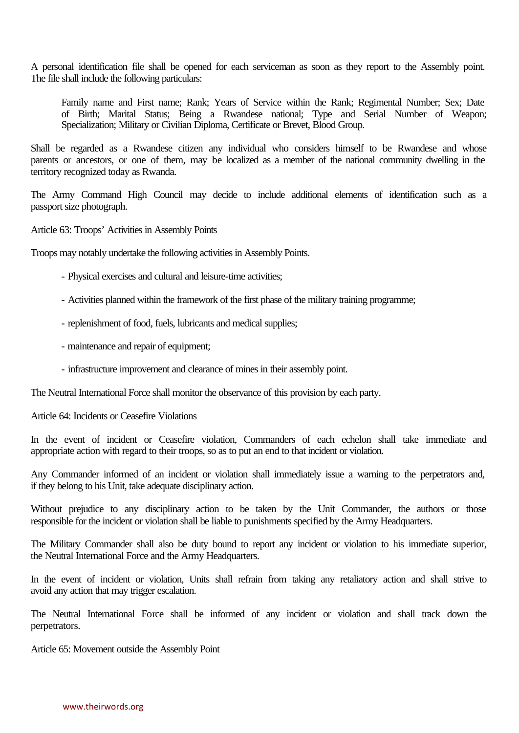A personal identification file shall be opened for each serviceman as soon as they report to the Assembly point. The file shall include the following particulars:

Family name and First name; Rank; Years of Service within the Rank; Regimental Number; Sex; Date of Birth; Marital Status; Being a Rwandese national; Type and Serial Number of Weapon; Specialization; Military or Civilian Diploma, Certificate or Brevet, Blood Group.

Shall be regarded as a Rwandese citizen any individual who considers himself to be Rwandese and whose parents or ancestors, or one of them, may be localized as a member of the national community dwelling in the territory recognized today as Rwanda.

The Army Command High Council may decide to include additional elements of identification such as a passport size photograph.

Article 63: Troops' Activities in Assembly Points

Troops may notably undertake the following activities in Assembly Points.

- Physical exercises and cultural and leisure-time activities;
- Activities planned within the framework of the first phase of the military training programme;
- replenishment of food, fuels, lubricants and medical supplies;
- maintenance and repair of equipment;
- infrastructure improvement and clearance of mines in their assembly point.

The Neutral International Force shall monitor the observance of this provision by each party.

Article 64: Incidents or Ceasefire Violations

In the event of incident or Ceasefire violation, Commanders of each echelon shall take immediate and appropriate action with regard to their troops, so as to put an end to that incident or violation.

Any Commander informed of an incident or violation shall immediately issue a warning to the perpetrators and, if they belong to his Unit, take adequate disciplinary action.

Without prejudice to any disciplinary action to be taken by the Unit Commander, the authors or those responsible for the incident or violation shall be liable to punishments specified by the Army Headquarters.

The Military Commander shall also be duty bound to report any incident or violation to his immediate superior, the Neutral International Force and the Army Headquarters.

In the event of incident or violation, Units shall refrain from taking any retaliatory action and shall strive to avoid any action that may trigger escalation.

The Neutral International Force shall be informed of any incident or violation and shall track down the perpetrators.

Article 65: Movement outside the Assembly Point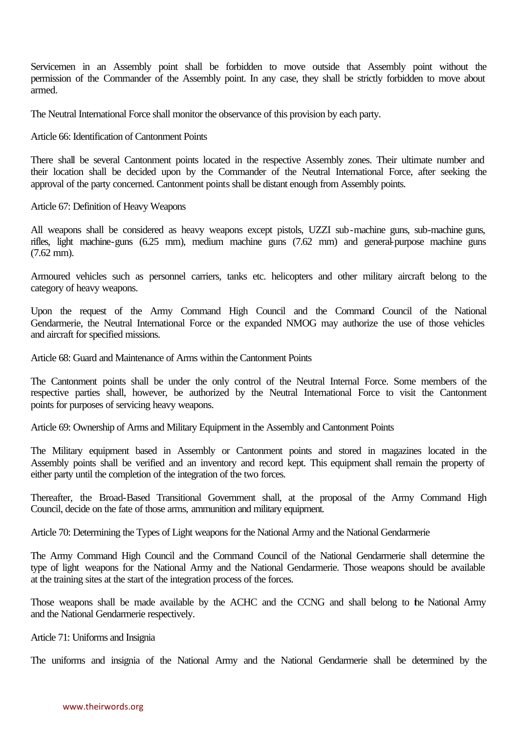Servicemen in an Assembly point shall be forbidden to move outside that Assembly point without the permission of the Commander of the Assembly point. In any case, they shall be strictly forbidden to move about armed.

The Neutral International Force shall monitor the observance of this provision by each party.

Article 66: Identification of Cantonment Points

There shall be several Cantonment points located in the respective Assembly zones. Their ultimate number and their location shall be decided upon by the Commander of the Neutral International Force, after seeking the approval of the party concerned. Cantonment points shall be distant enough from Assembly points.

Article 67: Definition of Heavy Weapons

All weapons shall be considered as heavy weapons except pistols, UZZI sub-machine guns, sub-machine guns, rifles, light machine-guns (6.25 mm), medium machine guns (7.62 mm) and general-purpose machine guns (7.62 mm).

Armoured vehicles such as personnel carriers, tanks etc. helicopters and other military aircraft belong to the category of heavy weapons.

Upon the request of the Army Command High Council and the Command Council of the National Gendarmerie, the Neutral International Force or the expanded NMOG may authorize the use of those vehicles and aircraft for specified missions.

Article 68: Guard and Maintenance of Arms within the Cantonment Points

The Cantonment points shall be under the only control of the Neutral Internal Force. Some members of the respective parties shall, however, be authorized by the Neutral International Force to visit the Cantonment points for purposes of servicing heavy weapons.

Article 69: Ownership of Arms and Military Equipment in the Assembly and Cantonment Points

The Military equipment based in Assembly or Cantonment points and stored in magazines located in the Assembly points shall be verified and an inventory and record kept. This equipment shall remain the property of either party until the completion of the integration of the two forces.

Thereafter, the Broad-Based Transitional Government shall, at the proposal of the Army Command High Council, decide on the fate of those arms, ammunition and military equipment.

Article 70: Determining the Types of Light weapons for the National Army and the National Gendarmerie

The Army Command High Council and the Command Council of the National Gendarmerie shall determine the type of light weapons for the National Army and the National Gendarmerie. Those weapons should be available at the training sites at the start of the integration process of the forces.

Those weapons shall be made available by the ACHC and the CCNG and shall belong to the National Army and the National Gendarmerie respectively.

Article 71: Uniforms and Insignia

The uniforms and insignia of the National Army and the National Gendarmerie shall be determined by the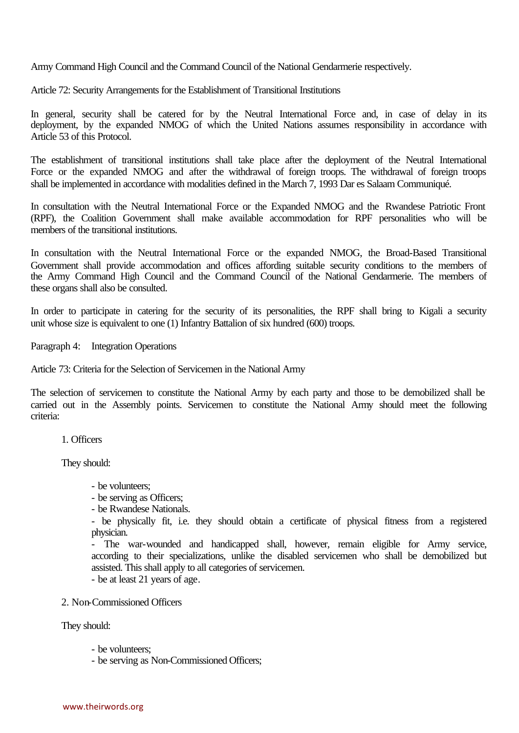Army Command High Council and the Command Council of the National Gendarmerie respectively.

Article 72: Security Arrangements for the Establishment of Transitional Institutions

In general, security shall be catered for by the Neutral International Force and, in case of delay in its deployment, by the expanded NMOG of which the United Nations assumes responsibility in accordance with Article 53 of this Protocol.

The establishment of transitional institutions shall take place after the deployment of the Neutral International Force or the expanded NMOG and after the withdrawal of foreign troops. The withdrawal of foreign troops shall be implemented in accordance with modalities defined in the March 7, 1993 Dar es Salaam Communiqué.

In consultation with the Neutral International Force or the Expanded NMOG and the Rwandese Patriotic Front (RPF), the Coalition Government shall make available accommodation for RPF personalities who will be members of the transitional institutions.

In consultation with the Neutral International Force or the expanded NMOG, the Broad-Based Transitional Government shall provide accommodation and offices affording suitable security conditions to the members of the Army Command High Council and the Command Council of the National Gendarmerie. The members of these organs shall also be consulted.

In order to participate in catering for the security of its personalities, the RPF shall bring to Kigali a security unit whose size is equivalent to one (1) Infantry Battalion of six hundred (600) troops.

Paragraph 4: Integration Operations

Article 73: Criteria for the Selection of Servicemen in the National Army

The selection of servicemen to constitute the National Army by each party and those to be demobilized shall be carried out in the Assembly points. Servicemen to constitute the National Army should meet the following criteria:

1. Officers

They should:

- be volunteers;
- be serving as Officers;
- be Rwandese Nationals.

- be physically fit, i.e. they should obtain a certificate of physical fitness from a registered physician.

- The war-wounded and handicapped shall, however, remain eligible for Army service, according to their specializations, unlike the disabled servicemen who shall be demobilized but assisted. This shall apply to all categories of servicemen.

- be at least 21 years of age.

2. Non-Commissioned Officers

They should:

- be volunteers;
- be serving as Non-Commissioned Officers;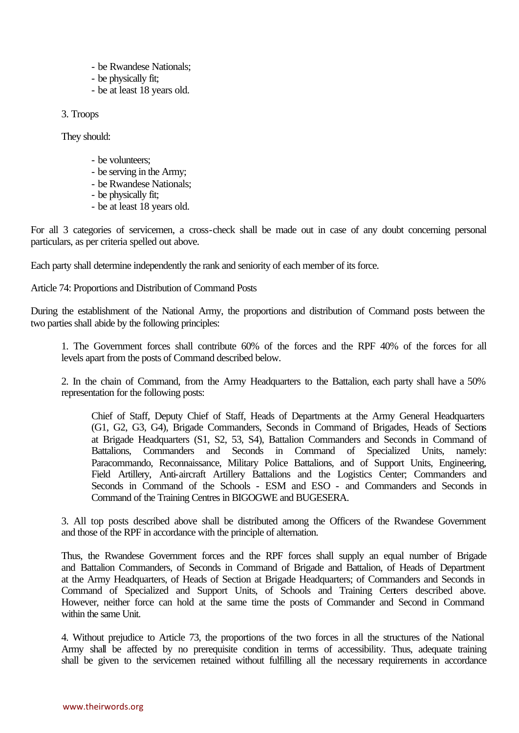- be Rwandese Nationals;
- be physically fit;
- be at least 18 years old.

3. Troops

They should:

- be volunteers;
- be serving in the Army;
- be Rwandese Nationals;
- be physically fit;
- be at least 18 years old.

For all 3 categories of servicemen, a cross-check shall be made out in case of any doubt concerning personal particulars, as per criteria spelled out above.

Each party shall determine independently the rank and seniority of each member of its force.

Article 74: Proportions and Distribution of Command Posts

During the establishment of the National Army, the proportions and distribution of Command posts between the two parties shall abide by the following principles:

1. The Government forces shall contribute 60% of the forces and the RPF 40% of the forces for all levels apart from the posts of Command described below.

2. In the chain of Command, from the Army Headquarters to the Battalion, each party shall have a 50% representation for the following posts:

Chief of Staff, Deputy Chief of Staff, Heads of Departments at the Army General Headquarters (G1, G2, G3, G4), Brigade Commanders, Seconds in Command of Brigades, Heads of Sections at Brigade Headquarters (S1, S2, 53, S4), Battalion Commanders and Seconds in Command of Battalions, Commanders and Seconds in Command of Specialized Units, namely: Paracommando, Reconnaissance, Military Police Battalions, and of Support Units, Engineering, Field Artillery, Anti-aircraft Artillery Battalions and the Logistics Center; Commanders and Seconds in Command of the Schools - ESM and ESO - and Commanders and Seconds in Command of the Training Centres in BIGOGWE and BUGESERA.

3. All top posts described above shall be distributed among the Officers of the Rwandese Government and those of the RPF in accordance with the principle of alternation.

Thus, the Rwandese Government forces and the RPF forces shall supply an equal number of Brigade and Battalion Commanders, of Seconds in Command of Brigade and Battalion, of Heads of Department at the Army Headquarters, of Heads of Section at Brigade Headquarters; of Commanders and Seconds in Command of Specialized and Support Units, of Schools and Training Centers described above. However, neither force can hold at the same time the posts of Commander and Second in Command within the same Unit.

4. Without prejudice to Article 73, the proportions of the two forces in all the structures of the National Army shall be affected by no prerequisite condition in terms of accessibility. Thus, adequate training shall be given to the servicemen retained without fulfilling all the necessary requirements in accordance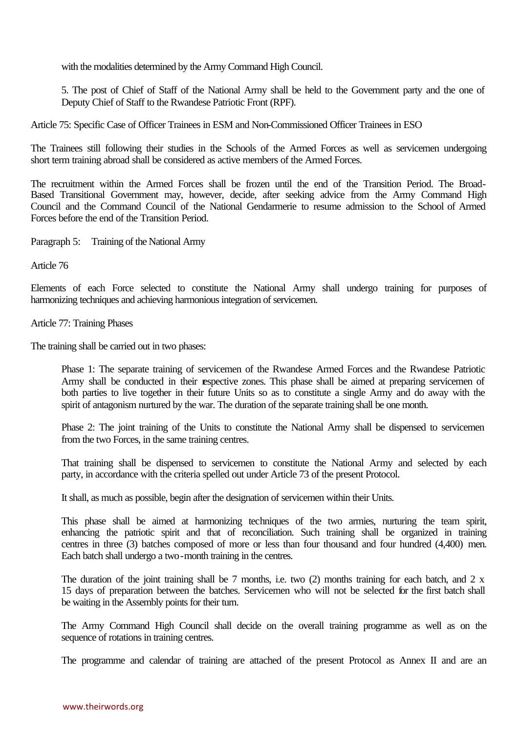with the modalities determined by the Army Command High Council.

5. The post of Chief of Staff of the National Army shall be held to the Government party and the one of Deputy Chief of Staff to the Rwandese Patriotic Front (RPF).

Article 75: Specific Case of Officer Trainees in ESM and Non-Commissioned Officer Trainees in ESO

The Trainees still following their studies in the Schools of the Armed Forces as well as servicemen undergoing short term training abroad shall be considered as active members of the Armed Forces.

The recruitment within the Armed Forces shall be frozen until the end of the Transition Period. The Broad-Based Transitional Government may, however, decide, after seeking advice from the Army Command High Council and the Command Council of the National Gendarmerie to resume admission to the School of Armed Forces before the end of the Transition Period.

Paragraph 5: Training of the National Army

Article 76

Elements of each Force selected to constitute the National Army shall undergo training for purposes of harmonizing techniques and achieving harmonious integration of servicemen.

Article 77: Training Phases

The training shall be carried out in two phases:

Phase 1: The separate training of servicemen of the Rwandese Armed Forces and the Rwandese Patriotic Army shall be conducted in their respective zones. This phase shall be aimed at preparing servicemen of both parties to live together in their future Units so as to constitute a single Army and do away with the spirit of antagonism nurtured by the war. The duration of the separate training shall be one month.

Phase 2: The joint training of the Units to constitute the National Army shall be dispensed to servicemen from the two Forces, in the same training centres.

That training shall be dispensed to servicemen to constitute the National Army and selected by each party, in accordance with the criteria spelled out under Article 73 of the present Protocol.

It shall, as much as possible, begin after the designation of servicemen within their Units.

This phase shall be aimed at harmonizing techniques of the two armies, nurturing the team spirit, enhancing the patriotic spirit and that of reconciliation. Such training shall be organized in training centres in three (3) batches composed of more or less than four thousand and four hundred (4,400) men. Each batch shall undergo a two-month training in the centres.

The duration of the joint training shall be 7 months, i.e. two  $(2)$  months training for each batch, and 2 x 15 days of preparation between the batches. Servicemen who will not be selected for the first batch shall be waiting in the Assembly points for their turn.

The Army Command High Council shall decide on the overall training programme as well as on the sequence of rotations in training centres.

The programme and calendar of training are attached of the present Protocol as Annex II and are an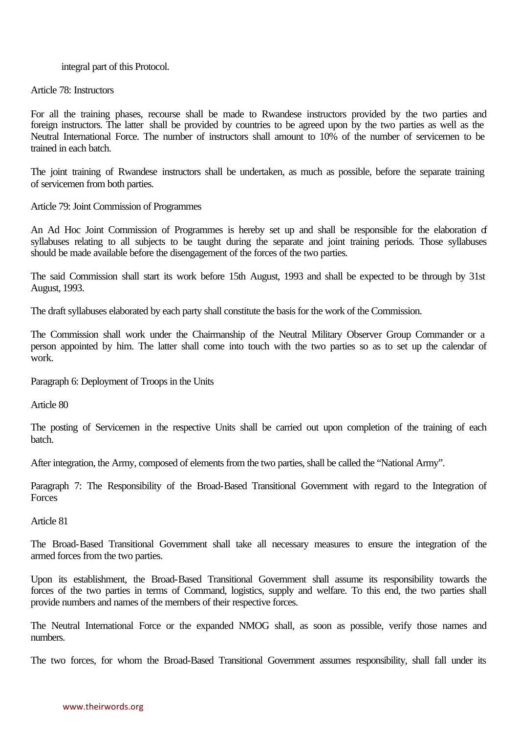#### integral part of this Protocol.

#### Article 78: Instructors

For all the training phases, recourse shall be made to Rwandese instructors provided by the two parties and foreign instructors. The latter shall be provided by countries to be agreed upon by the two parties as well as the Neutral International Force. The number of instructors shall amount to 10% of the number of servicemen to be trained in each batch.

The joint training of Rwandese instructors shall be undertaken, as much as possible, before the separate training of servicemen from both parties.

Article 79: Joint Commission of Programmes

An Ad Hoc Joint Commission of Programmes is hereby set up and shall be responsible for the elaboration of syllabuses relating to all subjects to be taught during the separate and joint training periods. Those syllabuses should be made available before the disengagement of the forces of the two parties.

The said Commission shall start its work before 15th August, 1993 and shall be expected to be through by 31st August, 1993.

The draft syllabuses elaborated by each party shall constitute the basis for the work of the Commission.

The Commission shall work under the Chairmanship of the Neutral Military Observer Group Commander or a person appointed by him. The latter shall come into touch with the two parties so as to set up the calendar of work.

Paragraph 6: Deployment of Troops in the Units

Article 80

The posting of Servicemen in the respective Units shall be carried out upon completion of the training of each batch.

After integration, the Army, composed of elements from the two parties, shall be called the "National Army".

Paragraph 7: The Responsibility of the Broad-Based Transitional Government with regard to the Integration of Forces

Article 81

The Broad-Based Transitional Government shall take all necessary measures to ensure the integration of the armed forces from the two parties.

Upon its establishment, the Broad-Based Transitional Government shall assume its responsibility towards the forces of the two parties in terms of Command, logistics, supply and welfare. To this end, the two parties shall provide numbers and names of the members of their respective forces.

The Neutral International Force or the expanded NMOG shall, as soon as possible, verify those names and numbers.

The two forces, for whom the Broad-Based Transitional Government assumes responsibility, shall fall under its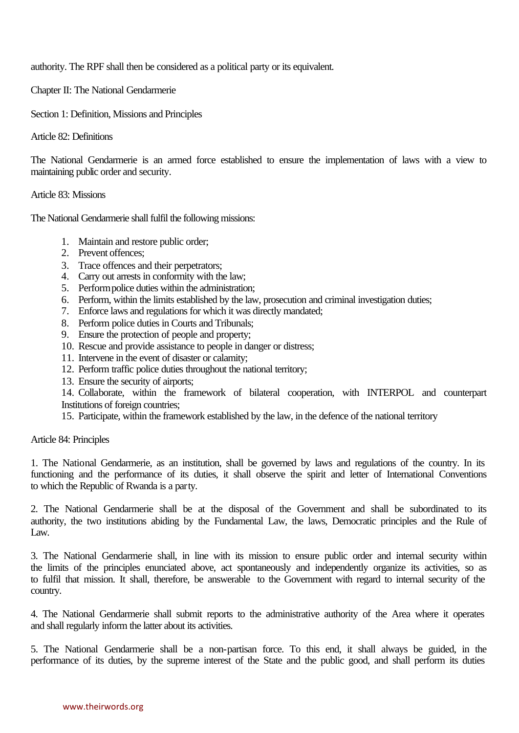authority. The RPF shall then be considered as a political party or its equivalent.

Chapter II: The National Gendarmerie

Section 1: Definition, Missions and Principles

Article 82: Definitions

The National Gendarmerie is an armed force established to ensure the implementation of laws with a view to maintaining public order and security.

Article 83: Missions

The National Gendarmerie shall fulfil the following missions:

- 1. Maintain and restore public order;
- 2. Prevent offences;
- 3. Trace offences and their perpetrators;
- 4. Carry out arrests in conformity with the law;
- 5. Perform police duties within the administration;
- 6. Perform, within the limits established by the law, prosecution and criminal investigation duties;
- 7. Enforce laws and regulations for which it was directly mandated;
- 8. Perform police duties in Courts and Tribunals;
- 9. Ensure the protection of people and property;
- 10. Rescue and provide assistance to people in danger or distress;
- 11. Intervene in the event of disaster or calamity;
- 12. Perform traffic police duties throughout the national territory;
- 13. Ensure the security of airports;

14. Collaborate, within the framework of bilateral cooperation, with INTERPOL and counterpart Institutions of foreign countries;

15. Participate, within the framework established by the law, in the defence of the national territory

Article 84: Principles

1. The National Gendarmerie, as an institution, shall be governed by laws and regulations of the country. In its functioning and the performance of its duties, it shall observe the spirit and letter of International Conventions to which the Republic of Rwanda is a party.

2. The National Gendarmerie shall be at the disposal of the Government and shall be subordinated to its authority, the two institutions abiding by the Fundamental Law, the laws, Democratic principles and the Rule of L<sub>aw</sub>

3. The National Gendarmerie shall, in line with its mission to ensure public order and internal security within the limits of the principles enunciated above, act spontaneously and independently organize its activities, so as to fulfil that mission. It shall, therefore, be answerable to the Government with regard to internal security of the country.

4. The National Gendarmerie shall submit reports to the administrative authority of the Area where it operates and shall regularly inform the latter about its activities.

5. The National Gendarmerie shall be a non-partisan force. To this end, it shall always be guided, in the performance of its duties, by the supreme interest of the State and the public good, and shall perform its duties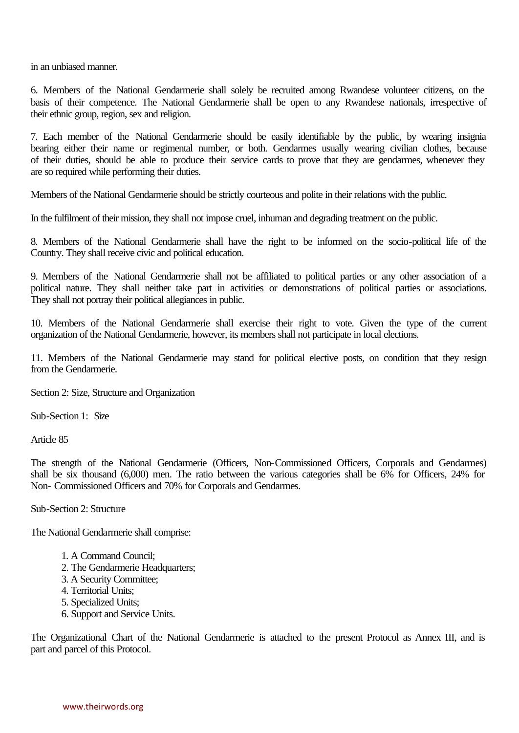in an unbiased manner.

6. Members of the National Gendarmerie shall solely be recruited among Rwandese volunteer citizens, on the basis of their competence. The National Gendarmerie shall be open to any Rwandese nationals, irrespective of their ethnic group, region, sex and religion.

7. Each member of the National Gendarmerie should be easily identifiable by the public, by wearing insignia bearing either their name or regimental number, or both. Gendarmes usually wearing civilian clothes, because of their duties, should be able to produce their service cards to prove that they are gendarmes, whenever they are so required while performing their duties.

Members of the National Gendarmerie should be strictly courteous and polite in their relations with the public.

In the fulfilment of their mission, they shall not impose cruel, inhuman and degrading treatment on the public.

8. Members of the National Gendarmerie shall have the right to be informed on the socio-political life of the Country. They shall receive civic and political education.

9. Members of the National Gendarmerie shall not be affiliated to political parties or any other association of a political nature. They shall neither take part in activities or demonstrations of political parties or associations. They shall not portray their political allegiances in public.

10. Members of the National Gendarmerie shall exercise their right to vote. Given the type of the current organization of the National Gendarmerie, however, its members shall not participate in local elections.

11. Members of the National Gendarmerie may stand for political elective posts, on condition that they resign from the Gendarmerie.

Section 2: Size, Structure and Organization

Sub-Section 1: Size

Article 85

The strength of the National Gendarmerie (Officers, Non-Commissioned Officers, Corporals and Gendarmes) shall be six thousand (6,000) men. The ratio between the various categories shall be 6% for Officers, 24% for Non- Commissioned Officers and 70% for Corporals and Gendarmes.

Sub-Section 2: Structure

The National Gendarmerie shall comprise:

- 1. A Command Council;
- 2. The Gendarmerie Headquarters;
- 3. A Security Committee;
- 4. Territorial Units;
- 5. Specialized Units;
- 6. Support and Service Units.

The Organizational Chart of the National Gendarmerie is attached to the present Protocol as Annex III, and is part and parcel of this Protocol.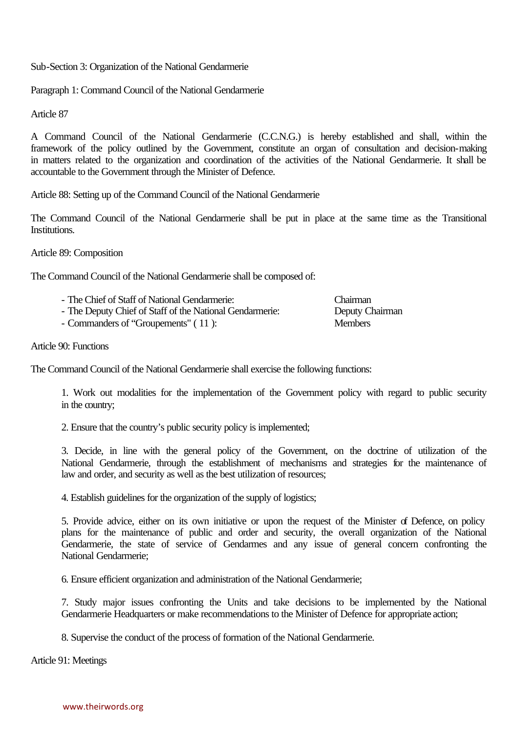Sub-Section 3: Organization of the National Gendarmerie

Paragraph 1: Command Council of the National Gendarmerie

Article 87

A Command Council of the National Gendarmerie (C.C.N.G.) is hereby established and shall, within the framework of the policy outlined by the Government, constitute an organ of consultation and decision-making in matters related to the organization and coordination of the activities of the National Gendarmerie. It shall be accountable to the Government through the Minister of Defence.

Article 88: Setting up of the Command Council of the National Gendarmerie

The Command Council of the National Gendarmerie shall be put in place at the same time as the Transitional Institutions.

Article 89: Composition

The Command Council of the National Gendarmerie shall be composed of:

| - The Chief of Staff of National Gendarmerie:            | <b>Chairman</b> |
|----------------------------------------------------------|-----------------|
| - The Deputy Chief of Staff of the National Gendarmerie: | Deputy Chairman |
|                                                          | $\mathbf{M}$ 1  |

- Commanders of "Groupements" ( 11 ): Members

#### Article 90: Functions

The Command Council of the National Gendarmerie shall exercise the following functions:

1. Work out modalities for the implementation of the Government policy with regard to public security in the country;

2. Ensure that the country's public security policy is implemented;

3. Decide, in line with the general policy of the Government, on the doctrine of utilization of the National Gendarmerie, through the establishment of mechanisms and strategies for the maintenance of law and order, and security as well as the best utilization of resources;

4. Establish guidelines for the organization of the supply of logistics;

5. Provide advice, either on its own initiative or upon the request of the Minister of Defence, on policy plans for the maintenance of public and order and security, the overall organization of the National Gendarmerie, the state of service of Gendarmes and any issue of general concern confronting the National Gendarmerie;

6. Ensure efficient organization and administration of the National Gendarmerie;

7. Study major issues confronting the Units and take decisions to be implemented by the National Gendarmerie Headquarters or make recommendations to the Minister of Defence for appropriate action;

8. Supervise the conduct of the process of formation of the National Gendarmerie.

Article 91: Meetings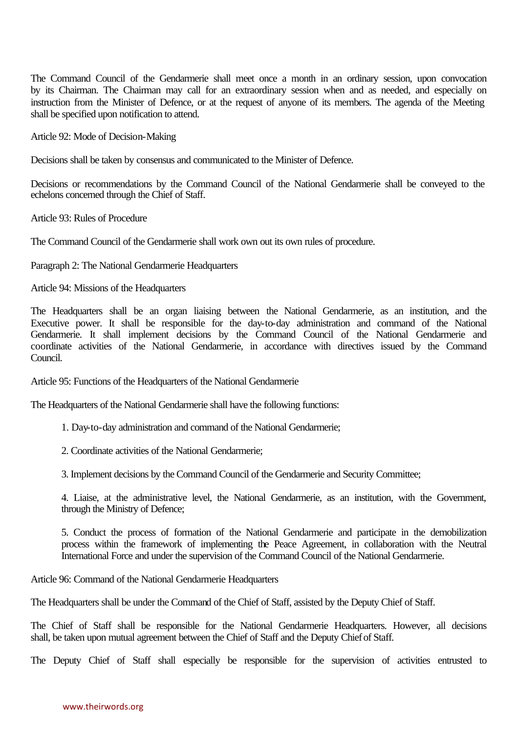The Command Council of the Gendarmerie shall meet once a month in an ordinary session, upon convocation by its Chairman. The Chairman may call for an extraordinary session when and as needed, and especially on instruction from the Minister of Defence, or at the request of anyone of its members. The agenda of the Meeting shall be specified upon notification to attend.

Article 92: Mode of Decision-Making

Decisions shall be taken by consensus and communicated to the Minister of Defence.

Decisions or recommendations by the Command Council of the National Gendarmerie shall be conveyed to the echelons concerned through the Chief of Staff.

Article 93: Rules of Procedure

The Command Council of the Gendarmerie shall work own out its own rules of procedure.

Paragraph 2: The National Gendarmerie Headquarters

Article 94: Missions of the Headquarters

The Headquarters shall be an organ liaising between the National Gendarmerie, as an institution, and the Executive power. It shall be responsible for the day-to-day administration and command of the National Gendarmerie. It shall implement decisions by the Command Council of the National Gendarmerie and coordinate activities of the National Gendarmerie, in accordance with directives issued by the Command Council.

Article 95: Functions of the Headquarters of the National Gendarmerie

The Headquarters of the National Gendarmerie shall have the following functions:

1. Day-to-day administration and command of the National Gendarmerie;

2. Coordinate activities of the National Gendarmerie;

3. Implement decisions by the Command Council of the Gendarmerie and Security Committee;

4. Liaise, at the administrative level, the National Gendarmerie, as an institution, with the Government, through the Ministry of Defence;

5. Conduct the process of formation of the National Gendarmerie and participate in the demobilization process within the framework of implementing the Peace Agreement, in collaboration with the Neutral International Force and under the supervision of the Command Council of the National Gendarmerie.

Article 96: Command of the National Gendarmerie Headquarters

The Headquarters shall be under the Command of the Chief of Staff, assisted by the Deputy Chief of Staff.

The Chief of Staff shall be responsible for the National Gendarmerie Headquarters. However, all decisions shall, be taken upon mutual agreement between the Chief of Staff and the Deputy Chief of Staff.

The Deputy Chief of Staff shall especially be responsible for the supervision of activities entrusted to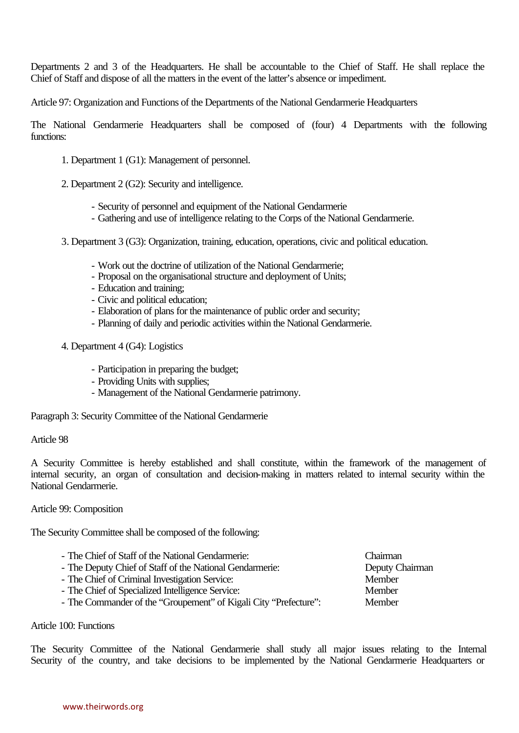Departments 2 and 3 of the Headquarters. He shall be accountable to the Chief of Staff. He shall replace the Chief of Staff and dispose of all the matters in the event of the latter's absence or impediment.

Article 97: Organization and Functions of the Departments of the National Gendarmerie Headquarters

The National Gendarmerie Headquarters shall be composed of (four) 4 Departments with the following functions:

- 1. Department 1 (G1): Management of personnel.
- 2. Department 2 (G2): Security and intelligence.
	- Security of personnel and equipment of the National Gendarmerie
	- Gathering and use of intelligence relating to the Corps of the National Gendarmerie.
- 3. Department 3 (G3): Organization, training, education, operations, civic and political education.
	- Work out the doctrine of utilization of the National Gendarmerie;
	- Proposal on the organisational structure and deployment of Units;
	- Education and training;
	- Civic and political education;
	- Elaboration of plans for the maintenance of public order and security;
	- Planning of daily and periodic activities within the National Gendarmerie.
- 4. Department 4 (G4): Logistics
	- Participation in preparing the budget;
	- Providing Units with supplies;
	- Management of the National Gendarmerie patrimony.

Paragraph 3: Security Committee of the National Gendarmerie

#### Article 98

A Security Committee is hereby established and shall constitute, within the framework of the management of internal security, an organ of consultation and decision-making in matters related to internal security within the National Gendarmerie.

#### Article 99: Composition

The Security Committee shall be composed of the following:

- The Chief of Staff of the National Gendarmerie: Chairman
- The Deputy Chief of Staff of the National Gendarmerie: Deputy Chairman
- The Chief of Criminal Investigation Service: Member<br>
The Chief of Specialized Intelligence Service: Member
- The Chief of Specialized Intelligence Service:
- The Commander of the "Groupement" of Kigali City "Prefecture": Member

Article 100: Functions

The Security Committee of the National Gendarmerie shall study all major issues relating to the Internal Security of the country, and take decisions to be implemented by the National Gendarmerie Headquarters or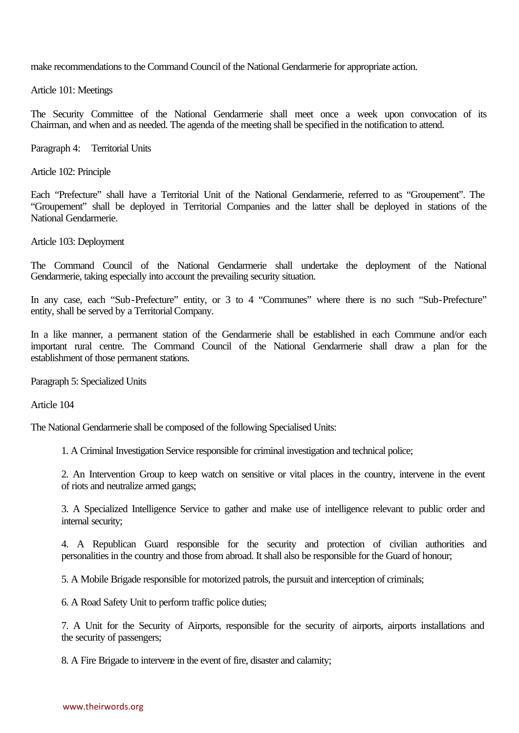make recommendations to the Command Council of the National Gendarmerie for appropriate action.

Article 101: Meetings

The Security Committee of the National Gendarmerie shall meet once a week upon convocation of its Chairman, and when and as needed. The agenda of the meeting shall be specified in the notification to attend.

Paragraph 4: Territorial Units

Article 102: Principle

Each "Prefecture" shall have a Territorial Unit of the National Gendarmerie, referred to as "Groupement". The "Groupement" shall be deployed in Territorial Companies and the latter shall be deployed in stations of the National Gendarmerie.

Article 103: Deployment

The Command Council of the National Gendarmerie shall undertake the deployment of the National Gendarmerie, taking especially into account the prevailing security situation.

In any case, each "Sub-Prefecture" entity, or 3 to 4 "Communes" where there is no such "Sub-Prefecture" entity, shall be served by a Territorial Company.

In a like manner, a permanent station of the Gendarmerie shall be established in each Commune and/or each important rural centre. The Command Council of the National Gendarmerie shall draw a plan for the establishment of those permanent stations.

Paragraph 5: Specialized Units

Article 104

The National Gendarmerie shall be composed of the following Specialised Units:

1. A Criminal Investigation Service responsible for criminal investigation and technical police;

2. An Intervention Group to keep watch on sensitive or vital places in the country, intervene in the event of riots and neutralize armed gangs;

3. A Specialized Intelligence Service to gather and make use of intelligence relevant to public order and internal security;

4. A Republican Guard responsible for the security and protection of civilian authorities and personalities in the country and those from abroad. It shall also be responsible for the Guard of honour;

5. A Mobile Brigade responsible for motorized patrols, the pursuit and interception of criminals;

6. A Road Safety Unit to perform traffic police duties;

7. A Unit for the Security of Airports, responsible for the security of airports, airports installations and the security of passengers;

8. A Fire Brigade to intervene in the event of fire, disaster and calamity;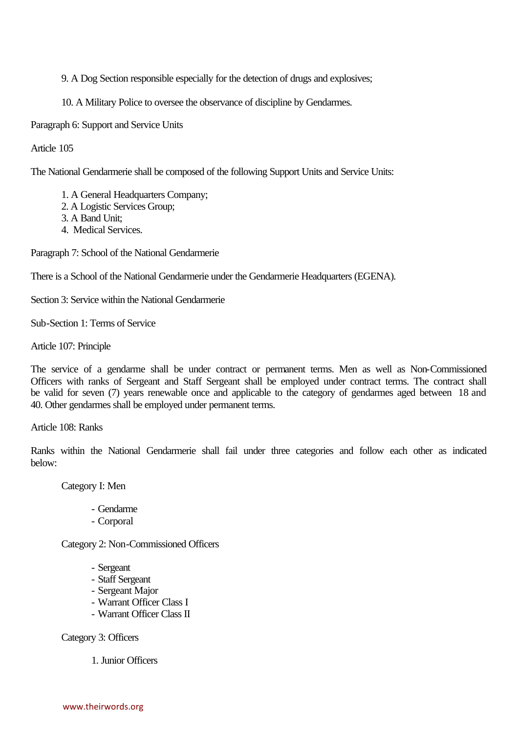9. A Dog Section responsible especially for the detection of drugs and explosives;

10. A Military Police to oversee the observance of discipline by Gendarmes.

Paragraph 6: Support and Service Units

Article 105

The National Gendarmerie shall be composed of the following Support Units and Service Units:

- 1. A General Headquarters Company;
- 2. A Logistic Services Group;
- 3. A Band Unit;
- 4. Medical Services.

Paragraph 7: School of the National Gendarmerie

There is a School of the National Gendarmerie under the Gendarmerie Headquarters (EGENA).

Section 3: Service within the National Gendarmerie

Sub-Section 1: Terms of Service

Article 107: Principle

The service of a gendarme shall be under contract or permanent terms. Men as well as Non-Commissioned Officers with ranks of Sergeant and Staff Sergeant shall be employed under contract terms. The contract shall be valid for seven (7) years renewable once and applicable to the category of gendarmes aged between 18 and 40. Other gendarmes shall be employed under permanent terms.

Article 108: Ranks

Ranks within the National Gendarmerie shall fail under three categories and follow each other as indicated below:

Category I: Men

- Gendarme
- Corporal

Category 2: Non-Commissioned Officers

- Sergeant
- Staff Sergeant
- Sergeant Major
- Warrant Officer Class I
- Warrant Officer Class II

Category 3: Officers

1. Junior Officers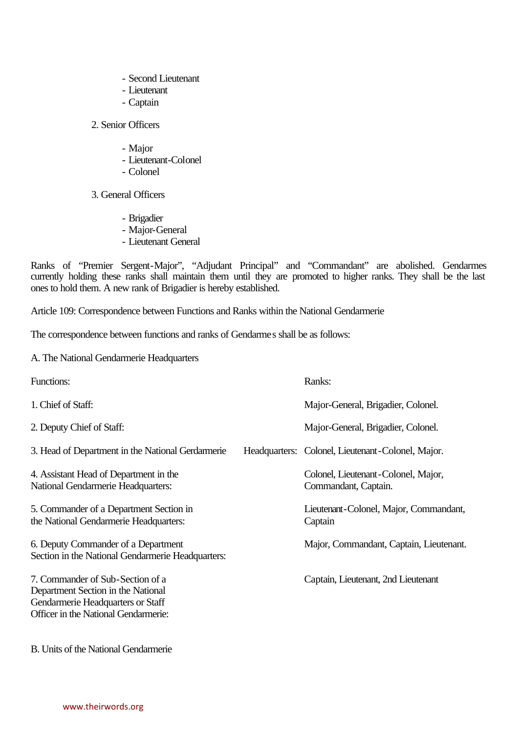- Second Lieutenant
- Lieutenant
- Captain

# 2. Senior Officers

- Major
- Lieutenant-Colonel
- Colonel
- 3. General Officers
	- Brigadier
	- Major-General
	- Lieutenant General

Ranks of "Premier Sergent-Major", "Adjudant Principal" and "Commandant" are abolished. Gendarmes currently holding these ranks shall maintain them until they are promoted to higher ranks. They shall be the last ones to hold them. A new rank of Brigadier is hereby established.

Article 109: Correspondence between Functions and Ranks within the National Gendarmerie

The correspondence between functions and ranks of Gendarmes shall be as follows:

A. The National Gendarmerie Headquarters

| Functions:                                                                                                                                          | Ranks:                                                      |
|-----------------------------------------------------------------------------------------------------------------------------------------------------|-------------------------------------------------------------|
| 1. Chief of Staff:                                                                                                                                  | Major-General, Brigadier, Colonel.                          |
| 2. Deputy Chief of Staff:                                                                                                                           | Major-General, Brigadier, Colonel.                          |
| 3. Head of Department in the National Gerdarmerie                                                                                                   | Headquarters: Colonel, Lieutenant-Colonel, Major.           |
| 4. Assistant Head of Department in the<br>National Gendarmerie Headquarters:                                                                        | Colonel, Lieutenant-Colonel, Major,<br>Commandant, Captain. |
| 5. Commander of a Department Section in<br>the National Gendarmerie Headquarters:                                                                   | Lieutenant-Colonel, Major, Commandant,<br>Captain           |
| 6. Deputy Commander of a Department<br>Section in the National Gendarmerie Headquarters:                                                            | Major, Commandant, Captain, Lieutenant.                     |
| 7. Commander of Sub-Section of a<br>Department Section in the National<br>Gendarmerie Headquarters or Staff<br>Officer in the National Gendarmerie: | Captain, Lieutenant, 2nd Lieutenant                         |

B. Units of the National Gendarmerie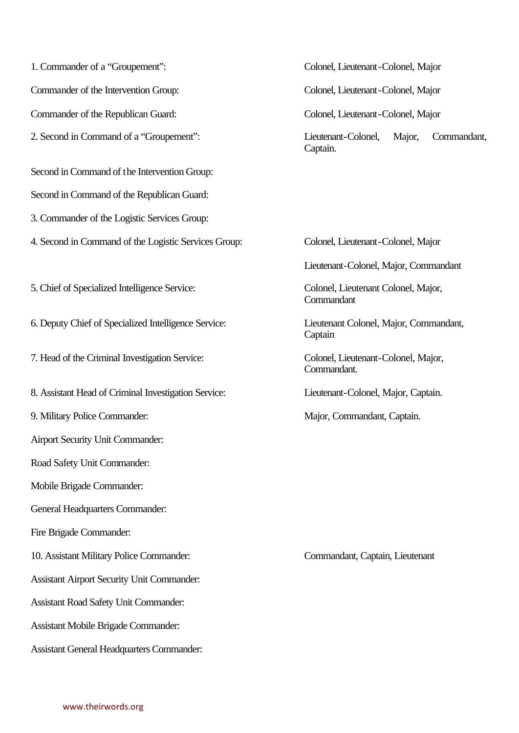1. Commander of a "Groupement": Colonel, Lieutenant-Colonel, Major Commander of the Intervention Group: Colonel, Lieutenant-Colonel, Major Commander of the Republican Guard: Colonel, Lieutenant-Colonel, Major 2. Second in Command of a "Groupement": Lieutenant-Colonel, Major, Commandant, Second in Command of the Intervention Group: Second in Command of the Republican Guard: 3. Commander of the Logistic Services Group: 4. Second in Command of the Logistic Services Group: Colonel, Lieutenant-Colonel, Major 5. Chief of Specialized Intelligence Service: Colonel, Lieutenant Colonel, Major, 6. Deputy Chief of Specialized Intelligence Service: Lieutenant Colonel, Major, Commandant, 7. Head of the Criminal Investigation Service: Colonel, Lieutenant-Colonel, Major, 8. Assistant Head of Criminal Investigation Service: Lieutenant-Colonel, Major, Captain. 9. Military Police Commander: Major, Commandant, Captain. Airport Security Unit Commander: Road Safety Unit Commander: Mobile Brigade Commander: General Headquarters Commander: Fire Brigade Commander: 10. Assistant Military Police Commander: Commandant, Captain, Lieutenant Assistant Airport Security Unit Commander: Assistant Road Safety Unit Commander: Assistant Mobile Brigade Commander: Assistant General Headquarters Commander:

Captain.

Lieutenant-Colonel, Major, Commandant

**Commandant** 

Captain

Commandant.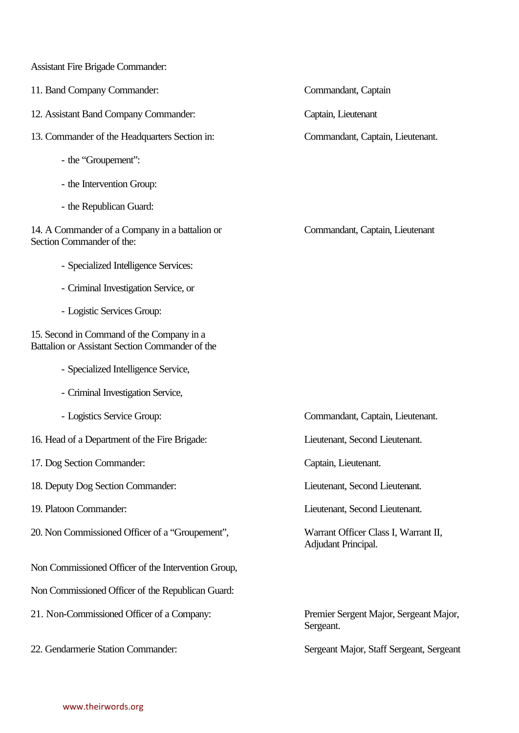Assistant Fire Brigade Commander:

- 11. Band Company Commander: Commandant, Captain
- 12. Assistant Band Company Commander: Captain, Lieutenant
- 13. Commander of the Headquarters Section in: Commandant, Captain, Lieutenant.
	- the "Groupement":
	- the Intervention Group:
	- the Republican Guard:

14. A Commander of a Company in a battalion or Commandant, Captain, Lieutenant Section Commander of the:

- Specialized Intelligence Services:
- Criminal Investigation Service, or
- Logistic Services Group:

15. Second in Command of the Company in a Battalion or Assistant Section Commander of the

- Specialized Intelligence Service,
- Criminal Investigation Service,
- 
- 16. Head of a Department of the Fire Brigade: Lieutenant, Second Lieutenant.
- 17. Dog Section Commander: Captain, Lieutenant.
- 18. Deputy Dog Section Commander: Lieutenant, Second Lieutenant.
- 
- 20. Non Commissioned Officer of a "Groupement", Warrant Officer Class I, Warrant II,
- Non Commissioned Officer of the Intervention Group,
- Non Commissioned Officer of the Republican Guard:
- 21. Non-Commissioned Officer of a Company: Premier Sergent Major, Sergeant Major,
- 

- Logistics Service Group: Commandant, Captain, Lieutenant.

19. Platoon Commander: Lieutenant, Second Lieutenant.

Adjudant Principal.

Sergeant.

22. Gendarmerie Station Commander: Sergeant Major, Staff Sergeant, Sergeant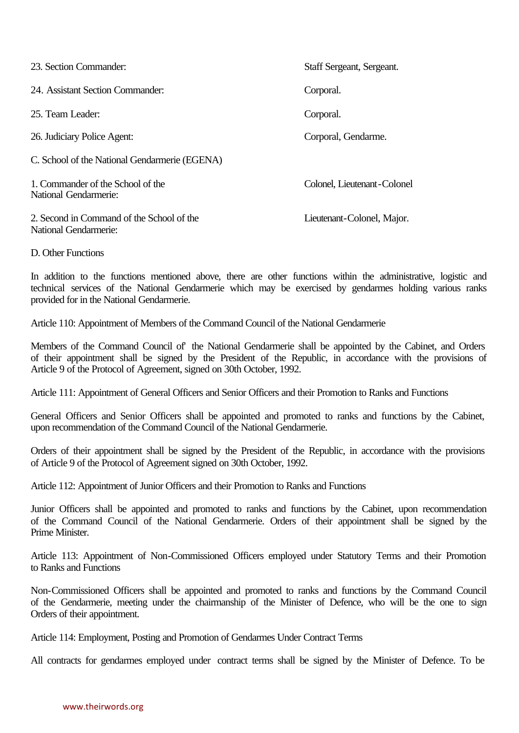| 23. Section Commander:                                             | Staff Sergeant, Sergeant.   |
|--------------------------------------------------------------------|-----------------------------|
| 24. Assistant Section Commander:                                   | Corporal.                   |
| 25. Team Leader:                                                   | Corporal.                   |
| 26. Judiciary Police Agent:                                        | Corporal, Gendarme.         |
| C. School of the National Gendarmerie (EGENA)                      |                             |
| 1. Commander of the School of the<br>National Gendarmerie:         | Colonel, Lieutenant-Colonel |
| 2. Second in Command of the School of the<br>National Gendarmerie: | Lieutenant-Colonel, Major.  |
| D. Other Functions                                                 |                             |

In addition to the functions mentioned above, there are other functions within the administrative, logistic and technical services of the National Gendarmerie which may be exercised by gendarmes holding various ranks provided for in the National Gendarmerie.

Article 110: Appointment of Members of the Command Council of the National Gendarmerie

Members of the Command Council of' the National Gendarmerie shall be appointed by the Cabinet, and Orders of their appointment shall be signed by the President of the Republic, in accordance with the provisions of Article 9 of the Protocol of Agreement, signed on 30th October, 1992.

Article 111: Appointment of General Officers and Senior Officers and their Promotion to Ranks and Functions

General Officers and Senior Officers shall be appointed and promoted to ranks and functions by the Cabinet, upon recommendation of the Command Council of the National Gendarmerie.

Orders of their appointment shall be signed by the President of the Republic, in accordance with the provisions of Article 9 of the Protocol of Agreement signed on 30th October, 1992.

Article 112: Appointment of Junior Officers and their Promotion to Ranks and Functions

Junior Officers shall be appointed and promoted to ranks and functions by the Cabinet, upon recommendation of the Command Council of the National Gendarmerie. Orders of their appointment shall be signed by the Prime Minister.

Article 113: Appointment of Non-Commissioned Officers employed under Statutory Terms and their Promotion to Ranks and Functions

Non-Commissioned Officers shall be appointed and promoted to ranks and functions by the Command Council of the Gendarmerie, meeting under the chairmanship of the Minister of Defence, who will be the one to sign Orders of their appointment.

Article 114: Employment, Posting and Promotion of Gendarmes Under Contract Terms

All contracts for gendarmes employed under contract terms shall be signed by the Minister of Defence. To be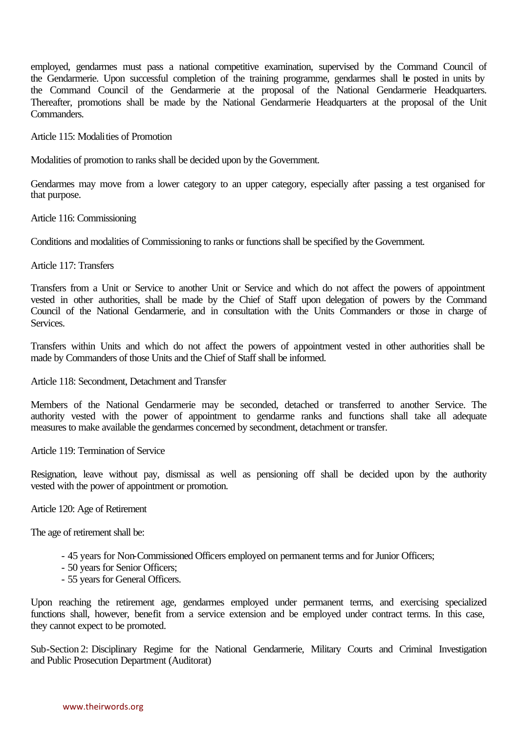employed, gendarmes must pass a national competitive examination, supervised by the Command Council of the Gendarmerie. Upon successful completion of the training programme, gendarmes shall be posted in units by the Command Council of the Gendarmerie at the proposal of the National Gendarmerie Headquarters. Thereafter, promotions shall be made by the National Gendarmerie Headquarters at the proposal of the Unit Commanders.

Article 115: Modalities of Promotion

Modalities of promotion to ranks shall be decided upon by the Government.

Gendarmes may move from a lower category to an upper category, especially after passing a test organised for that purpose.

Article 116: Commissioning

Conditions and modalities of Commissioning to ranks or functions shall be specified by the Government.

Article 117: Transfers

Transfers from a Unit or Service to another Unit or Service and which do not affect the powers of appointment vested in other authorities, shall be made by the Chief of Staff upon delegation of powers by the Command Council of the National Gendarmerie, and in consultation with the Units Commanders or those in charge of Services.

Transfers within Units and which do not affect the powers of appointment vested in other authorities shall be made by Commanders of those Units and the Chief of Staff shall be informed.

Article 118: Secondment, Detachment and Transfer

Members of the National Gendarmerie may be seconded, detached or transferred to another Service. The authority vested with the power of appointment to gendarme ranks and functions shall take all adequate measures to make available the gendarmes concerned by secondment, detachment or transfer.

Article 119: Termination of Service

Resignation, leave without pay, dismissal as well as pensioning off shall be decided upon by the authority vested with the power of appointment or promotion.

Article 120: Age of Retirement

The age of retirement shall be:

- 45 years for Non-Commissioned Officers employed on permanent terms and for Junior Officers;
- 50 years for Senior Officers;
- 55 years for General Officers.

Upon reaching the retirement age, gendarmes employed under permanent terms, and exercising specialized functions shall, however, benefit from a service extension and be employed under contract terms. In this case, they cannot expect to be promoted.

Sub-Section 2: Disciplinary Regime for the National Gendarmerie, Military Courts and Criminal Investigation and Public Prosecution Department (Auditorat)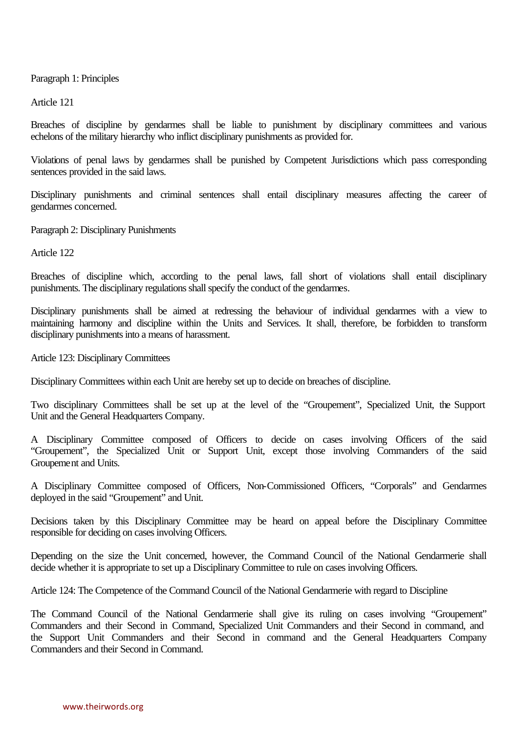Paragraph 1: Principles

Article 121

Breaches of discipline by gendarmes shall be liable to punishment by disciplinary committees and various echelons of the military hierarchy who inflict disciplinary punishments as provided for.

Violations of penal laws by gendarmes shall be punished by Competent Jurisdictions which pass corresponding sentences provided in the said laws.

Disciplinary punishments and criminal sentences shall entail disciplinary measures affecting the career of gendarmes concerned.

Paragraph 2: Disciplinary Punishments

Article 122

Breaches of discipline which, according to the penal laws, fall short of violations shall entail disciplinary punishments. The disciplinary regulations shall specify the conduct of the gendarmes.

Disciplinary punishments shall be aimed at redressing the behaviour of individual gendarmes with a view to maintaining harmony and discipline within the Units and Services. It shall, therefore, be forbidden to transform disciplinary punishments into a means of harassment.

Article 123: Disciplinary Committees

Disciplinary Committees within each Unit are hereby set up to decide on breaches of discipline.

Two disciplinary Committees shall be set up at the level of the "Groupement", Specialized Unit, the Support Unit and the General Headquarters Company.

A Disciplinary Committee composed of Officers to decide on cases involving Officers of the said "Groupement", the Specialized Unit or Support Unit, except those involving Commanders of the said Groupement and Units.

A Disciplinary Committee composed of Officers, Non-Commissioned Officers, "Corporals" and Gendarmes deployed in the said "Groupement" and Unit.

Decisions taken by this Disciplinary Committee may be heard on appeal before the Disciplinary Committee responsible for deciding on cases involving Officers.

Depending on the size the Unit concerned, however, the Command Council of the National Gendarmerie shall decide whether it is appropriate to set up a Disciplinary Committee to rule on cases involving Officers.

Article 124: The Competence of the Command Council of the National Gendarmerie with regard to Discipline

The Command Council of the National Gendarmerie shall give its ruling on cases involving "Groupement" Commanders and their Second in Command, Specialized Unit Commanders and their Second in command, and the Support Unit Commanders and their Second in command and the General Headquarters Company Commanders and their Second in Command.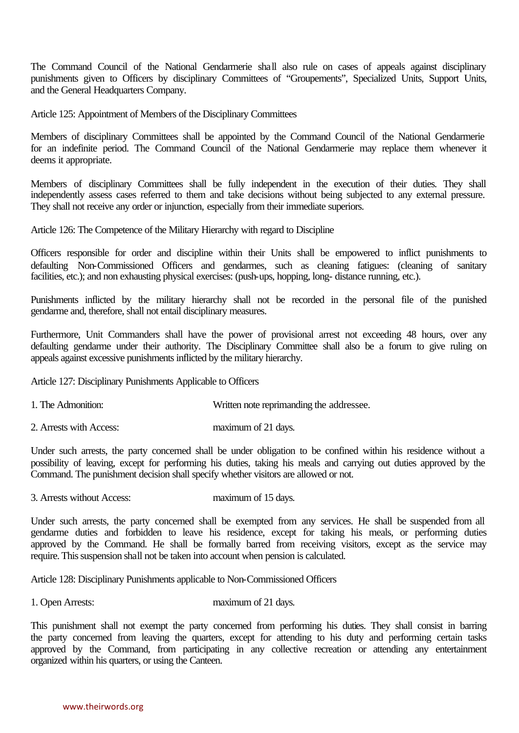The Command Council of the National Gendarmerie shall also rule on cases of appeals against disciplinary punishments given to Officers by disciplinary Committees of "Groupements", Specialized Units, Support Units, and the General Headquarters Company.

Article 125: Appointment of Members of the Disciplinary Committees

Members of disciplinary Committees shall be appointed by the Command Council of the National Gendarmerie for an indefinite period. The Command Council of the National Gendarmerie may replace them whenever it deems it appropriate.

Members of disciplinary Committees shall be fully independent in the execution of their duties. They shall independently assess cases referred to them and take decisions without being subjected to any external pressure. They shall not receive any order or injunction, especially from their immediate superiors.

Article 126: The Competence of the Military Hierarchy with regard to Discipline

Officers responsible for order and discipline within their Units shall be empowered to inflict punishments to defaulting Non-Commissioned Officers and gendarmes, such as cleaning fatigues: (cleaning of sanitary facilities, etc.); and non exhausting physical exercises: (push-ups, hopping, long- distance running, etc.).

Punishments inflicted by the military hierarchy shall not be recorded in the personal file of the punished gendarme and, therefore, shall not entail disciplinary measures.

Furthermore, Unit Commanders shall have the power of provisional arrest not exceeding 48 hours, over any defaulting gendarme under their authority. The Disciplinary Committee shall also be a forum to give ruling on appeals against excessive punishments inflicted by the military hierarchy.

Article 127: Disciplinary Punishments Applicable to Officers

- 1. The Admonition: Written note reprimanding the addressee.
- 2. Arrests with Access: maximum of 21 days.

Under such arrests, the party concerned shall be under obligation to be confined within his residence without a possibility of leaving, except for performing his duties, taking his meals and carrying out duties approved by the Command. The punishment decision shall specify whether visitors are allowed or not.

3. Arrests without Access: maximum of 15 days.

Under such arrests, the party concerned shall be exempted from any services. He shall be suspended from all gendarme duties and forbidden to leave his residence, except for taking his meals, or performing duties approved by the Command. He shall be formally barred from receiving visitors, except as the service may require. This suspension shall not be taken into account when pension is calculated.

Article 128: Disciplinary Punishments applicable to Non-Commissioned Officers

1. Open Arrests: maximum of 21 days.

This punishment shall not exempt the party concerned from performing his duties. They shall consist in barring the party concerned from leaving the quarters, except for attending to his duty and performing certain tasks approved by the Command, from participating in any collective recreation or attending any entertainment organized within his quarters, or using the Canteen.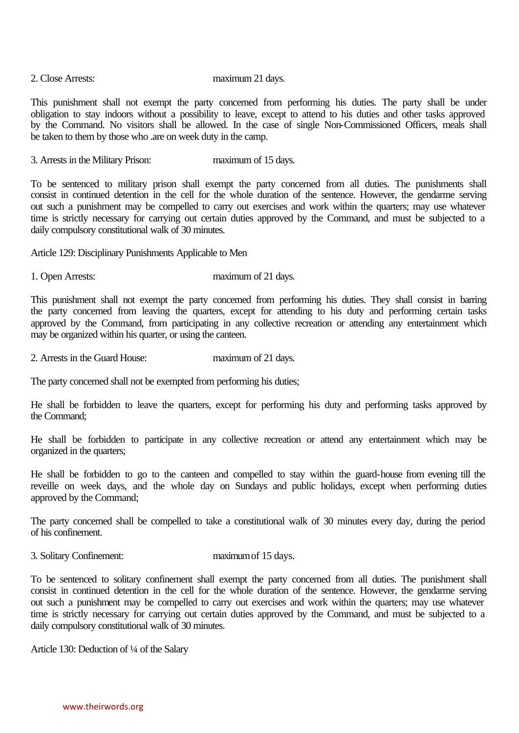#### 2. Close Arrests: maximum 21 days.

This punishment shall not exempt the party concerned from performing his duties. The party shall be under obligation to stay indoors without a possibility to leave, except to attend to his duties and other tasks approved by the Command. No visitors shall be allowed. In the case of single Non-Commissioned Officers, meals shall be taken to them by those who .are on week duty in the camp.

3. Arrests in the Military Prison: maximum of 15 days.

To be sentenced to military prison shall exempt the party concerned from all duties. The punishments shall consist in continued detention in the cell for the whole duration of the sentence. However, the gendarme serving out such a punishment may be compelled to carry out exercises and work within the quarters; may use whatever time is strictly necessary for carrying out certain duties approved by the Command, and must be subjected to a daily compulsory constitutional walk of 30 minutes.

Article 129: Disciplinary Punishments Applicable to Men

1. Open Arrests: maximum of 21 days.

This punishment shall not exempt the party concerned from performing his duties. They shall consist in barring the party concerned from leaving the quarters, except for attending to his duty and performing certain tasks approved by the Command, from participating in any collective recreation or attending any entertainment which may be organized within his quarter, or using the canteen.

2. Arrests in the Guard House: maximum of 21 days.

The party concerned shall not be exempted from performing his duties;

He shall be forbidden to leave the quarters, except for performing his duty and performing tasks approved by the Command;

He shall be forbidden to participate in any collective recreation or attend any entertainment which may be organized in the quarters;

He shall be forbidden to go to the canteen and compelled to stay within the guard-house from evening till the reveille on week days, and the whole day on Sundays and public holidays, except when performing duties approved by the Command;

The party concerned shall be compelled to take a constitutional walk of 30 minutes every day, during the period of his confinement.

3. Solitary Confinement: maximum of 15 days.

To be sentenced to solitary confinement shall exempt the party concerned from all duties. The punishment shall consist in continued detention in the cell for the whole duration of the sentence. However, the gendarme serving out such a punishment may be compelled to carry out exercises and work within the quarters; may use whatever time is strictly necessary for carrying out certain duties approved by the Command, and must be subjected to a daily compulsory constitutional walk of 30 minutes.

Article 130: Deduction of ¼ of the Salary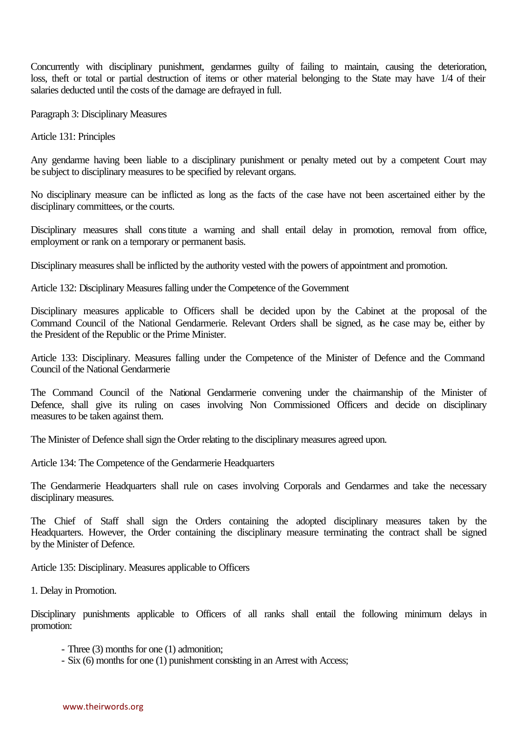Concurrently with disciplinary punishment, gendarmes guilty of failing to maintain, causing the deterioration, loss, theft or total or partial destruction of items or other material belonging to the State may have 1/4 of their salaries deducted until the costs of the damage are defrayed in full.

Paragraph 3: Disciplinary Measures

Article 131: Principles

Any gendarme having been liable to a disciplinary punishment or penalty meted out by a competent Court may be subject to disciplinary measures to be specified by relevant organs.

No disciplinary measure can be inflicted as long as the facts of the case have not been ascertained either by the disciplinary committees, or the courts.

Disciplinary measures shall constitute a warning and shall entail delay in promotion, removal from office, employment or rank on a temporary or permanent basis.

Disciplinary measures shall be inflicted by the authority vested with the powers of appointment and promotion.

Article 132: Disciplinary Measures falling under the Competence of the Government

Disciplinary measures applicable to Officers shall be decided upon by the Cabinet at the proposal of the Command Council of the National Gendarmerie. Relevant Orders shall be signed, as the case may be, either by the President of the Republic or the Prime Minister.

Article 133: Disciplinary. Measures falling under the Competence of the Minister of Defence and the Command Council of the National Gendarmerie

The Command Council of the National Gendarmerie convening under the chairmanship of the Minister of Defence, shall give its ruling on cases involving Non Commissioned Officers and decide on disciplinary measures to be taken against them.

The Minister of Defence shall sign the Order relating to the disciplinary measures agreed upon.

Article 134: The Competence of the Gendarmerie Headquarters

The Gendarmerie Headquarters shall rule on cases involving Corporals and Gendarmes and take the necessary disciplinary measures.

The Chief of Staff shall sign the Orders containing the adopted disciplinary measures taken by the Headquarters. However, the Order containing the disciplinary measure terminating the contract shall be signed by the Minister of Defence.

Article 135: Disciplinary. Measures applicable to Officers

1. Delay in Promotion.

Disciplinary punishments applicable to Officers of all ranks shall entail the following minimum delays in promotion:

- Three (3) months for one (1) admonition;

- Six (6) months for one (1) punishment consisting in an Arrest with Access;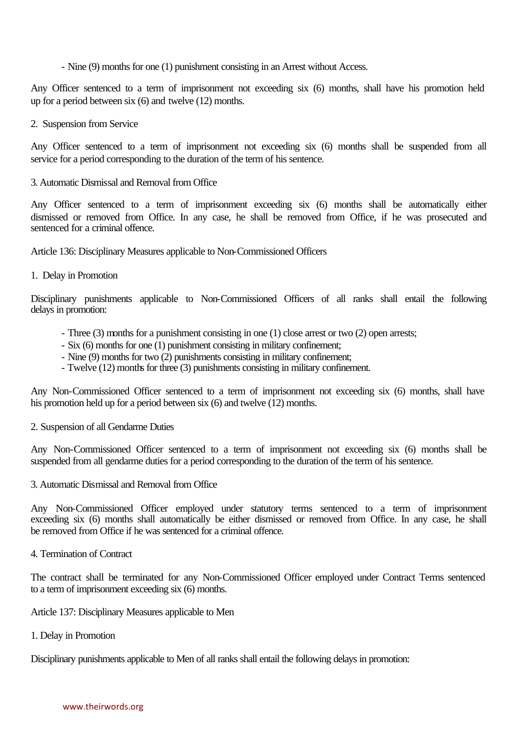- Nine (9) months for one (1) punishment consisting in an Arrest without Access.

Any Officer sentenced to a term of imprisonment not exceeding six (6) months, shall have his promotion held up for a period between six (6) and twelve (12) months.

2. Suspension from Service

Any Officer sentenced to a term of imprisonment not exceeding six (6) months shall be suspended from all service for a period corresponding to the duration of the term of his sentence.

3. Automatic Dismissal and Removal from Office

Any Officer sentenced to a term of imprisonment exceeding six (6) months shall be automatically either dismissed or removed from Office. In any case, he shall be removed from Office, if he was prosecuted and sentenced for a criminal offence.

Article 136: Disciplinary Measures applicable to Non-Commissioned Officers

1. Delay in Promotion

Disciplinary punishments applicable to Non-Commissioned Officers of all ranks shall entail the following delays in promotion:

- Three (3) months for a punishment consisting in one (1) close arrest or two (2) open arrests;
- Six (6) months for one (1) punishment consisting in military confinement;
- Nine (9) months for two (2) punishments consisting in military confinement;
- Twelve (12) months for three (3) punishments consisting in military confinement.

Any Non-Commissioned Officer sentenced to a term of imprisonment not exceeding six (6) months, shall have his promotion held up for a period between six (6) and twelve (12) months.

# 2. Suspension of all Gendarme Duties

Any Non-Commissioned Officer sentenced to a term of imprisonment not exceeding six (6) months shall be suspended from all gendarme duties for a period corresponding to the duration of the term of his sentence.

3. Automatic Dismissal and Removal from Office

Any Non-Commissioned Officer employed under statutory terms sentenced to a term of imprisonment exceeding six (6) months shall automatically be either dismissed or removed from Office. In any case, he shall be removed from Office if he was sentenced for a criminal offence.

4. Termination of Contract

The contract shall be terminated for any Non-Commissioned Officer employed under Contract Terms sentenced to a term of imprisonment exceeding six (6) months.

Article 137: Disciplinary Measures applicable to Men

1. Delay in Promotion

Disciplinary punishments applicable to Men of all ranks shall entail the following delays in promotion: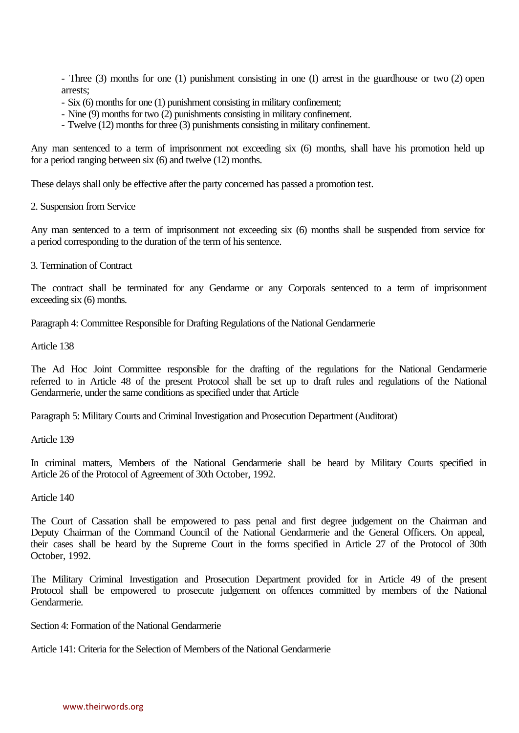- Three (3) months for one (1) punishment consisting in one (I) arrest in the guardhouse or two (2) open arrests;

- Six (6) months for one (1) punishment consisting in military confinement;
- Nine (9) months for two (2) punishments consisting in military confinement.
- Twelve (12) months for three (3) punishments consisting in military confinement.

Any man sentenced to a term of imprisonment not exceeding six (6) months, shall have his promotion held up for a period ranging between six (6) and twelve (12) months.

These delays shall only be effective after the party concerned has passed a promotion test.

2. Suspension from Service

Any man sentenced to a term of imprisonment not exceeding six (6) months shall be suspended from service for a period corresponding to the duration of the term of his sentence.

3. Termination of Contract

The contract shall be terminated for any Gendarme or any Corporals sentenced to a term of imprisonment exceeding six (6) months.

Paragraph 4: Committee Responsible for Drafting Regulations of the National Gendarmerie

Article 138

The Ad Hoc Joint Committee responsible for the drafting of the regulations for the National Gendarmerie referred to in Article 48 of the present Protocol shall be set up to draft rules and regulations of the National Gendarmerie, under the same conditions as specified under that Article

Paragraph 5: Military Courts and Criminal Investigation and Prosecution Department (Auditorat)

Article 139

In criminal matters, Members of the National Gendarmerie shall be heard by Military Courts specified in Article 26 of the Protocol of Agreement of 30th October, 1992.

Article 140

The Court of Cassation shall be empowered to pass penal and first degree judgement on the Chairman and Deputy Chairman of the Command Council of the National Gendarmerie and the General Officers. On appeal, their cases shall be heard by the Supreme Court in the forms specified in Article 27 of the Protocol of 30th October, 1992.

The Military Criminal Investigation and Prosecution Department provided for in Article 49 of the present Protocol shall be empowered to prosecute judgement on offences committed by members of the National Gendarmerie.

Section 4: Formation of the National Gendarmerie

Article 141: Criteria for the Selection of Members of the National Gendarmerie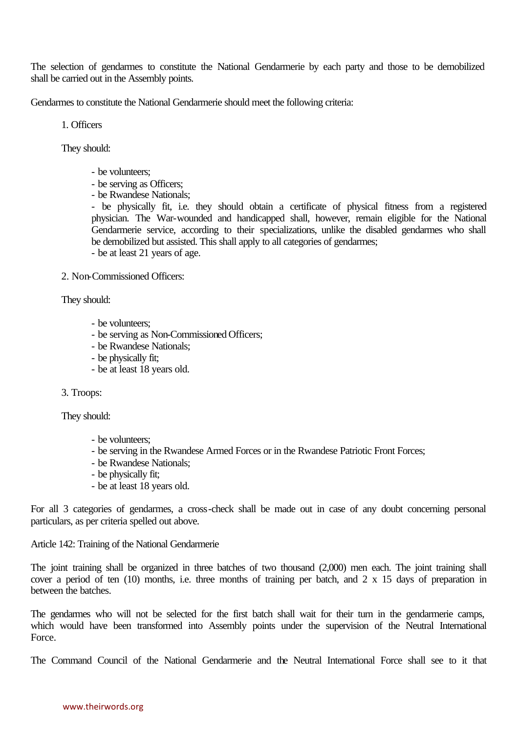The selection of gendarmes to constitute the National Gendarmerie by each party and those to be demobilized shall be carried out in the Assembly points.

Gendarmes to constitute the National Gendarmerie should meet the following criteria:

1. Officers

They should:

- be volunteers;
- be serving as Officers;
- be Rwandese Nationals;

- be physically fit, i.e. they should obtain a certificate of physical fitness from a registered physician. The War-wounded and handicapped shall, however, remain eligible for the National Gendarmerie service, according to their specializations, unlike the disabled gendarmes who shall be demobilized but assisted. This shall apply to all categories of gendarmes;

- be at least 21 years of age.

2. Non-Commissioned Officers:

They should:

- be volunteers;
- be serving as Non-Commissioned Officers;
- be Rwandese Nationals;
- be physically fit;
- be at least 18 years old.

3. Troops:

They should:

- be volunteers;
- be serving in the Rwandese Armed Forces or in the Rwandese Patriotic Front Forces;
- be Rwandese Nationals;
- be physically fit;
- be at least 18 years old.

For all 3 categories of gendarmes, a cross-check shall be made out in case of any doubt concerning personal particulars, as per criteria spelled out above.

Article 142: Training of the National Gendarmerie

The joint training shall be organized in three batches of two thousand (2,000) men each. The joint training shall cover a period of ten (10) months, i.e. three months of training per batch, and 2 x 15 days of preparation in between the batches.

The gendarmes who will not be selected for the first batch shall wait for their turn in the gendarmerie camps, which would have been transformed into Assembly points under the supervision of the Neutral International Force.

The Command Council of the National Gendarmerie and the Neutral International Force shall see to it that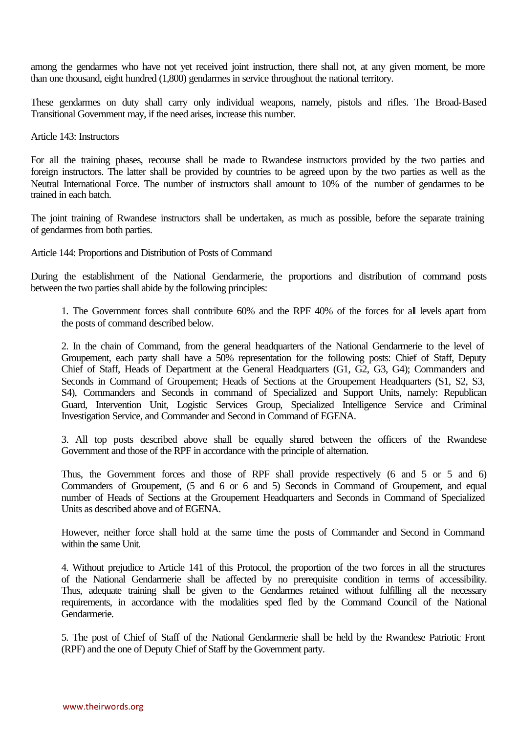among the gendarmes who have not yet received joint instruction, there shall not, at any given moment, be more than one thousand, eight hundred (1,800) gendarmes in service throughout the national territory.

These gendarmes on duty shall carry only individual weapons, namely, pistols and rifles. The Broad-Based Transitional Government may, if the need arises, increase this number.

Article 143: Instructors

For all the training phases, recourse shall be made to Rwandese instructors provided by the two parties and foreign instructors. The latter shall be provided by countries to be agreed upon by the two parties as well as the Neutral International Force. The number of instructors shall amount to 10% of the number of gendarmes to be trained in each batch.

The joint training of Rwandese instructors shall be undertaken, as much as possible, before the separate training of gendarmes from both parties.

Article 144: Proportions and Distribution of Posts of Command

During the establishment of the National Gendarmerie, the proportions and distribution of command posts between the two parties shall abide by the following principles:

1. The Government forces shall contribute 60% and the RPF 40% of the forces for all levels apart from the posts of command described below.

2. In the chain of Command, from the general headquarters of the National Gendarmerie to the level of Groupement, each party shall have a 50% representation for the following posts: Chief of Staff, Deputy Chief of Staff, Heads of Department at the General Headquarters (G1, G2, G3, G4); Commanders and Seconds in Command of Groupement; Heads of Sections at the Groupement Headquarters (S1, S2, S3, S4), Commanders and Seconds in command of Specialized and Support Units, namely: Republican Guard, Intervention Unit, Logistic Services Group, Specialized Intelligence Service and Criminal Investigation Service, and Commander and Second in Command of EGENA.

3. All top posts described above shall be equally shared between the officers of the Rwandese Government and those of the RPF in accordance with the principle of alternation.

Thus, the Government forces and those of RPF shall provide respectively (6 and 5 or 5 and 6) Commanders of Groupement, (5 and 6 or 6 and 5) Seconds in Command of Groupement, and equal number of Heads of Sections at the Groupement Headquarters and Seconds in Command of Specialized Units as described above and of EGENA.

However, neither force shall hold at the same time the posts of Commander and Second in Command within the same Unit.

4. Without prejudice to Article 141 of this Protocol, the proportion of the two forces in all the structures of the National Gendarmerie shall be affected by no prerequisite condition in terms of accessibility. Thus, adequate training shall be given to the Gendarmes retained without fulfilling all the necessary requirements, in accordance with the modalities sped fled by the Command Council of the National Gendarmerie.

5. The post of Chief of Staff of the National Gendarmerie shall be held by the Rwandese Patriotic Front (RPF) and the one of Deputy Chief of Staff by the Government party.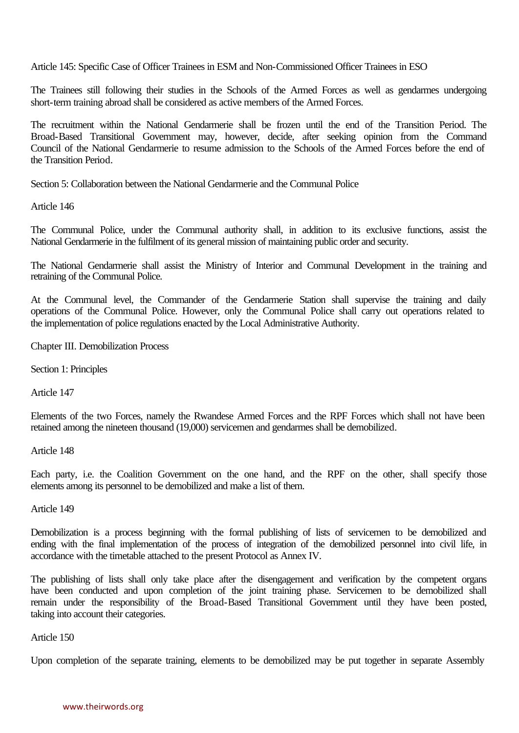Article 145: Specific Case of Officer Trainees in ESM and Non-Commissioned Officer Trainees in ESO

The Trainees still following their studies in the Schools of the Armed Forces as well as gendarmes undergoing short-term training abroad shall be considered as active members of the Armed Forces.

The recruitment within the National Gendarmerie shall be frozen until the end of the Transition Period. The Broad-Based Transitional Government may, however, decide, after seeking opinion from the Command Council of the National Gendarmerie to resume admission to the Schools of the Armed Forces before the end of the Transition Period.

Section 5: Collaboration between the National Gendarmerie and the Communal Police

Article 146

The Communal Police, under the Communal authority shall, in addition to its exclusive functions, assist the National Gendarmerie in the fulfilment of its general mission of maintaining public order and security.

The National Gendarmerie shall assist the Ministry of Interior and Communal Development in the training and retraining of the Communal Police.

At the Communal level, the Commander of the Gendarmerie Station shall supervise the training and daily operations of the Communal Police. However, only the Communal Police shall carry out operations related to the implementation of police regulations enacted by the Local Administrative Authority.

Chapter III. Demobilization Process

Section 1: Principles

Article 147

Elements of the two Forces, namely the Rwandese Armed Forces and the RPF Forces which shall not have been retained among the nineteen thousand (19,000) servicemen and gendarmes shall be demobilized.

Article 148

Each party, i.e. the Coalition Government on the one hand, and the RPF on the other, shall specify those elements among its personnel to be demobilized and make a list of them.

Article 149

Demobilization is a process beginning with the formal publishing of lists of servicemen to be demobilized and ending with the final implementation of the process of integration of the demobilized personnel into civil life, in accordance with the timetable attached to the present Protocol as Annex IV.

The publishing of lists shall only take place after the disengagement and verification by the competent organs have been conducted and upon completion of the joint training phase. Servicemen to be demobilized shall remain under the responsibility of the Broad-Based Transitional Government until they have been posted, taking into account their categories.

Article 150

Upon completion of the separate training, elements to be demobilized may be put together in separate Assembly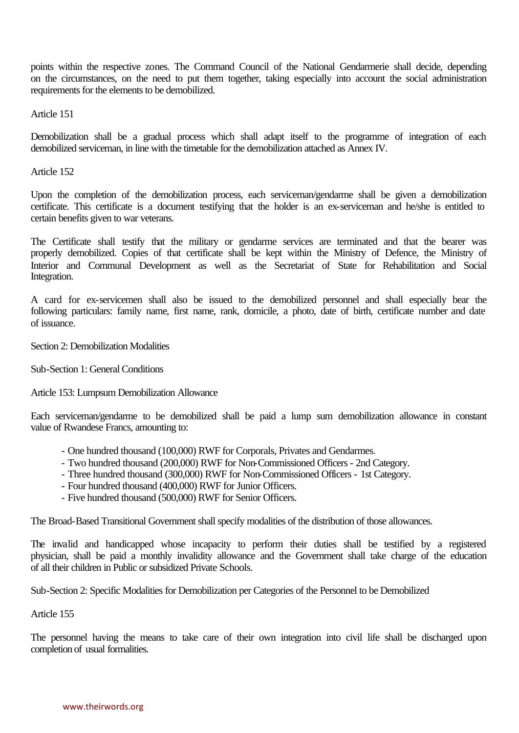points within the respective zones. The Command Council of the National Gendarmerie shall decide, depending on the circumstances, on the need to put them together, taking especially into account the social administration requirements for the elements to be demobilized.

Article 151

Demobilization shall be a gradual process which shall adapt itself to the programme of integration of each demobilized serviceman, in line with the timetable for the demobilization attached as Annex IV.

Article 152

Upon the completion of the demobilization process, each serviceman/gendarme shall be given a demobilization certificate. This certificate is a document testifying that the holder is an ex-serviceman and he/she is entitled to certain benefits given to war veterans.

The Certificate shall testify that the military or gendarme services are terminated and that the bearer was properly demobilized. Copies of that certificate shall be kept within the Ministry of Defence, the Ministry of Interior and Communal Development as well as the Secretariat of State for Rehabilitation and Social Integration.

A card for ex-servicemen shall also be issued to the demobilized personnel and shall especially bear the following particulars: family name, first name, rank, domicile, a photo, date of birth, certificate number and date of issuance.

Section 2: Demobilization Modalities

Sub-Section 1: General Conditions

Article 153: Lumpsum Demobilization Allowance

Each serviceman/gendarme to be demobilized shall be paid a lump sum demobilization allowance in constant value of Rwandese Francs, amounting to:

- One hundred thousand (100,000) RWF for Corporals, Privates and Gendarmes.
- Two hundred thousand (200,000) RWF for Non-Commissioned Officers 2nd Category.
- Three hundred thousand (300,000) RWF for Non-Commissioned Officers 1st Category.
- Four hundred thousand (400,000) RWF for Junior Officers.
- Five hundred thousand (500,000) RWF for Senior Officers.

The Broad-Based Transitional Government shall specify modalities of the distribution of those allowances.

The invalid and handicapped whose incapacity to perform their duties shall be testified by a registered physician, shall be paid a monthly invalidity allowance and the Government shall take charge of the education of all their children in Public or subsidized Private Schools.

Sub-Section 2: Specific Modalities for Demobilization per Categories of the Personnel to be Demobilized

Article 155

The personnel having the means to take care of their own integration into civil life shall be discharged upon completion of usual formalities.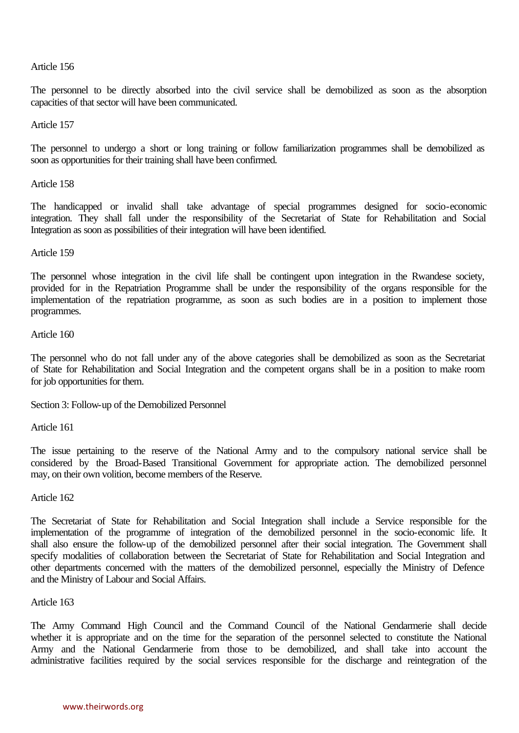### Article 156

The personnel to be directly absorbed into the civil service shall be demobilized as soon as the absorption capacities of that sector will have been communicated.

Article 157

The personnel to undergo a short or long training or follow familiarization programmes shall be demobilized as soon as opportunities for their training shall have been confirmed.

Article 158

The handicapped or invalid shall take advantage of special programmes designed for socio-economic integration. They shall fall under the responsibility of the Secretariat of State for Rehabilitation and Social Integration as soon as possibilities of their integration will have been identified.

Article 159

The personnel whose integration in the civil life shall be contingent upon integration in the Rwandese society, provided for in the Repatriation Programme shall be under the responsibility of the organs responsible for the implementation of the repatriation programme, as soon as such bodies are in a position to implement those programmes.

Article 160

The personnel who do not fall under any of the above categories shall be demobilized as soon as the Secretariat of State for Rehabilitation and Social Integration and the competent organs shall be in a position to make room for job opportunities for them.

Section 3: Follow-up of the Demobilized Personnel

Article 161

The issue pertaining to the reserve of the National Army and to the compulsory national service shall be considered by the Broad-Based Transitional Government for appropriate action. The demobilized personnel may, on their own volition, become members of the Reserve.

Article 162

The Secretariat of State for Rehabilitation and Social Integration shall include a Service responsible for the implementation of the programme of integration of the demobilized personnel in the socio-economic life. It shall also ensure the follow-up of the demobilized personnel after their social integration. The Government shall specify modalities of collaboration between the Secretariat of State for Rehabilitation and Social Integration and other departments concerned with the matters of the demobilized personnel, especially the Ministry of Defence and the Ministry of Labour and Social Affairs.

Article 163

The Army Command High Council and the Command Council of the National Gendarmerie shall decide whether it is appropriate and on the time for the separation of the personnel selected to constitute the National Army and the National Gendarmerie from those to be demobilized, and shall take into account the administrative facilities required by the social services responsible for the discharge and reintegration of the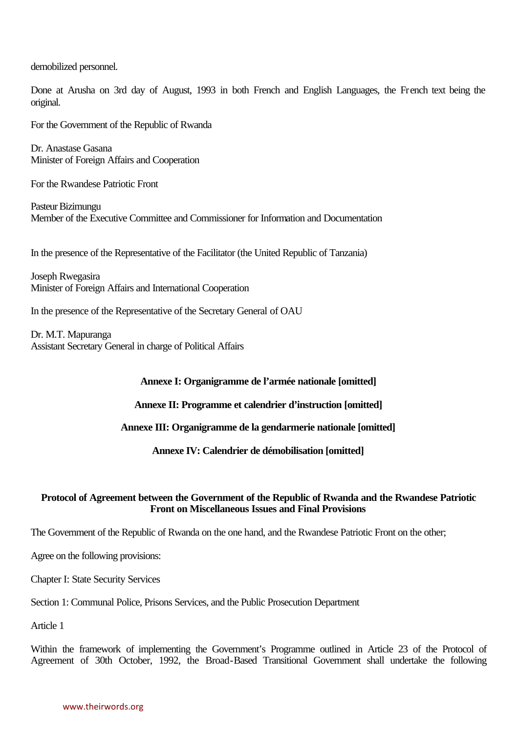demobilized personnel.

Done at Arusha on 3rd day of August, 1993 in both French and English Languages, the French text being the original.

For the Government of the Republic of Rwanda

Dr. Anastase Gasana Minister of Foreign Affairs and Cooperation

For the Rwandese Patriotic Front

Pasteur Bizimungu Member of the Executive Committee and Commissioner for Information and Documentation

In the presence of the Representative of the Facilitator (the United Republic of Tanzania)

Joseph Rwegasira Minister of Foreign Affairs and International Cooperation

In the presence of the Representative of the Secretary General of OAU

Dr. M.T. Mapuranga Assistant Secretary General in charge of Political Affairs

#### **Annexe I: Organigramme de l'armée nationale [omitted]**

**Annexe II: Programme et calendrier d'instruction [omitted]**

**Annexe III: Organigramme de la gendarmerie nationale [omitted]**

**Annexe IV: Calendrier de démobilisation [omitted]**

## **Protocol of Agreement between the Government of the Republic of Rwanda and the Rwandese Patriotic Front on Miscellaneous Issues and Final Provisions**

The Government of the Republic of Rwanda on the one hand, and the Rwandese Patriotic Front on the other;

Agree on the following provisions:

Chapter I: State Security Services

Section 1: Communal Police, Prisons Services, and the Public Prosecution Department

Article 1

Within the framework of implementing the Government's Programme outlined in Article 23 of the Protocol of Agreement of 30th October, 1992, the Broad-Based Transitional Government shall undertake the following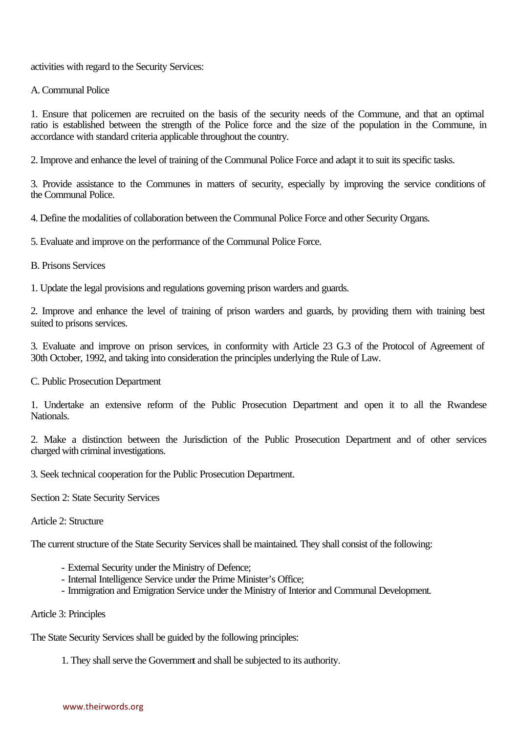activities with regard to the Security Services:

# A. Communal Police

1. Ensure that policemen are recruited on the basis of the security needs of the Commune, and that an optimal ratio is established between the strength of the Police force and the size of the population in the Commune, in accordance with standard criteria applicable throughout the country.

2. Improve and enhance the level of training of the Communal Police Force and adapt it to suit its specific tasks.

3. Provide assistance to the Communes in matters of security, especially by improving the service conditions of the Communal Police.

4. Define the modalities of collaboration between the Communal Police Force and other Security Organs.

5. Evaluate and improve on the performance of the Communal Police Force.

## B. Prisons Services

1. Update the legal provisions and regulations governing prison warders and guards.

2. Improve and enhance the level of training of prison warders and guards, by providing them with training best suited to prisons services.

3. Evaluate and improve on prison services, in conformity with Article 23 G.3 of the Protocol of Agreement of 30th October, 1992, and taking into consideration the principles underlying the Rule of Law.

C. Public Prosecution Department

1. Undertake an extensive reform of the Public Prosecution Department and open it to all the Rwandese Nationals.

2. Make a distinction between the Jurisdiction of the Public Prosecution Department and of other services charged with criminal investigations.

3. Seek technical cooperation for the Public Prosecution Department.

Section 2: State Security Services

#### Article 2: Structure

The current structure of the State Security Services shall be maintained. They shall consist of the following:

- External Security under the Ministry of Defence;
- Internal Intelligence Service under the Prime Minister's Office;
- Immigration and Emigration Service under the Ministry of Interior and Communal Development.

# Article 3: Principles

The State Security Services shall be guided by the following principles:

1. They shall serve the Government and shall be subjected to its authority.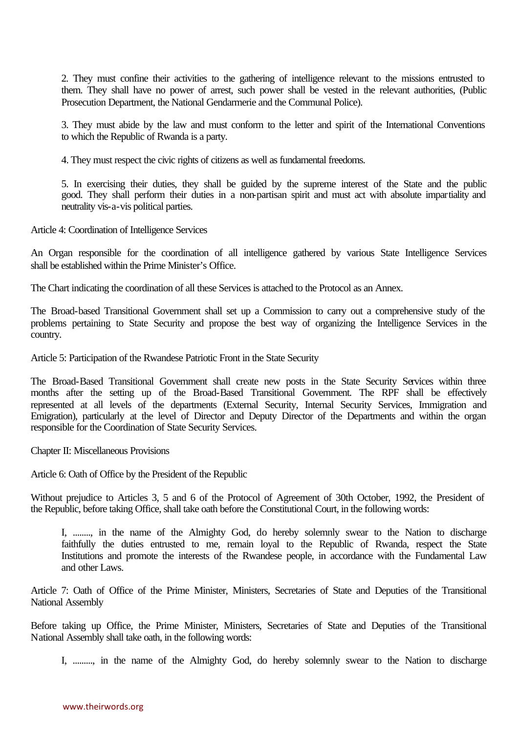2. They must confine their activities to the gathering of intelligence relevant to the missions entrusted to them. They shall have no power of arrest, such power shall be vested in the relevant authorities, (Public Prosecution Department, the National Gendarmerie and the Communal Police).

3. They must abide by the law and must conform to the letter and spirit of the International Conventions to which the Republic of Rwanda is a party.

4. They must respect the civic rights of citizens as well as fundamental freedoms.

5. In exercising their duties, they shall be guided by the supreme interest of the State and the public good. They shall perform their duties in a non-partisan spirit and must act with absolute impartiality and neutrality vis-a-vis political parties.

Article 4: Coordination of Intelligence Services

An Organ responsible for the coordination of all intelligence gathered by various State Intelligence Services shall be established within the Prime Minister's Office.

The Chart indicating the coordination of all these Services is attached to the Protocol as an Annex.

The Broad-based Transitional Government shall set up a Commission to carry out a comprehensive study of the problems pertaining to State Security and propose the best way of organizing the Intelligence Services in the country.

Article 5: Participation of the Rwandese Patriotic Front in the State Security

The Broad-Based Transitional Government shall create new posts in the State Security Services within three months after the setting up of the Broad-Based Transitional Government. The RPF shall be effectively represented at all levels of the departments (External Security, Internal Security Services, Immigration and Emigration), particularly at the level of Director and Deputy Director of the Departments and within the organ responsible for the Coordination of State Security Services.

Chapter II: Miscellaneous Provisions

Article 6: Oath of Office by the President of the Republic

Without prejudice to Articles 3, 5 and 6 of the Protocol of Agreement of 30th October, 1992, the President of the Republic, before taking Office, shall take oath before the Constitutional Court, in the following words:

I, ........, in the name of the Almighty God, do hereby solemnly swear to the Nation to discharge faithfully the duties entrusted to me, remain loyal to the Republic of Rwanda, respect the State Institutions and promote the interests of the Rwandese people, in accordance with the Fundamental Law and other Laws.

Article 7: Oath of Office of the Prime Minister, Ministers, Secretaries of State and Deputies of the Transitional National Assembly

Before taking up Office, the Prime Minister, Ministers, Secretaries of State and Deputies of the Transitional National Assembly shall take oath, in the following words:

I, ........., in the name of the Almighty God, do hereby solemnly swear to the Nation to discharge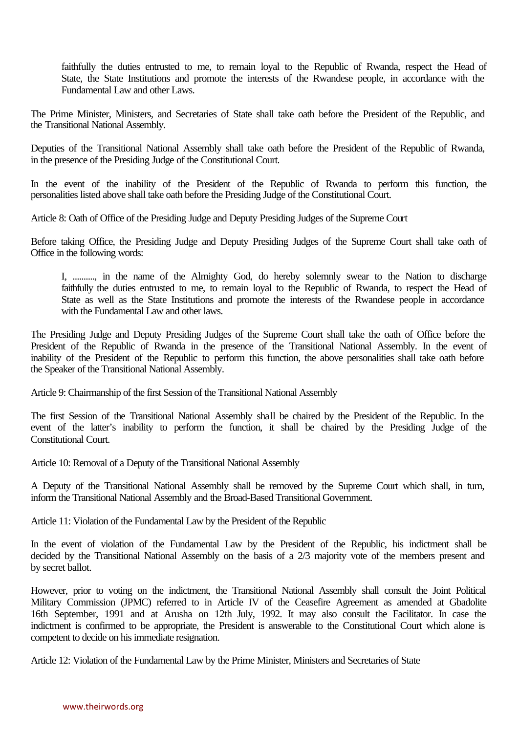faithfully the duties entrusted to me, to remain loyal to the Republic of Rwanda, respect the Head of State, the State Institutions and promote the interests of the Rwandese people, in accordance with the Fundamental Law and other Laws.

The Prime Minister, Ministers, and Secretaries of State shall take oath before the President of the Republic, and the Transitional National Assembly.

Deputies of the Transitional National Assembly shall take oath before the President of the Republic of Rwanda, in the presence of the Presiding Judge of the Constitutional Court.

In the event of the inability of the President of the Republic of Rwanda to perform this function, the personalities listed above shall take oath before the Presiding Judge of the Constitutional Court.

Article 8: Oath of Office of the Presiding Judge and Deputy Presiding Judges of the Supreme Court

Before taking Office, the Presiding Judge and Deputy Presiding Judges of the Supreme Court shall take oath of Office in the following words:

I, .........., in the name of the Almighty God, do hereby solemnly swear to the Nation to discharge faithfully the duties entrusted to me, to remain loyal to the Republic of Rwanda, to respect the Head of State as well as the State Institutions and promote the interests of the Rwandese people in accordance with the Fundamental Law and other laws.

The Presiding Judge and Deputy Presiding Judges of the Supreme Court shall take the oath of Office before the President of the Republic of Rwanda in the presence of the Transitional National Assembly. In the event of inability of the President of the Republic to perform this function, the above personalities shall take oath before the Speaker of the Transitional National Assembly.

Article 9: Chairmanship of the first Session of the Transitional National Assembly

The first Session of the Transitional National Assembly shall be chaired by the President of the Republic. In the event of the latter's inability to perform the function, it shall be chaired by the Presiding Judge of the Constitutional Court.

Article 10: Removal of a Deputy of the Transitional National Assembly

A Deputy of the Transitional National Assembly shall be removed by the Supreme Court which shall, in turn, inform the Transitional National Assembly and the Broad-Based Transitional Government.

Article 11: Violation of the Fundamental Law by the President of the Republic

In the event of violation of the Fundamental Law by the President of the Republic, his indictment shall be decided by the Transitional National Assembly on the basis of a 2/3 majority vote of the members present and by secret ballot.

However, prior to voting on the indictment, the Transitional National Assembly shall consult the Joint Political Military Commission (JPMC) referred to in Article IV of the Ceasefire Agreement as amended at Gbadolite 16th September, 1991 and at Arusha on 12th July, 1992. It may also consult the Facilitator. In case the indictment is confirmed to be appropriate, the President is answerable to the Constitutional Court which alone is competent to decide on his immediate resignation.

Article 12: Violation of the Fundamental Law by the Prime Minister, Ministers and Secretaries of State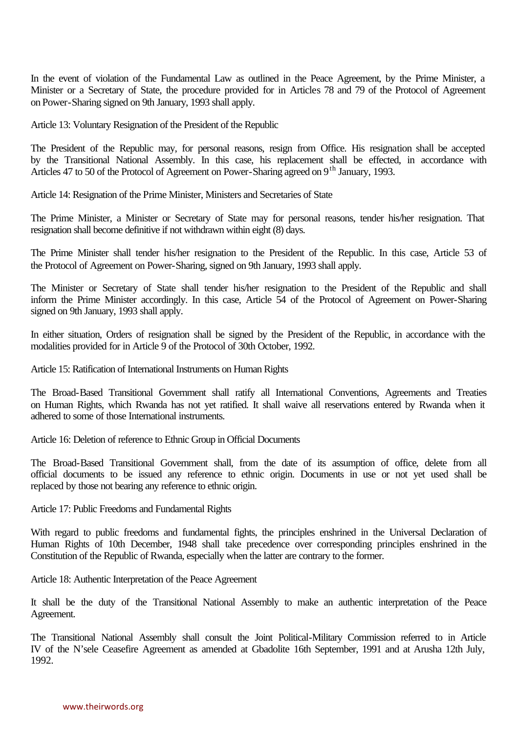In the event of violation of the Fundamental Law as outlined in the Peace Agreement, by the Prime Minister, a Minister or a Secretary of State, the procedure provided for in Articles 78 and 79 of the Protocol of Agreement on Power-Sharing signed on 9th January, 1993 shall apply.

Article 13: Voluntary Resignation of the President of the Republic

The President of the Republic may, for personal reasons, resign from Office. His resignation shall be accepted by the Transitional National Assembly. In this case, his replacement shall be effected, in accordance with Articles 47 to 50 of the Protocol of Agreement on Power-Sharing agreed on 9<sup>th</sup> January, 1993.

Article 14: Resignation of the Prime Minister, Ministers and Secretaries of State

The Prime Minister, a Minister or Secretary of State may for personal reasons, tender his/her resignation. That resignation shall become definitive if not withdrawn within eight (8) days.

The Prime Minister shall tender his/her resignation to the President of the Republic. In this case, Article 53 of the Protocol of Agreement on Power-Sharing, signed on 9th January, 1993 shall apply.

The Minister or Secretary of State shall tender his/her resignation to the President of the Republic and shall inform the Prime Minister accordingly. In this case, Article 54 of the Protocol of Agreement on Power-Sharing signed on 9th January, 1993 shall apply.

In either situation, Orders of resignation shall be signed by the President of the Republic, in accordance with the modalities provided for in Article 9 of the Protocol of 30th October, 1992.

Article 15: Ratification of International Instruments on Human Rights

The Broad-Based Transitional Government shall ratify all International Conventions, Agreements and Treaties on Human Rights, which Rwanda has not yet ratified. It shall waive all reservations entered by Rwanda when it adhered to some of those International instruments.

Article 16: Deletion of reference to Ethnic Group in Official Documents

The Broad-Based Transitional Government shall, from the date of its assumption of office, delete from all official documents to be issued any reference to ethnic origin. Documents in use or not yet used shall be replaced by those not bearing any reference to ethnic origin.

Article 17: Public Freedoms and Fundamental Rights

With regard to public freedoms and fundamental fights, the principles enshrined in the Universal Declaration of Human Rights of 10th December, 1948 shall take precedence over corresponding principles enshrined in the Constitution of the Republic of Rwanda, especially when the latter are contrary to the former.

Article 18: Authentic Interpretation of the Peace Agreement

It shall be the duty of the Transitional National Assembly to make an authentic interpretation of the Peace Agreement.

The Transitional National Assembly shall consult the Joint Political-Military Commission referred to in Article IV of the N'sele Ceasefire Agreement as amended at Gbadolite 16th September, 1991 and at Arusha 12th July, 1992.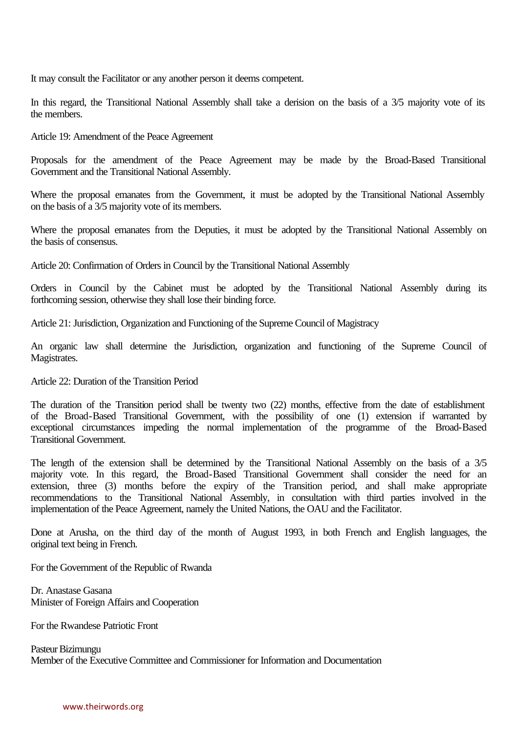It may consult the Facilitator or any another person it deems competent.

In this regard, the Transitional National Assembly shall take a derision on the basis of a 3/5 majority vote of its the members.

Article 19: Amendment of the Peace Agreement

Proposals for the amendment of the Peace Agreement may be made by the Broad-Based Transitional Government and the Transitional National Assembly.

Where the proposal emanates from the Government, it must be adopted by the Transitional National Assembly on the basis of a 3/5 majority vote of its members.

Where the proposal emanates from the Deputies, it must be adopted by the Transitional National Assembly on the basis of consensus.

Article 20: Confirmation of Orders in Council by the Transitional National Assembly

Orders in Council by the Cabinet must be adopted by the Transitional National Assembly during its forthcoming session, otherwise they shall lose their binding force.

Article 21: Jurisdiction, Organization and Functioning of the Supreme Council of Magistracy

An organic law shall determine the Jurisdiction, organization and functioning of the Supreme Council of Magistrates.

Article 22: Duration of the Transition Period

The duration of the Transition period shall be twenty two (22) months, effective from the date of establishment of the Broad-Based Transitional Government, with the possibility of one (1) extension if warranted by exceptional circumstances impeding the normal implementation of the programme of the Broad-Based Transitional Government.

The length of the extension shall be determined by the Transitional National Assembly on the basis of a 3/5 majority vote. In this regard, the Broad-Based Transitional Government shall consider the need for an extension, three (3) months before the expiry of the Transition period, and shall make appropriate recommendations to the Transitional National Assembly, in consultation with third parties involved in the implementation of the Peace Agreement, namely the United Nations, the OAU and the Facilitator.

Done at Arusha, on the third day of the month of August 1993, in both French and English languages, the original text being in French.

For the Government of the Republic of Rwanda

Dr. Anastase Gasana Minister of Foreign Affairs and Cooperation

For the Rwandese Patriotic Front

Pasteur Bizimungu Member of the Executive Committee and Commissioner for Information and Documentation